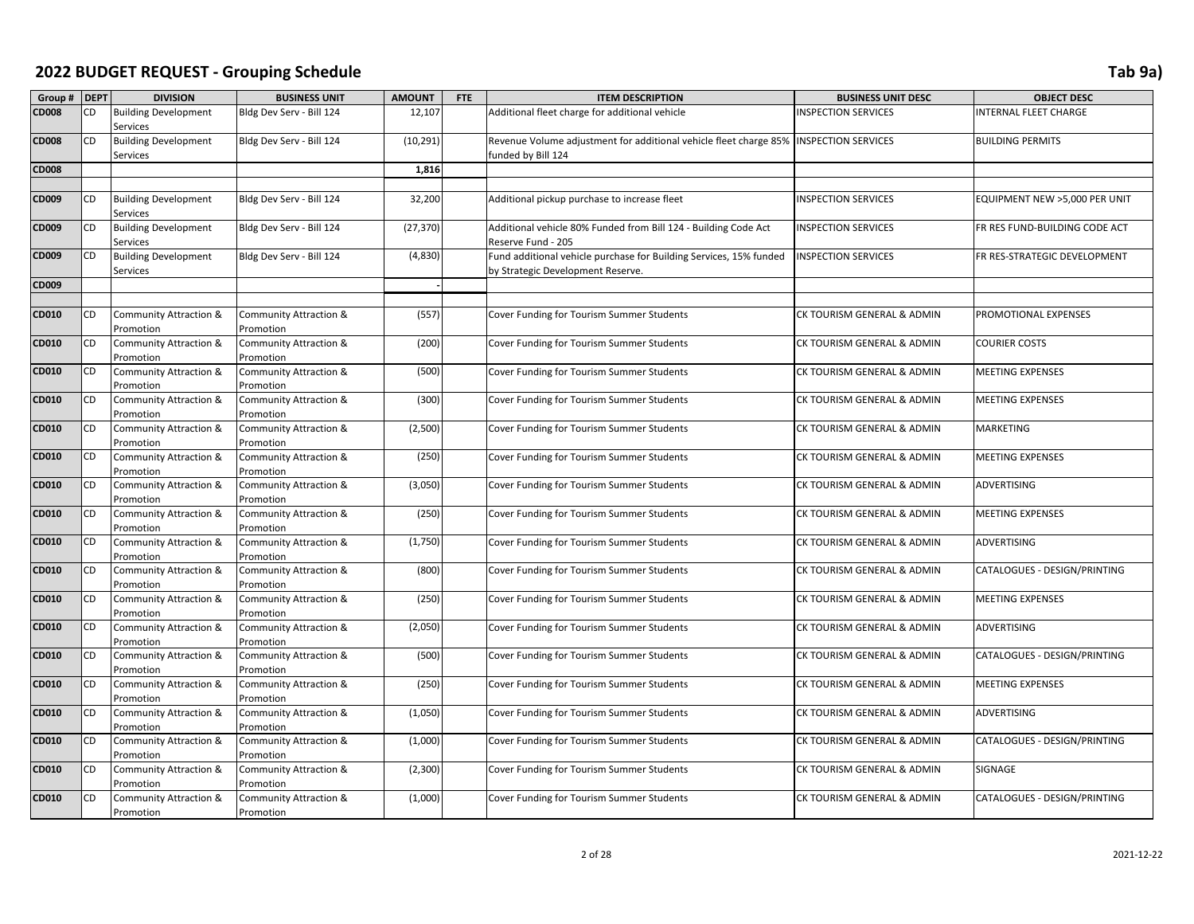| Group # DEPT |           | <b>DIVISION</b>                                | <b>BUSINESS UNIT</b>                           | <b>AMOUNT</b> | FTE | <b>ITEM DESCRIPTION</b>                                                                                 | <b>BUSINESS UNIT DESC</b>  | <b>OBJECT DESC</b>            |
|--------------|-----------|------------------------------------------------|------------------------------------------------|---------------|-----|---------------------------------------------------------------------------------------------------------|----------------------------|-------------------------------|
| <b>CD008</b> | CD        | <b>Building Development</b>                    | Bldg Dev Serv - Bill 124                       | 12,107        |     | Additional fleet charge for additional vehicle                                                          | <b>INSPECTION SERVICES</b> | INTERNAL FLEET CHARGE         |
|              |           | Services                                       |                                                |               |     |                                                                                                         |                            |                               |
| <b>CD008</b> | CD        | <b>Building Development</b>                    | Bldg Dev Serv - Bill 124                       | (10, 291)     |     | Revenue Volume adjustment for additional vehicle fleet charge 85%   INSPECTION SERVICES                 |                            | <b>BUILDING PERMITS</b>       |
|              |           | Services                                       |                                                |               |     | funded by Bill 124                                                                                      |                            |                               |
| <b>CD008</b> |           |                                                |                                                | 1,816         |     |                                                                                                         |                            |                               |
|              |           |                                                |                                                |               |     |                                                                                                         |                            |                               |
| CD009        | CD        | <b>Building Development</b><br><b>Services</b> | Bldg Dev Serv - Bill 124                       | 32,200        |     | Additional pickup purchase to increase fleet                                                            | <b>INSPECTION SERVICES</b> | EQUIPMENT NEW >5,000 PER UNIT |
| CD009        | <b>CD</b> | <b>Building Development</b><br><b>Services</b> | Bldg Dev Serv - Bill 124                       | (27, 370)     |     | Additional vehicle 80% Funded from Bill 124 - Building Code Act<br>Reserve Fund - 205                   | <b>INSPECTION SERVICES</b> | FR RES FUND-BUILDING CODE ACT |
| CD009        | <b>CD</b> | <b>Building Development</b><br><b>Services</b> | Bldg Dev Serv - Bill 124                       | (4,830)       |     | Fund additional vehicle purchase for Building Services, 15% funded<br>by Strategic Development Reserve. | <b>INSPECTION SERVICES</b> | FR RES-STRATEGIC DEVELOPMENT  |
| CD009        |           |                                                |                                                |               |     |                                                                                                         |                            |                               |
|              |           |                                                |                                                |               |     |                                                                                                         |                            |                               |
| CD010        | CD        | Community Attraction &<br>Promotion            | <b>Community Attraction &amp;</b><br>Promotion | (557)         |     | Cover Funding for Tourism Summer Students                                                               | CK TOURISM GENERAL & ADMIN | PROMOTIONAL EXPENSES          |
| CD010        | <b>CD</b> | Community Attraction &<br>Promotion            | <b>Community Attraction &amp;</b><br>Promotion | (200)         |     | Cover Funding for Tourism Summer Students                                                               | CK TOURISM GENERAL & ADMIN | <b>COURIER COSTS</b>          |
| CD010        | <b>CD</b> | Community Attraction &<br>Promotion            | <b>Community Attraction &amp;</b><br>Promotion | (500)         |     | Cover Funding for Tourism Summer Students                                                               | CK TOURISM GENERAL & ADMIN | MEETING EXPENSES              |
| CD010        | <b>CD</b> | Community Attraction &<br>Promotion            | <b>Community Attraction &amp;</b><br>Promotion | (300)         |     | Cover Funding for Tourism Summer Students                                                               | CK TOURISM GENERAL & ADMIN | <b>MEETING EXPENSES</b>       |
| CD010        | CD        | <b>Community Attraction &amp;</b><br>Promotion | <b>Community Attraction &amp;</b><br>Promotion | (2,500)       |     | Cover Funding for Tourism Summer Students                                                               | CK TOURISM GENERAL & ADMIN | <b>MARKETING</b>              |
| CD010        | CD        | <b>Community Attraction &amp;</b><br>Promotion | <b>Community Attraction &amp;</b><br>Promotion | (250)         |     | Cover Funding for Tourism Summer Students                                                               | CK TOURISM GENERAL & ADMIN | MEETING EXPENSES              |
| CD010        | CD        | <b>Community Attraction &amp;</b><br>Promotion | <b>Community Attraction &amp;</b><br>Promotion | (3,050)       |     | Cover Funding for Tourism Summer Students                                                               | CK TOURISM GENERAL & ADMIN | ADVERTISING                   |
| CD010        | CD        | Community Attraction &<br>Promotion            | Community Attraction &<br>Promotion            | (250)         |     | Cover Funding for Tourism Summer Students                                                               | CK TOURISM GENERAL & ADMIN | <b>MEETING EXPENSES</b>       |
| CD010        | CD        | Community Attraction &<br>Promotion            | <b>Community Attraction &amp;</b><br>Promotion | (1,750)       |     | Cover Funding for Tourism Summer Students                                                               | CK TOURISM GENERAL & ADMIN | <b>ADVERTISING</b>            |
| CD010        | CD        | Community Attraction &<br>Promotion            | Community Attraction &<br>Promotion            | (800)         |     | Cover Funding for Tourism Summer Students                                                               | CK TOURISM GENERAL & ADMIN | CATALOGUES - DESIGN/PRINTING  |
| CD010        | CD        | <b>Community Attraction &amp;</b><br>Promotion | <b>Community Attraction &amp;</b><br>Promotion | (250)         |     | Cover Funding for Tourism Summer Students                                                               | CK TOURISM GENERAL & ADMIN | <b>MEETING EXPENSES</b>       |
| CD010        | CD        | <b>Community Attraction &amp;</b><br>Promotion | <b>Community Attraction &amp;</b><br>Promotion | (2,050)       |     | Cover Funding for Tourism Summer Students                                                               | CK TOURISM GENERAL & ADMIN | <b>ADVERTISING</b>            |
| CD010        | CD        | <b>Community Attraction &amp;</b><br>Promotion | <b>Community Attraction &amp;</b><br>Promotion | (500)         |     | Cover Funding for Tourism Summer Students                                                               | CK TOURISM GENERAL & ADMIN | CATALOGUES - DESIGN/PRINTING  |
| CD010        | <b>CD</b> | Community Attraction &<br>Promotion            | <b>Community Attraction &amp;</b><br>Promotion | (250)         |     | Cover Funding for Tourism Summer Students                                                               | CK TOURISM GENERAL & ADMIN | <b>MEETING EXPENSES</b>       |
| CD010        | <b>CD</b> | Community Attraction &<br>Promotion            | <b>Community Attraction &amp;</b><br>Promotion | (1,050)       |     | Cover Funding for Tourism Summer Students                                                               | CK TOURISM GENERAL & ADMIN | <b>ADVERTISING</b>            |
| CD010        | <b>CD</b> | <b>Community Attraction &amp;</b><br>Promotion | <b>Community Attraction &amp;</b><br>Promotion | (1,000)       |     | Cover Funding for Tourism Summer Students                                                               | CK TOURISM GENERAL & ADMIN | CATALOGUES - DESIGN/PRINTING  |
| CD010        | CD        | <b>Community Attraction &amp;</b><br>Promotion | Community Attraction &<br>Promotion            | (2,300)       |     | Cover Funding for Tourism Summer Students                                                               | CK TOURISM GENERAL & ADMIN | SIGNAGE                       |
| CD010        | CD        | <b>Community Attraction &amp;</b><br>Promotion | <b>Community Attraction &amp;</b><br>Promotion | (1,000)       |     | Cover Funding for Tourism Summer Students                                                               | CK TOURISM GENERAL & ADMIN | CATALOGUES - DESIGN/PRINTING  |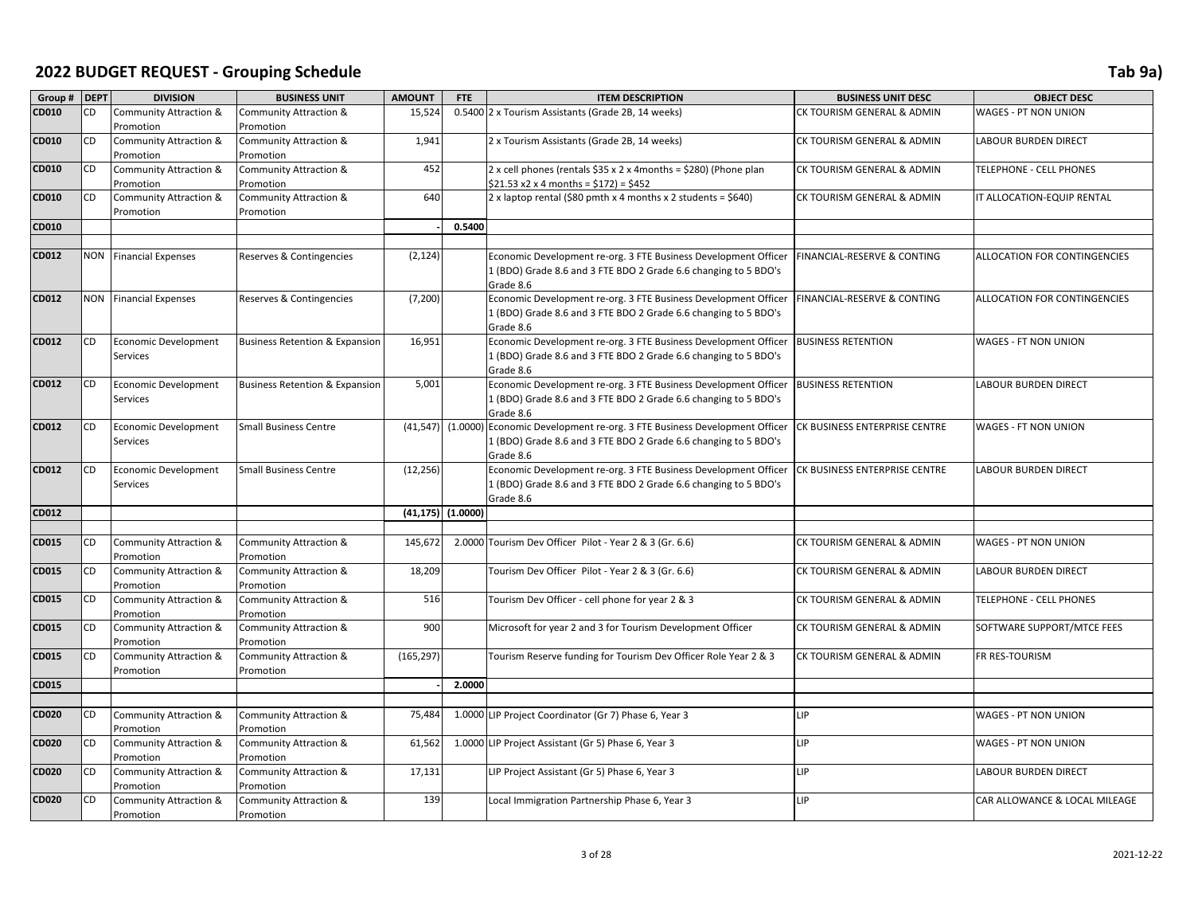| Group # DEPT |           | <b>DIVISION</b>                                | <b>BUSINESS UNIT</b>                      | <b>AMOUNT</b>        | <b>FTE</b> | <b>ITEM DESCRIPTION</b>                                                      | <b>BUSINESS UNIT DESC</b>              | <b>OBJECT DESC</b>            |
|--------------|-----------|------------------------------------------------|-------------------------------------------|----------------------|------------|------------------------------------------------------------------------------|----------------------------------------|-------------------------------|
| CD010        | CD.       | Community Attraction &                         | Community Attraction &                    | 15,524               |            | 0.5400 2 x Tourism Assistants (Grade 2B, 14 weeks)                           | CK TOURISM GENERAL & ADMIN             | WAGES - PT NON UNION          |
|              |           | Promotion                                      | Promotion                                 |                      |            |                                                                              |                                        |                               |
| CD010        | CD        | <b>Community Attraction &amp;</b>              | <b>Community Attraction &amp;</b>         | 1,941                |            | 2 x Tourism Assistants (Grade 2B, 14 weeks)                                  | CK TOURISM GENERAL & ADMIN             | <b>LABOUR BURDEN DIRECT</b>   |
|              |           | Promotion                                      | Promotion                                 |                      |            |                                                                              |                                        |                               |
| CD010        | CD        | Community Attraction &                         | Community Attraction &                    | 452                  |            | 2 x cell phones (rentals \$35 x 2 x 4months = \$280) (Phone plan             | CK TOURISM GENERAL & ADMIN             | TELEPHONE - CELL PHONES       |
|              |           | Promotion                                      | Promotion                                 |                      |            | $$21.53 x2 x 4 months = $172$ = \$452                                        |                                        |                               |
| CD010        | CD        | Community Attraction &                         | Community Attraction &                    | 640                  |            | 2 x laptop rental (\$80 pmth x 4 months x 2 students = \$640)                | CK TOURISM GENERAL & ADMIN             | IT ALLOCATION-EQUIP RENTAL    |
|              |           | Promotion                                      | Promotion                                 |                      |            |                                                                              |                                        |                               |
| CD010        |           |                                                |                                           |                      | 0.5400     |                                                                              |                                        |                               |
|              |           |                                                |                                           |                      |            |                                                                              |                                        |                               |
| <b>CD012</b> |           | <b>NON</b> Financial Expenses                  | Reserves & Contingencies                  | (2, 124)             |            | Economic Development re-org. 3 FTE Business Development Officer              | <b>FINANCIAL-RESERVE &amp; CONTING</b> | ALLOCATION FOR CONTINGENCIES  |
|              |           |                                                |                                           |                      |            | 1 (BDO) Grade 8.6 and 3 FTE BDO 2 Grade 6.6 changing to 5 BDO's              |                                        |                               |
| CD012        |           | <b>NON</b> Financial Expenses                  | Reserves & Contingencies                  | (7, 200)             |            | Grade 8.6<br>Economic Development re-org. 3 FTE Business Development Officer | FINANCIAL-RESERVE & CONTING            | ALLOCATION FOR CONTINGENCIES  |
|              |           |                                                |                                           |                      |            | 1 (BDO) Grade 8.6 and 3 FTE BDO 2 Grade 6.6 changing to 5 BDO's              |                                        |                               |
|              |           |                                                |                                           |                      |            | Grade 8.6                                                                    |                                        |                               |
| <b>CD012</b> | <b>CD</b> | <b>Economic Development</b>                    | <b>Business Retention &amp; Expansion</b> | 16,951               |            | Economic Development re-org. 3 FTE Business Development Officer              | <b>BUSINESS RETENTION</b>              | WAGES - FT NON UNION          |
|              |           | <b>Services</b>                                |                                           |                      |            | 1 (BDO) Grade 8.6 and 3 FTE BDO 2 Grade 6.6 changing to 5 BDO's              |                                        |                               |
|              |           |                                                |                                           |                      |            | Grade 8.6                                                                    |                                        |                               |
| CD012        | <b>CD</b> | Economic Development                           | <b>Business Retention &amp; Expansion</b> | 5,001                |            | Economic Development re-org. 3 FTE Business Development Officer              | <b>BUSINESS RETENTION</b>              | <b>LABOUR BURDEN DIRECT</b>   |
|              |           | Services                                       |                                           |                      |            | 1 (BDO) Grade 8.6 and 3 FTE BDO 2 Grade 6.6 changing to 5 BDO's              |                                        |                               |
|              |           |                                                |                                           |                      |            | Grade 8.6                                                                    |                                        |                               |
| CD012        | CD        | <b>Economic Development</b>                    | <b>Small Business Centre</b>              | (41, 547)            |            | (1.0000) Economic Development re-org. 3 FTE Business Development Officer     | CK BUSINESS ENTERPRISE CENTRE          | WAGES - FT NON UNION          |
|              |           | <b>Services</b>                                |                                           |                      |            | 1 (BDO) Grade 8.6 and 3 FTE BDO 2 Grade 6.6 changing to 5 BDO's              |                                        |                               |
|              |           |                                                |                                           |                      |            | Grade 8.6                                                                    |                                        |                               |
| <b>CD012</b> | <b>CD</b> | <b>Economic Development</b>                    | <b>Small Business Centre</b>              | (12, 256)            |            | Economic Development re-org. 3 FTE Business Development Officer              | CK BUSINESS ENTERPRISE CENTRE          | LABOUR BURDEN DIRECT          |
|              |           | Services                                       |                                           |                      |            | 1 (BDO) Grade 8.6 and 3 FTE BDO 2 Grade 6.6 changing to 5 BDO's              |                                        |                               |
| CD012        |           |                                                |                                           | $(41, 175)$ (1.0000) |            | Grade 8.6                                                                    |                                        |                               |
|              |           |                                                |                                           |                      |            |                                                                              |                                        |                               |
| CD015        | CD        | <b>Community Attraction &amp;</b>              | Community Attraction &                    | 145,672              |            | 2.0000 Tourism Dev Officer Pilot - Year 2 & 3 (Gr. 6.6)                      | CK TOURISM GENERAL & ADMIN             | WAGES - PT NON UNION          |
|              |           | Promotion                                      | Promotion                                 |                      |            |                                                                              |                                        |                               |
| CD015        | CD        | <b>Community Attraction &amp;</b>              | <b>Community Attraction &amp;</b>         | 18,209               |            | Tourism Dev Officer Pilot - Year 2 & 3 (Gr. 6.6)                             | CK TOURISM GENERAL & ADMIN             | <b>LABOUR BURDEN DIRECT</b>   |
|              |           | Promotion                                      | Promotion                                 |                      |            |                                                                              |                                        |                               |
| CD015        | CD        | <b>Community Attraction &amp;</b>              | Community Attraction &                    | 516                  |            | Tourism Dev Officer - cell phone for year 2 & 3                              | CK TOURISM GENERAL & ADMIN             | TELEPHONE - CELL PHONES       |
|              |           | Promotion                                      | Promotion                                 |                      |            |                                                                              |                                        |                               |
| CD015        | CD        | Community Attraction &                         | Community Attraction &                    | 900                  |            | Microsoft for year 2 and 3 for Tourism Development Officer                   | CK TOURISM GENERAL & ADMIN             | SOFTWARE SUPPORT/MTCE FEES    |
|              |           | Promotion                                      | Promotion                                 |                      |            |                                                                              |                                        |                               |
| CD015        | CD        | <b>Community Attraction &amp;</b>              | <b>Community Attraction &amp;</b>         | (165, 297)           |            | Tourism Reserve funding for Tourism Dev Officer Role Year 2 & 3              | CK TOURISM GENERAL & ADMIN             | FR RES-TOURISM                |
|              |           | Promotion                                      | Promotion                                 |                      |            |                                                                              |                                        |                               |
| CD015        |           |                                                |                                           |                      | 2.0000     |                                                                              |                                        |                               |
|              |           |                                                |                                           |                      |            |                                                                              |                                        |                               |
| <b>CD020</b> | CD        | <b>Community Attraction &amp;</b>              | Community Attraction &                    | 75,484               |            | 1.0000 LIP Project Coordinator (Gr 7) Phase 6, Year 3                        | LIP                                    | WAGES - PT NON UNION          |
| <b>CD020</b> | CD        | Promotion<br><b>Community Attraction &amp;</b> | Promotion<br>Community Attraction &       | 61,562               |            | 1.0000 LIP Project Assistant (Gr 5) Phase 6, Year 3                          | LIP                                    | WAGES - PT NON UNION          |
|              |           | Promotion                                      | Promotion                                 |                      |            |                                                                              |                                        |                               |
| <b>CD020</b> | CD        | <b>Community Attraction &amp;</b>              | <b>Community Attraction &amp;</b>         | 17,131               |            | LIP Project Assistant (Gr 5) Phase 6, Year 3                                 | LIP                                    | LABOUR BURDEN DIRECT          |
|              |           | Promotion                                      | Promotion                                 |                      |            |                                                                              |                                        |                               |
| <b>CD020</b> | CD        | <b>Community Attraction &amp;</b>              | <b>Community Attraction &amp;</b>         | 139                  |            | Local Immigration Partnership Phase 6, Year 3                                | LIP                                    | CAR ALLOWANCE & LOCAL MILEAGE |
|              |           | Promotion                                      | Promotion                                 |                      |            |                                                                              |                                        |                               |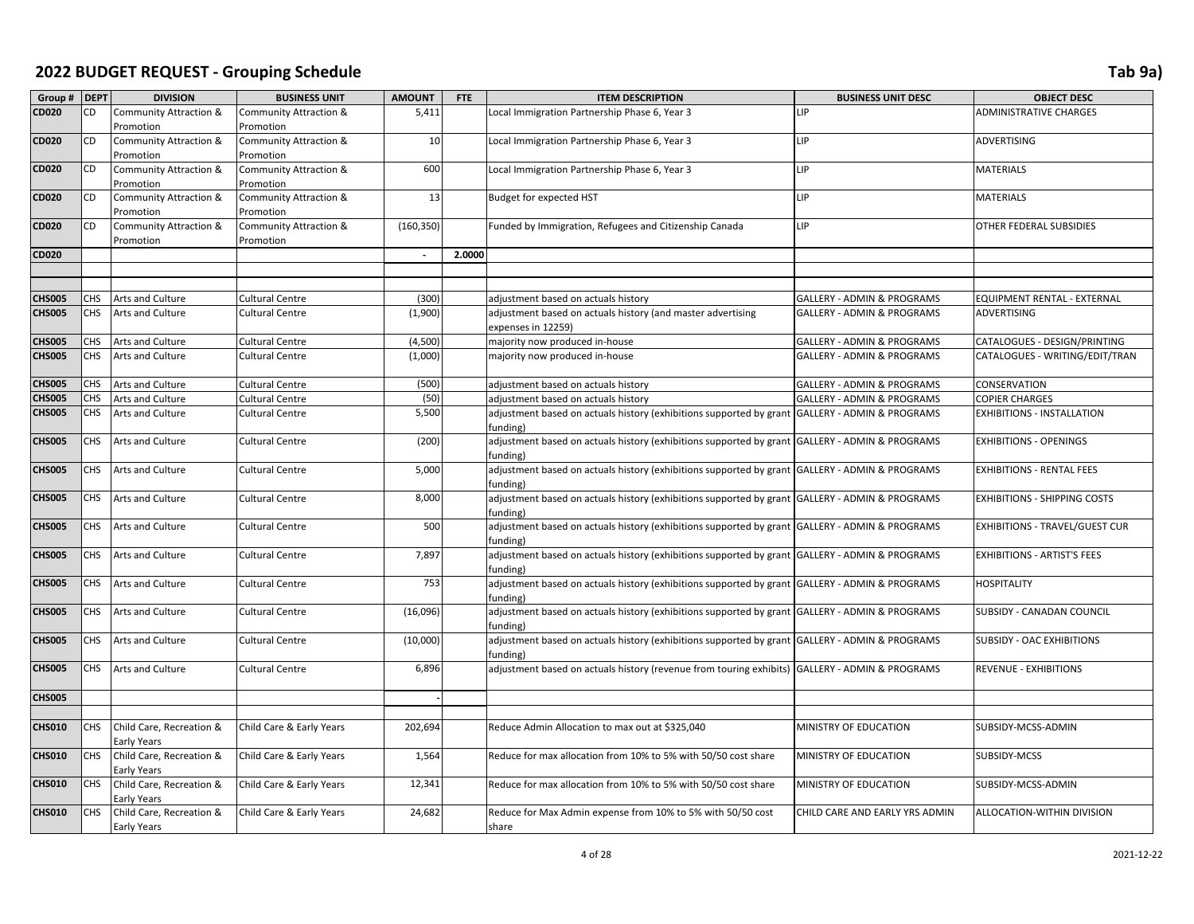| Group # DEPT  |            | <b>DIVISION</b>                                | <b>BUSINESS UNIT</b>                           | <b>AMOUNT</b>            | <b>FTE</b> | <b>ITEM DESCRIPTION</b>                                                                                    | <b>BUSINESS UNIT DESC</b>             | <b>OBJECT DESC</b>             |
|---------------|------------|------------------------------------------------|------------------------------------------------|--------------------------|------------|------------------------------------------------------------------------------------------------------------|---------------------------------------|--------------------------------|
| CD020         | CD         | <b>Community Attraction &amp;</b><br>Promotion | Community Attraction &<br>Promotion            | 5,411                    |            | Local Immigration Partnership Phase 6, Year 3                                                              | LIP                                   | <b>ADMINISTRATIVE CHARGES</b>  |
| <b>CD020</b>  | CD         | Community Attraction &<br>Promotion            | Community Attraction &<br>Promotion            | 10                       |            | Local Immigration Partnership Phase 6, Year 3                                                              | LIP                                   | ADVERTISING                    |
| <b>CD020</b>  | <b>CD</b>  | Community Attraction &<br>Promotion            | <b>Community Attraction &amp;</b><br>Promotion | 600                      |            | Local Immigration Partnership Phase 6, Year 3                                                              | <b>LIP</b>                            | MATERIALS                      |
| CD020         | CD         | Community Attraction &<br>Promotion            | Community Attraction &<br>Promotion            | 13                       |            | Budget for expected HST                                                                                    | LIP                                   | <b>MATERIALS</b>               |
| CD020         | CD         | Community Attraction &<br>Promotion            | Community Attraction &<br>Promotion            | (160, 350)               |            | Funded by Immigration, Refugees and Citizenship Canada                                                     | <b>LIP</b>                            | OTHER FEDERAL SUBSIDIES        |
| <b>CD020</b>  |            |                                                |                                                | $\overline{\phantom{a}}$ | 2.0000     |                                                                                                            |                                       |                                |
|               |            |                                                |                                                |                          |            |                                                                                                            |                                       |                                |
|               |            |                                                |                                                |                          |            |                                                                                                            |                                       |                                |
| CHS005        | CHS I      | Arts and Culture                               | <b>Cultural Centre</b>                         | (300)                    |            | adjustment based on actuals history                                                                        | GALLERY - ADMIN & PROGRAMS            | EQUIPMENT RENTAL - EXTERNAL    |
| CHS005        | CHS.       | Arts and Culture                               | Cultural Centre                                | (1,900)                  |            | adjustment based on actuals history (and master advertising<br>expenses in 12259)                          | <b>GALLERY - ADMIN &amp; PROGRAMS</b> | ADVERTISING                    |
| <b>CHS005</b> | <b>CHS</b> | <b>Arts and Culture</b>                        | <b>Cultural Centre</b>                         | (4,500)                  |            | majority now produced in-house                                                                             | GALLERY - ADMIN & PROGRAMS            | CATALOGUES - DESIGN/PRINTING   |
| <b>CHS005</b> | CHS        | Arts and Culture                               | <b>Cultural Centre</b>                         | (1,000)                  |            | majority now produced in-house                                                                             | GALLERY - ADMIN & PROGRAMS            | CATALOGUES - WRITING/EDIT/TRAN |
| <b>CHS005</b> | CHS I      | <b>Arts and Culture</b>                        | <b>Cultural Centre</b>                         | (500)                    |            | adjustment based on actuals history                                                                        | GALLERY - ADMIN & PROGRAMS            | CONSERVATION                   |
| CHS005        | CHS        | Arts and Culture                               | <b>Cultural Centre</b>                         | (50)                     |            | adjustment based on actuals history                                                                        | GALLERY - ADMIN & PROGRAMS            | COPIER CHARGES                 |
| CHS005        | CHS.       | Arts and Culture                               | <b>Cultural Centre</b>                         | 5,500                    |            | adjustment based on actuals history (exhibitions supported by grant GALLERY - ADMIN & PROGRAMS<br>funding) |                                       | EXHIBITIONS - INSTALLATION     |
| <b>CHS005</b> | CHS        | Arts and Culture                               | <b>Cultural Centre</b>                         | (200)                    |            | adjustment based on actuals history (exhibitions supported by grant GALLERY - ADMIN & PROGRAMS<br>funding) |                                       | EXHIBITIONS - OPENINGS         |
| <b>CHS005</b> | CHS.       | <b>Arts and Culture</b>                        | <b>Cultural Centre</b>                         | 5,000                    |            | adjustment based on actuals history (exhibitions supported by grant GALLERY - ADMIN & PROGRAMS<br>funding) |                                       | EXHIBITIONS - RENTAL FEES      |
| <b>CHS005</b> | CHS.       | <b>Arts and Culture</b>                        | Cultural Centre                                | 8,000                    |            | adjustment based on actuals history (exhibitions supported by grant GALLERY - ADMIN & PROGRAMS<br>funding) |                                       | EXHIBITIONS - SHIPPING COSTS   |
| <b>CHS005</b> | CHS.       | <b>Arts and Culture</b>                        | <b>Cultural Centre</b>                         | 500                      |            | adjustment based on actuals history (exhibitions supported by grant GALLERY - ADMIN & PROGRAMS<br>funding) |                                       | EXHIBITIONS - TRAVEL/GUEST CUR |
| <b>CHS005</b> | CHS.       | <b>Arts and Culture</b>                        | Cultural Centre                                | 7,897                    |            | adjustment based on actuals history (exhibitions supported by grant GALLERY - ADMIN & PROGRAMS<br>funding) |                                       | EXHIBITIONS - ARTIST'S FEES    |
| <b>CHS005</b> | CHS I      | <b>Arts and Culture</b>                        | <b>Cultural Centre</b>                         | 753                      |            | adjustment based on actuals history (exhibitions supported by grant GALLERY - ADMIN & PROGRAMS<br>funding) |                                       | HOSPITALITY                    |
| <b>CHS005</b> | CHS.       | Arts and Culture                               | <b>Cultural Centre</b>                         | (16,096)                 |            | adjustment based on actuals history (exhibitions supported by grant GALLERY - ADMIN & PROGRAMS<br>funding) |                                       | SUBSIDY - CANADAN COUNCIL      |
| <b>CHS005</b> | CHS I      | <b>Arts and Culture</b>                        | Cultural Centre                                | (10,000)                 |            | adjustment based on actuals history (exhibitions supported by grant GALLERY - ADMIN & PROGRAMS<br>funding) |                                       | SUBSIDY - OAC EXHIBITIONS      |
| <b>CHS005</b> | CHS.       | <b>Arts and Culture</b>                        | <b>Cultural Centre</b>                         | 6,896                    |            | adjustment based on actuals history (revenue from touring exhibits) GALLERY - ADMIN & PROGRAMS             |                                       | REVENUE - EXHIBITIONS          |
| <b>CHS005</b> |            |                                                |                                                |                          |            |                                                                                                            |                                       |                                |
|               |            |                                                |                                                |                          |            |                                                                                                            |                                       |                                |
| <b>CHS010</b> | CHS.       | Child Care, Recreation &<br>Early Years        | Child Care & Early Years                       | 202,694                  |            | Reduce Admin Allocation to max out at \$325,040                                                            | MINISTRY OF EDUCATION                 | SUBSIDY-MCSS-ADMIN             |
| <b>CHS010</b> | CHS.       | Child Care, Recreation &<br>Early Years        | Child Care & Early Years                       | 1,564                    |            | Reduce for max allocation from 10% to 5% with 50/50 cost share                                             | MINISTRY OF EDUCATION                 | SUBSIDY-MCSS                   |
| <b>CHS010</b> | CHS        | Child Care, Recreation &<br>Early Years        | Child Care & Early Years                       | 12,341                   |            | Reduce for max allocation from 10% to 5% with 50/50 cost share                                             | MINISTRY OF EDUCATION                 | SUBSIDY-MCSS-ADMIN             |
| <b>CHS010</b> | CHS        | Child Care, Recreation &<br>Early Years        | Child Care & Early Years                       | 24,682                   |            | Reduce for Max Admin expense from 10% to 5% with 50/50 cost<br>share                                       | CHILD CARE AND EARLY YRS ADMIN        | ALLOCATION-WITHIN DIVISION     |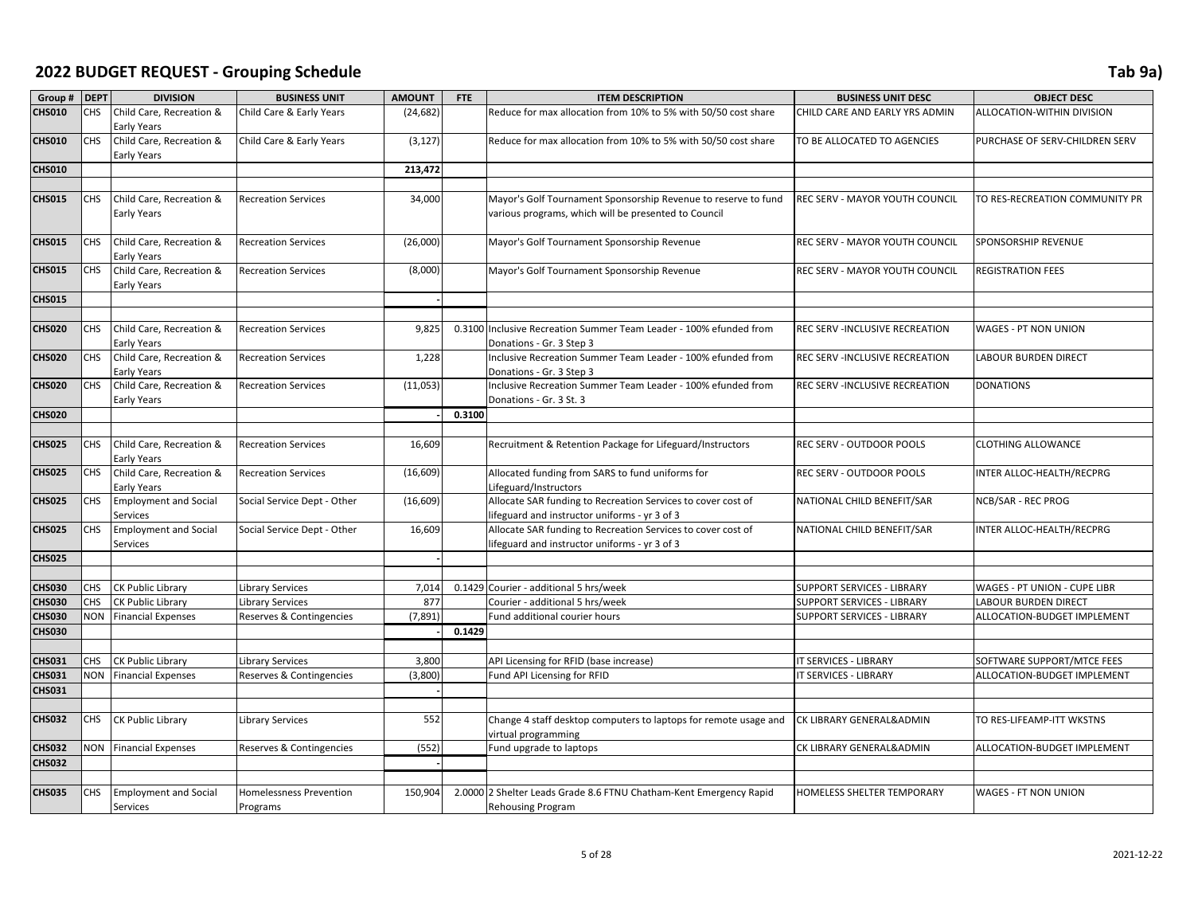| Group #       | <b>DEPT</b> | <b>DIVISION</b>              | <b>BUSINESS UNIT</b>           | <b>AMOUNT</b> | <b>FTE</b> | <b>ITEM DESCRIPTION</b>                                            | <b>BUSINESS UNIT DESC</b>         | <b>OBJECT DESC</b>             |
|---------------|-------------|------------------------------|--------------------------------|---------------|------------|--------------------------------------------------------------------|-----------------------------------|--------------------------------|
| <b>CHS010</b> | CHS         | Child Care, Recreation &     | Child Care & Early Years       | (24, 682)     |            | Reduce for max allocation from 10% to 5% with 50/50 cost share     | CHILD CARE AND EARLY YRS ADMIN    | ALLOCATION-WITHIN DIVISION     |
|               |             | Early Years                  |                                |               |            |                                                                    |                                   |                                |
| <b>CHS010</b> | <b>CHS</b>  | Child Care, Recreation &     | Child Care & Early Years       | (3, 127)      |            | Reduce for max allocation from 10% to 5% with 50/50 cost share     | TO BE ALLOCATED TO AGENCIES       | PURCHASE OF SERV-CHILDREN SERV |
|               |             | Early Years                  |                                |               |            |                                                                    |                                   |                                |
| <b>CHS010</b> |             |                              |                                | 213,472       |            |                                                                    |                                   |                                |
|               |             |                              |                                |               |            |                                                                    |                                   |                                |
| <b>CHS015</b> | <b>CHS</b>  |                              |                                | 34,000        |            |                                                                    |                                   |                                |
|               |             | Child Care, Recreation &     | <b>Recreation Services</b>     |               |            | Mayor's Golf Tournament Sponsorship Revenue to reserve to fund     | REC SERV - MAYOR YOUTH COUNCIL    | TO RES-RECREATION COMMUNITY PR |
|               |             | Early Years                  |                                |               |            | various programs, which will be presented to Council               |                                   |                                |
|               |             |                              |                                |               |            |                                                                    |                                   |                                |
| <b>CHS015</b> | CHS         | Child Care, Recreation &     | <b>Recreation Services</b>     | (26,000)      |            | Mayor's Golf Tournament Sponsorship Revenue                        | REC SERV - MAYOR YOUTH COUNCIL    | <b>SPONSORSHIP REVENUE</b>     |
|               | <b>CHS</b>  | Early Years                  |                                |               |            |                                                                    |                                   |                                |
| <b>CHS015</b> |             | Child Care, Recreation &     | <b>Recreation Services</b>     | (8,000)       |            | Mayor's Golf Tournament Sponsorship Revenue                        | REC SERV - MAYOR YOUTH COUNCIL    | <b>REGISTRATION FEES</b>       |
|               |             | <b>Early Years</b>           |                                |               |            |                                                                    |                                   |                                |
| <b>CHS015</b> |             |                              |                                |               |            |                                                                    |                                   |                                |
|               |             |                              |                                |               |            |                                                                    |                                   |                                |
| <b>CHS020</b> | <b>CHS</b>  | Child Care, Recreation &     | <b>Recreation Services</b>     | 9,825         |            | 0.3100 Inclusive Recreation Summer Team Leader - 100% efunded from | REC SERV -INCLUSIVE RECREATION    | <b>WAGES - PT NON UNION</b>    |
|               |             | Early Years                  |                                |               |            | Donations - Gr. 3 Step 3                                           |                                   |                                |
| <b>CHS020</b> | <b>CHS</b>  | Child Care, Recreation &     | <b>Recreation Services</b>     | 1,228         |            | Inclusive Recreation Summer Team Leader - 100% efunded from        | REC SERV -INCLUSIVE RECREATION    | <b>LABOUR BURDEN DIRECT</b>    |
|               |             | <b>Early Years</b>           |                                |               |            | Donations - Gr. 3 Step 3                                           |                                   |                                |
| <b>CHS020</b> | CHS         | Child Care, Recreation &     | <b>Recreation Services</b>     | (11,053)      |            | Inclusive Recreation Summer Team Leader - 100% efunded from        | REC SERV -INCLUSIVE RECREATION    | <b>DONATIONS</b>               |
|               |             | <b>Early Years</b>           |                                |               |            | Donations - Gr. 3 St. 3                                            |                                   |                                |
| <b>CHS020</b> |             |                              |                                |               | 0.3100     |                                                                    |                                   |                                |
|               |             |                              |                                |               |            |                                                                    |                                   |                                |
| <b>CHS025</b> | <b>CHS</b>  | Child Care, Recreation &     | <b>Recreation Services</b>     | 16,609        |            | Recruitment & Retention Package for Lifeguard/Instructors          | REC SERV - OUTDOOR POOLS          | <b>CLOTHING ALLOWANCE</b>      |
|               |             | Early Years                  |                                |               |            |                                                                    |                                   |                                |
| <b>CHS025</b> | <b>CHS</b>  | Child Care, Recreation &     | <b>Recreation Services</b>     | (16, 609)     |            | Allocated funding from SARS to fund uniforms for                   | REC SERV - OUTDOOR POOLS          | INTER ALLOC-HEALTH/RECPRG      |
|               |             | Early Years                  |                                |               |            | Lifeguard/Instructors                                              |                                   |                                |
| <b>CHS025</b> | <b>CHS</b>  | <b>Employment and Social</b> | Social Service Dept - Other    | (16, 609)     |            | Allocate SAR funding to Recreation Services to cover cost of       | NATIONAL CHILD BENEFIT/SAR        | NCB/SAR - REC PROG             |
|               |             | Services                     |                                |               |            | lifeguard and instructor uniforms - yr 3 of 3                      |                                   |                                |
| <b>CHS025</b> | <b>CHS</b>  | <b>Employment and Social</b> | Social Service Dept - Other    | 16,609        |            | Allocate SAR funding to Recreation Services to cover cost of       | NATIONAL CHILD BENEFIT/SAR        | INTER ALLOC-HEALTH/RECPRG      |
|               |             | Services                     |                                |               |            | lifeguard and instructor uniforms - yr 3 of 3                      |                                   |                                |
| <b>CHS025</b> |             |                              |                                |               |            |                                                                    |                                   |                                |
|               |             |                              |                                |               |            |                                                                    |                                   |                                |
| <b>CHS030</b> | CHS         | CK Public Library            | <b>Library Services</b>        | 7,014         | 0.1429     | Courier - additional 5 hrs/week                                    | SUPPORT SERVICES - LIBRARY        | WAGES - PT UNION - CUPE LIBR   |
| <b>CHS030</b> | CHS         | CK Public Library            | <b>Library Services</b>        | 877           |            | Courier - additional 5 hrs/week                                    | SUPPORT SERVICES - LIBRARY        | <b>LABOUR BURDEN DIRECT</b>    |
| <b>CHS030</b> | <b>NON</b>  | <b>Financial Expenses</b>    | Reserves & Contingencies       | (7, 891)      |            | Fund additional courier hours                                      | <b>SUPPORT SERVICES - LIBRARY</b> | ALLOCATION-BUDGET IMPLEMENT    |
| <b>CHS030</b> |             |                              |                                |               | 0.1429     |                                                                    |                                   |                                |
|               |             |                              |                                |               |            |                                                                    |                                   |                                |
| <b>CHS031</b> | <b>CHS</b>  | CK Public Library            | <b>Library Services</b>        | 3,800         |            | API Licensing for RFID (base increase)                             | IT SERVICES - LIBRARY             | SOFTWARE SUPPORT/MTCE FEES     |
| <b>CHS031</b> | NON         | <b>Financial Expenses</b>    | Reserves & Contingencies       | (3,800)       |            | Fund API Licensing for RFID                                        | IT SERVICES - LIBRARY             | ALLOCATION-BUDGET IMPLEMENT    |
| <b>CHS031</b> |             |                              |                                |               |            |                                                                    |                                   |                                |
|               |             |                              |                                |               |            |                                                                    |                                   |                                |
| <b>CHS032</b> | <b>CHS</b>  | CK Public Library            | <b>Library Services</b>        | 552           |            | Change 4 staff desktop computers to laptops for remote usage and   | CK LIBRARY GENERAL&ADMIN          | TO RES-LIFEAMP-ITT WKSTNS      |
|               |             |                              |                                |               |            | virtual programming                                                |                                   |                                |
| <b>CHS032</b> | NON         | <b>Financial Expenses</b>    | Reserves & Contingencies       | (552)         |            | Fund upgrade to laptops                                            | CK LIBRARY GENERAL&ADMIN          | ALLOCATION-BUDGET IMPLEMENT    |
| <b>CHS032</b> |             |                              |                                |               |            |                                                                    |                                   |                                |
|               |             |                              |                                |               |            |                                                                    |                                   |                                |
| <b>CHS035</b> | CHS         | <b>Employment and Social</b> | <b>Homelessness Prevention</b> | 150,904       |            | 2.0000 2 Shelter Leads Grade 8.6 FTNU Chatham-Kent Emergency Rapid | HOMELESS SHELTER TEMPORARY        | <b>WAGES - FT NON UNION</b>    |
|               |             | Services                     | Programs                       |               |            | <b>Rehousing Program</b>                                           |                                   |                                |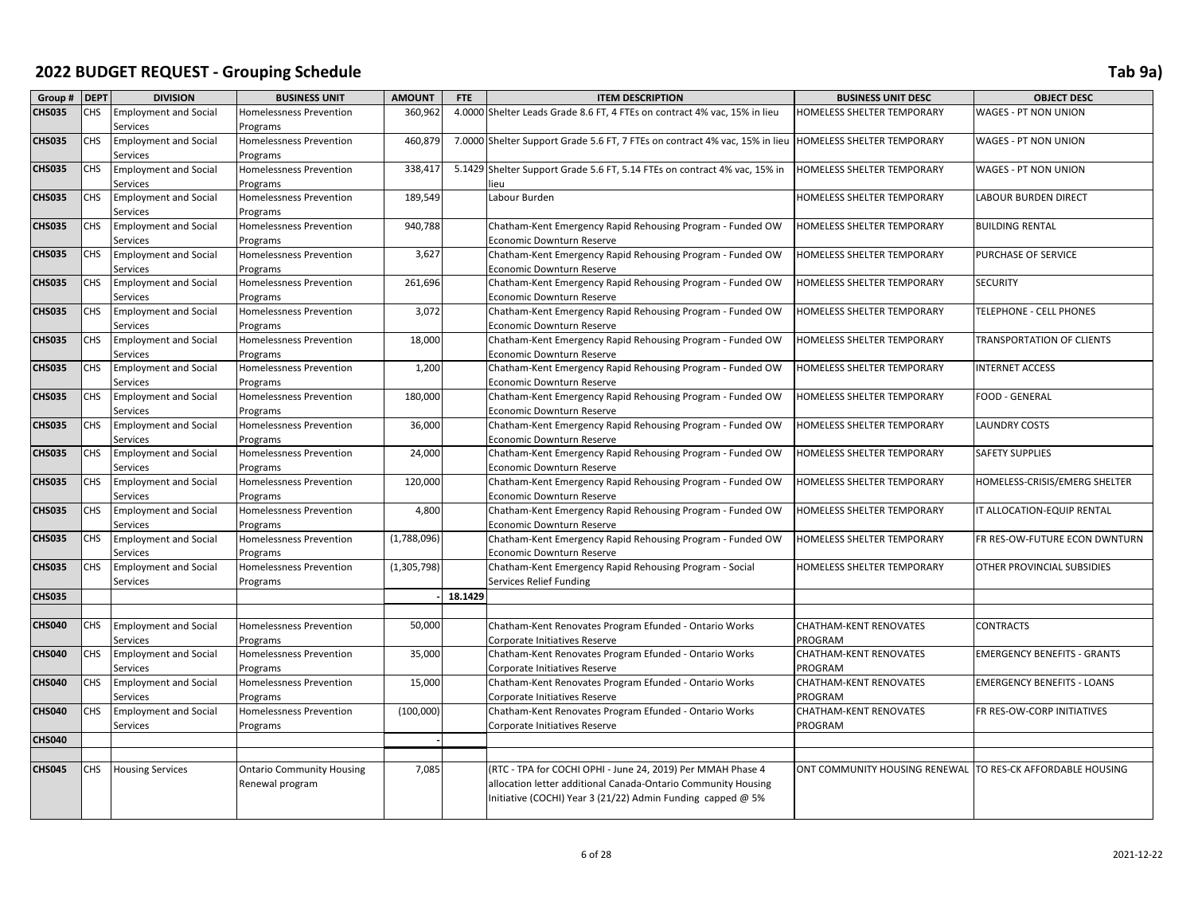| Group #       | <b>DEPT</b> | <b>DIVISION</b>                          | <b>BUSINESS UNIT</b>                | <b>AMOUNT</b> | FTE     | <b>ITEM DESCRIPTION</b>                                                                 | <b>BUSINESS UNIT DESC</b>     | <b>OBJECT DESC</b>                 |
|---------------|-------------|------------------------------------------|-------------------------------------|---------------|---------|-----------------------------------------------------------------------------------------|-------------------------------|------------------------------------|
| <b>CHS035</b> | CHS         | <b>Employment and Social</b>             | Homelessness Prevention             | 360,962       |         | 4.0000 Shelter Leads Grade 8.6 FT, 4 FTEs on contract 4% vac, 15% in lieu               | HOMELESS SHELTER TEMPORARY    | WAGES - PT NON UNION               |
|               |             | Services                                 | Programs                            |               |         |                                                                                         |                               |                                    |
| <b>CHS035</b> | CHS         | <b>Employment and Social</b>             | Homelessness Prevention             | 460,879       |         | 7.0000 Shelter Support Grade 5.6 FT, 7 FTEs on contract 4% vac, 15% in lieu             | HOMELESS SHELTER TEMPORARY    | <b>WAGES - PT NON UNION</b>        |
|               |             | Services                                 | Programs                            |               |         |                                                                                         |                               |                                    |
| <b>CHS035</b> | CHS         | <b>Employment and Social</b>             | <b>Homelessness Prevention</b>      | 338,417       |         | 5.1429 Shelter Support Grade 5.6 FT, 5.14 FTEs on contract 4% vac, 15% in               | HOMELESS SHELTER TEMPORARY    | <b>WAGES - PT NON UNION</b>        |
|               |             | Services                                 | Programs                            |               |         | ieu                                                                                     |                               |                                    |
| <b>CHS035</b> | CHS         | <b>Employment and Social</b>             | <b>Homelessness Prevention</b>      | 189,549       |         | Labour Burden                                                                           | HOMELESS SHELTER TEMPORARY    | LABOUR BURDEN DIRECT               |
|               |             | Services                                 | Programs                            |               |         |                                                                                         |                               |                                    |
| <b>CHS035</b> | CHS         | <b>Employment and Social</b>             | Homelessness Prevention             | 940,788       |         | Chatham-Kent Emergency Rapid Rehousing Program - Funded OW                              | HOMELESS SHELTER TEMPORARY    | <b>BUILDING RENTAL</b>             |
|               |             | Services                                 | Programs                            |               |         | Economic Downturn Reserve                                                               |                               |                                    |
| <b>CHS035</b> | CHS.        | <b>Employment and Social</b>             | <b>Homelessness Prevention</b>      | 3,627         |         | Chatham-Kent Emergency Rapid Rehousing Program - Funded OW                              | HOMELESS SHELTER TEMPORARY    | PURCHASE OF SERVICE                |
|               |             | Services                                 | Programs                            |               |         | Economic Downturn Reserve                                                               |                               |                                    |
| <b>CHS035</b> | CHS         | <b>Employment and Social</b>             | Homelessness Prevention             | 261,696       |         | Chatham-Kent Emergency Rapid Rehousing Program - Funded OW                              | HOMELESS SHELTER TEMPORARY    | <b>SECURITY</b>                    |
|               |             | Services                                 | Programs                            | 3,072         |         | Economic Downturn Reserve                                                               |                               |                                    |
| <b>CHS035</b> | CHS         | <b>Employment and Social</b><br>Services | Homelessness Prevention<br>Programs |               |         | Chatham-Kent Emergency Rapid Rehousing Program - Funded OW<br>Economic Downturn Reserve | HOMELESS SHELTER TEMPORARY    | TELEPHONE - CELL PHONES            |
| <b>CHS035</b> | CHS         | <b>Employment and Social</b>             | <b>Homelessness Prevention</b>      | 18,000        |         | Chatham-Kent Emergency Rapid Rehousing Program - Funded OW                              | HOMELESS SHELTER TEMPORARY    | <b>TRANSPORTATION OF CLIENTS</b>   |
|               |             | Services                                 | Programs                            |               |         | Economic Downturn Reserve                                                               |                               |                                    |
| <b>CHS035</b> | CHS         | <b>Employment and Social</b>             | <b>Homelessness Prevention</b>      | 1,200         |         | Chatham-Kent Emergency Rapid Rehousing Program - Funded OW                              | HOMELESS SHELTER TEMPORARY    | <b>INTERNET ACCESS</b>             |
|               |             | Services                                 | Programs                            |               |         | Economic Downturn Reserve                                                               |                               |                                    |
| <b>CHS035</b> | CHS         | <b>Employment and Social</b>             | <b>Homelessness Prevention</b>      | 180,000       |         | Chatham-Kent Emergency Rapid Rehousing Program - Funded OW                              | HOMELESS SHELTER TEMPORARY    | <b>FOOD - GENERAL</b>              |
|               |             | Services                                 | Programs                            |               |         | Economic Downturn Reserve                                                               |                               |                                    |
| <b>CHS035</b> | CHS         | <b>Employment and Social</b>             | Homelessness Prevention             | 36,000        |         | Chatham-Kent Emergency Rapid Rehousing Program - Funded OW                              | HOMELESS SHELTER TEMPORARY    | <b>LAUNDRY COSTS</b>               |
|               |             | Services                                 | Programs                            |               |         | Economic Downturn Reserve                                                               |                               |                                    |
| <b>CHS035</b> | CHS         | <b>Employment and Social</b>             | <b>Homelessness Prevention</b>      | 24,000        |         | Chatham-Kent Emergency Rapid Rehousing Program - Funded OW                              | HOMELESS SHELTER TEMPORARY    | <b>SAFETY SUPPLIES</b>             |
|               |             | Services                                 | Programs                            |               |         | Economic Downturn Reserve                                                               |                               |                                    |
| <b>CHS035</b> | CHS         | <b>Employment and Social</b>             | <b>Homelessness Prevention</b>      | 120,000       |         | Chatham-Kent Emergency Rapid Rehousing Program - Funded OW                              | HOMELESS SHELTER TEMPORARY    | HOMELESS-CRISIS/EMERG SHELTER      |
|               |             | Services                                 | Programs                            |               |         | Economic Downturn Reserve                                                               |                               |                                    |
| <b>CHS035</b> | CHS         | <b>Employment and Social</b>             | <b>Homelessness Prevention</b>      | 4,800         |         | Chatham-Kent Emergency Rapid Rehousing Program - Funded OW                              | HOMELESS SHELTER TEMPORARY    | IT ALLOCATION-EQUIP RENTAL         |
|               |             | Services                                 | Programs                            |               |         | Economic Downturn Reserve                                                               |                               |                                    |
| <b>CHS035</b> | CHS.        | <b>Employment and Social</b>             | Homelessness Prevention             | (1,788,096)   |         | Chatham-Kent Emergency Rapid Rehousing Program - Funded OW                              | HOMELESS SHELTER TEMPORARY    | FR RES-OW-FUTURE ECON DWNTURN      |
|               |             | Services                                 | Programs                            |               |         | <b>Economic Downturn Reserve</b>                                                        |                               |                                    |
| <b>CHS035</b> | CHS         | <b>Employment and Social</b>             | <b>Homelessness Prevention</b>      | (1,305,798)   |         | Chatham-Kent Emergency Rapid Rehousing Program - Social                                 | HOMELESS SHELTER TEMPORARY    | OTHER PROVINCIAL SUBSIDIES         |
| <b>CHS035</b> |             | Services                                 | Programs                            |               | 18.1429 | Services Relief Funding                                                                 |                               |                                    |
|               |             |                                          |                                     |               |         |                                                                                         |                               |                                    |
| <b>CHS040</b> | CHS         | <b>Employment and Social</b>             | <b>Homelessness Prevention</b>      | 50,000        |         | Chatham-Kent Renovates Program Efunded - Ontario Works                                  | <b>CHATHAM-KENT RENOVATES</b> | <b>CONTRACTS</b>                   |
|               |             | Services                                 | Programs                            |               |         | Corporate Initiatives Reserve                                                           | PROGRAM                       |                                    |
| <b>CHS040</b> | CHS         | <b>Employment and Social</b>             | <b>Homelessness Prevention</b>      | 35,000        |         | Chatham-Kent Renovates Program Efunded - Ontario Works                                  | CHATHAM-KENT RENOVATES        | <b>EMERGENCY BENEFITS - GRANTS</b> |
|               |             | Services                                 | Programs                            |               |         | Corporate Initiatives Reserve                                                           | PROGRAM                       |                                    |
| <b>CHS040</b> | CHS         | <b>Employment and Social</b>             | Homelessness Prevention             | 15,000        |         | Chatham-Kent Renovates Program Efunded - Ontario Works                                  | <b>CHATHAM-KENT RENOVATES</b> | <b>EMERGENCY BENEFITS - LOANS</b>  |
|               |             | Services                                 | Programs                            |               |         | Corporate Initiatives Reserve                                                           | PROGRAM                       |                                    |
| <b>CHS040</b> | CHS         | <b>Employment and Social</b>             | <b>Homelessness Prevention</b>      | (100,000)     |         | Chatham-Kent Renovates Program Efunded - Ontario Works                                  | <b>CHATHAM-KENT RENOVATES</b> | FR RES-OW-CORP INITIATIVES         |
|               |             | Services                                 | Programs                            |               |         | Corporate Initiatives Reserve                                                           | PROGRAM                       |                                    |
| <b>CHS040</b> |             |                                          |                                     |               |         |                                                                                         |                               |                                    |
|               |             |                                          |                                     |               |         |                                                                                         |                               |                                    |
| <b>CHS045</b> | CHS         | <b>Housing Services</b>                  | <b>Ontario Community Housing</b>    | 7,085         |         | (RTC - TPA for COCHI OPHI - June 24, 2019) Per MMAH Phase 4                             | ONT COMMUNITY HOUSING RENEWAL | TO RES-CK AFFORDABLE HOUSING       |
|               |             |                                          | Renewal program                     |               |         | allocation letter additional Canada-Ontario Community Housing                           |                               |                                    |
|               |             |                                          |                                     |               |         | Initiative (COCHI) Year 3 (21/22) Admin Funding capped @ 5%                             |                               |                                    |
|               |             |                                          |                                     |               |         |                                                                                         |                               |                                    |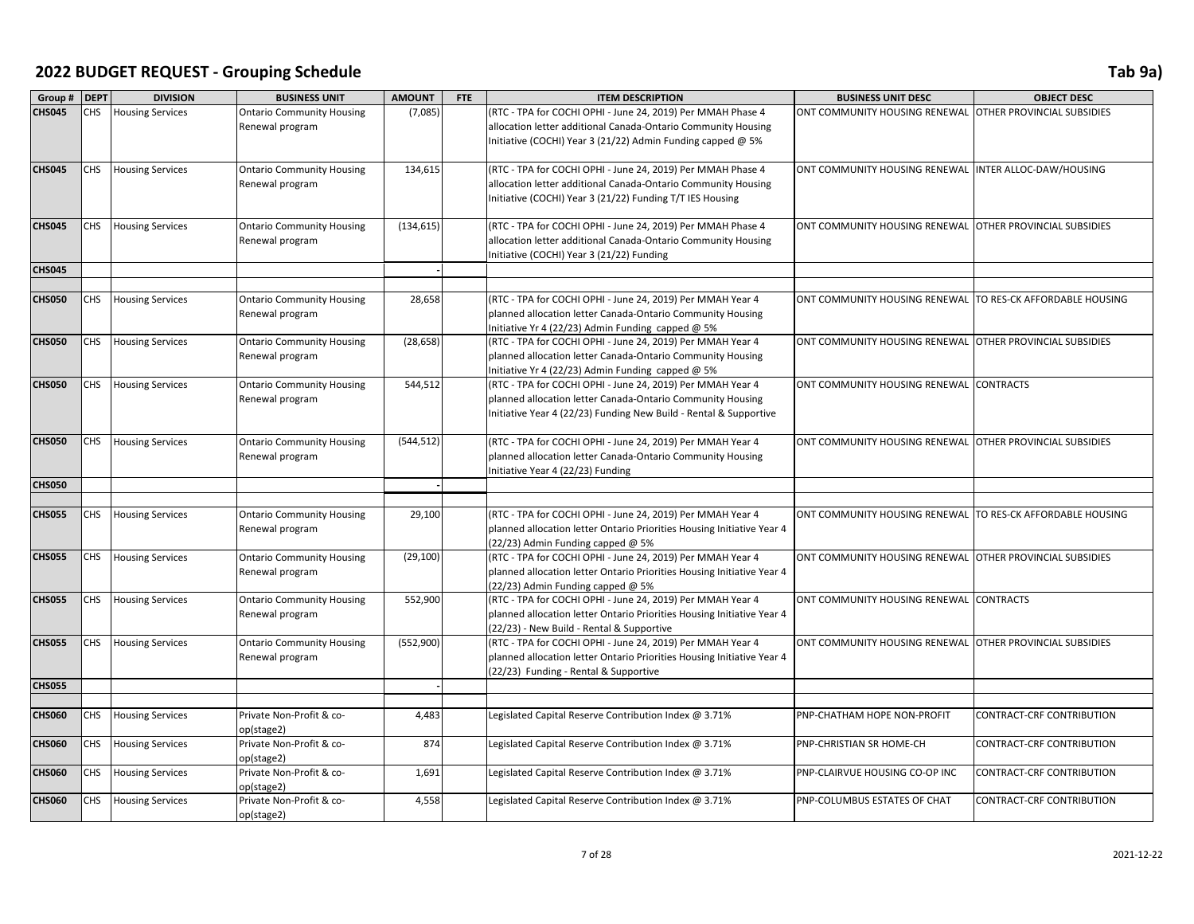| Group #       | <b>DEPT</b> | <b>DIVISION</b>         | <b>BUSINESS UNIT</b>                                | <b>AMOUNT</b> | <b>FTE</b> | <b>ITEM DESCRIPTION</b>                                                                                                              | <b>BUSINESS UNIT DESC</b>                                | <b>OBJECT DESC</b>                |
|---------------|-------------|-------------------------|-----------------------------------------------------|---------------|------------|--------------------------------------------------------------------------------------------------------------------------------------|----------------------------------------------------------|-----------------------------------|
| <b>CHS045</b> | <b>CHS</b>  | <b>Housing Services</b> | <b>Ontario Community Housing</b>                    | (7,085)       |            | (RTC - TPA for COCHI OPHI - June 24, 2019) Per MMAH Phase 4                                                                          | ONT COMMUNITY HOUSING RENEWAL                            | OTHER PROVINCIAL SUBSIDIES        |
|               |             |                         | Renewal program                                     |               |            | allocation letter additional Canada-Ontario Community Housing                                                                        |                                                          |                                   |
|               |             |                         |                                                     |               |            | Initiative (COCHI) Year 3 (21/22) Admin Funding capped @ 5%                                                                          |                                                          |                                   |
|               |             |                         |                                                     |               |            |                                                                                                                                      |                                                          |                                   |
| <b>CHS045</b> | <b>CHS</b>  | <b>Housing Services</b> | <b>Ontario Community Housing</b>                    | 134,615       |            | (RTC - TPA for COCHI OPHI - June 24, 2019) Per MMAH Phase 4                                                                          | ONT COMMUNITY HOUSING RENEWAL                            | INTER ALLOC-DAW/HOUSING           |
|               |             |                         | Renewal program                                     |               |            | allocation letter additional Canada-Ontario Community Housing                                                                        |                                                          |                                   |
|               |             |                         |                                                     |               |            | Initiative (COCHI) Year 3 (21/22) Funding T/T IES Housing                                                                            |                                                          |                                   |
|               |             |                         |                                                     |               |            |                                                                                                                                      |                                                          |                                   |
| <b>CHS045</b> | CHS         | <b>Housing Services</b> | <b>Ontario Community Housing</b>                    | (134, 615)    |            | (RTC - TPA for COCHI OPHI - June 24, 2019) Per MMAH Phase 4                                                                          | ONT COMMUNITY HOUSING RENEWAL                            | OTHER PROVINCIAL SUBSIDIES        |
|               |             |                         | Renewal program                                     |               |            | allocation letter additional Canada-Ontario Community Housing                                                                        |                                                          |                                   |
| <b>CHS045</b> |             |                         |                                                     |               |            | Initiative (COCHI) Year 3 (21/22) Funding                                                                                            |                                                          |                                   |
|               |             |                         |                                                     |               |            |                                                                                                                                      |                                                          |                                   |
| <b>CHS050</b> | <b>CHS</b>  | <b>Housing Services</b> | <b>Ontario Community Housing</b>                    | 28,658        |            | (RTC - TPA for COCHI OPHI - June 24, 2019) Per MMAH Year 4                                                                           | ONT COMMUNITY HOUSING RENEWAL                            | TO RES-CK AFFORDABLE HOUSING      |
|               |             |                         | Renewal program                                     |               |            | planned allocation letter Canada-Ontario Community Housing                                                                           |                                                          |                                   |
|               |             |                         |                                                     |               |            | Initiative Yr 4 (22/23) Admin Funding capped @ 5%                                                                                    |                                                          |                                   |
| <b>CHS050</b> | <b>CHS</b>  | <b>Housing Services</b> | <b>Ontario Community Housing</b>                    | (28, 658)     |            | (RTC - TPA for COCHI OPHI - June 24, 2019) Per MMAH Year 4                                                                           | ONT COMMUNITY HOUSING RENEWAL OTHER PROVINCIAL SUBSIDIES |                                   |
|               |             |                         | Renewal program                                     |               |            | planned allocation letter Canada-Ontario Community Housing                                                                           |                                                          |                                   |
|               |             |                         |                                                     |               |            | Initiative Yr 4 (22/23) Admin Funding capped @ 5%                                                                                    |                                                          |                                   |
| <b>CHS050</b> | <b>CHS</b>  | <b>Housing Services</b> | <b>Ontario Community Housing</b>                    | 544,512       |            | (RTC - TPA for COCHI OPHI - June 24, 2019) Per MMAH Year 4                                                                           | ONT COMMUNITY HOUSING RENEWAL                            | <b>CONTRACTS</b>                  |
|               |             |                         | Renewal program                                     |               |            | planned allocation letter Canada-Ontario Community Housing                                                                           |                                                          |                                   |
|               |             |                         |                                                     |               |            | Initiative Year 4 (22/23) Funding New Build - Rental & Supportive                                                                    |                                                          |                                   |
|               |             |                         |                                                     |               |            |                                                                                                                                      |                                                          |                                   |
| <b>CHS050</b> | <b>CHS</b>  | <b>Housing Services</b> | <b>Ontario Community Housing</b>                    | (544, 512)    |            | (RTC - TPA for COCHI OPHI - June 24, 2019) Per MMAH Year 4                                                                           | ONT COMMUNITY HOUSING RENEWAL                            | <b>OTHER PROVINCIAL SUBSIDIES</b> |
|               |             |                         | Renewal program                                     |               |            | planned allocation letter Canada-Ontario Community Housing                                                                           |                                                          |                                   |
|               |             |                         |                                                     |               |            | Initiative Year 4 (22/23) Funding                                                                                                    |                                                          |                                   |
| <b>CHS050</b> |             |                         |                                                     |               |            |                                                                                                                                      |                                                          |                                   |
|               |             |                         |                                                     |               |            |                                                                                                                                      |                                                          |                                   |
| <b>CHS055</b> | <b>CHS</b>  | <b>Housing Services</b> | <b>Ontario Community Housing</b><br>Renewal program | 29,100        |            | (RTC - TPA for COCHI OPHI - June 24, 2019) Per MMAH Year 4<br>planned allocation letter Ontario Priorities Housing Initiative Year 4 | ONT COMMUNITY HOUSING RENEWAL                            | TO RES-CK AFFORDABLE HOUSING      |
|               |             |                         |                                                     |               |            | (22/23) Admin Funding capped @ 5%                                                                                                    |                                                          |                                   |
| <b>CHS055</b> | CHS         | <b>Housing Services</b> | <b>Ontario Community Housing</b>                    | (29, 100)     |            | (RTC - TPA for COCHI OPHI - June 24, 2019) Per MMAH Year 4                                                                           | ONT COMMUNITY HOUSING RENEWAL                            | <b>OTHER PROVINCIAL SUBSIDIES</b> |
|               |             |                         | Renewal program                                     |               |            | planned allocation letter Ontario Priorities Housing Initiative Year 4                                                               |                                                          |                                   |
|               |             |                         |                                                     |               |            | (22/23) Admin Funding capped @ 5%                                                                                                    |                                                          |                                   |
| <b>CHS055</b> | <b>CHS</b>  | <b>Housing Services</b> | <b>Ontario Community Housing</b>                    | 552,900       |            | (RTC - TPA for COCHI OPHI - June 24, 2019) Per MMAH Year 4                                                                           | ONT COMMUNITY HOUSING RENEWAL                            | <b>CONTRACTS</b>                  |
|               |             |                         | Renewal program                                     |               |            | planned allocation letter Ontario Priorities Housing Initiative Year 4                                                               |                                                          |                                   |
|               |             |                         |                                                     |               |            | (22/23) - New Build - Rental & Supportive                                                                                            |                                                          |                                   |
| <b>CHS055</b> | CHS         | <b>Housing Services</b> | <b>Ontario Community Housing</b>                    | (552,900)     |            | (RTC - TPA for COCHI OPHI - June 24, 2019) Per MMAH Year 4                                                                           | ONT COMMUNITY HOUSING RENEWAL                            | OTHER PROVINCIAL SUBSIDIES        |
|               |             |                         | Renewal program                                     |               |            | planned allocation letter Ontario Priorities Housing Initiative Year 4                                                               |                                                          |                                   |
|               |             |                         |                                                     |               |            | (22/23) Funding - Rental & Supportive                                                                                                |                                                          |                                   |
| <b>CHS055</b> |             |                         |                                                     |               |            |                                                                                                                                      |                                                          |                                   |
|               |             |                         |                                                     |               |            |                                                                                                                                      |                                                          |                                   |
| <b>CHS060</b> | CHS         | <b>Housing Services</b> | Private Non-Profit & co-                            | 4,483         |            | Legislated Capital Reserve Contribution Index @ 3.71%                                                                                | PNP-CHATHAM HOPE NON-PROFIT                              | CONTRACT-CRF CONTRIBUTION         |
|               |             |                         | op(stage2)                                          |               |            |                                                                                                                                      |                                                          |                                   |
| <b>CHS060</b> | <b>CHS</b>  | <b>Housing Services</b> | Private Non-Profit & co-                            | 874           |            | Legislated Capital Reserve Contribution Index @ 3.71%                                                                                | PNP-CHRISTIAN SR HOME-CH                                 | CONTRACT-CRF CONTRIBUTION         |
| <b>CHS060</b> | <b>CHS</b>  | <b>Housing Services</b> | op(stage2)<br>Private Non-Profit & co-              | 1,691         |            | Legislated Capital Reserve Contribution Index @ 3.71%                                                                                | PNP-CLAIRVUE HOUSING CO-OP INC                           | <b>CONTRACT-CRF CONTRIBUTION</b>  |
|               |             |                         | op(stage2)                                          |               |            |                                                                                                                                      |                                                          |                                   |
| <b>CHS060</b> | <b>CHS</b>  | <b>Housing Services</b> | Private Non-Profit & co-                            | 4,558         |            | Legislated Capital Reserve Contribution Index @ 3.71%                                                                                | PNP-COLUMBUS ESTATES OF CHAT                             | CONTRACT-CRF CONTRIBUTION         |
|               |             |                         | op(stage2)                                          |               |            |                                                                                                                                      |                                                          |                                   |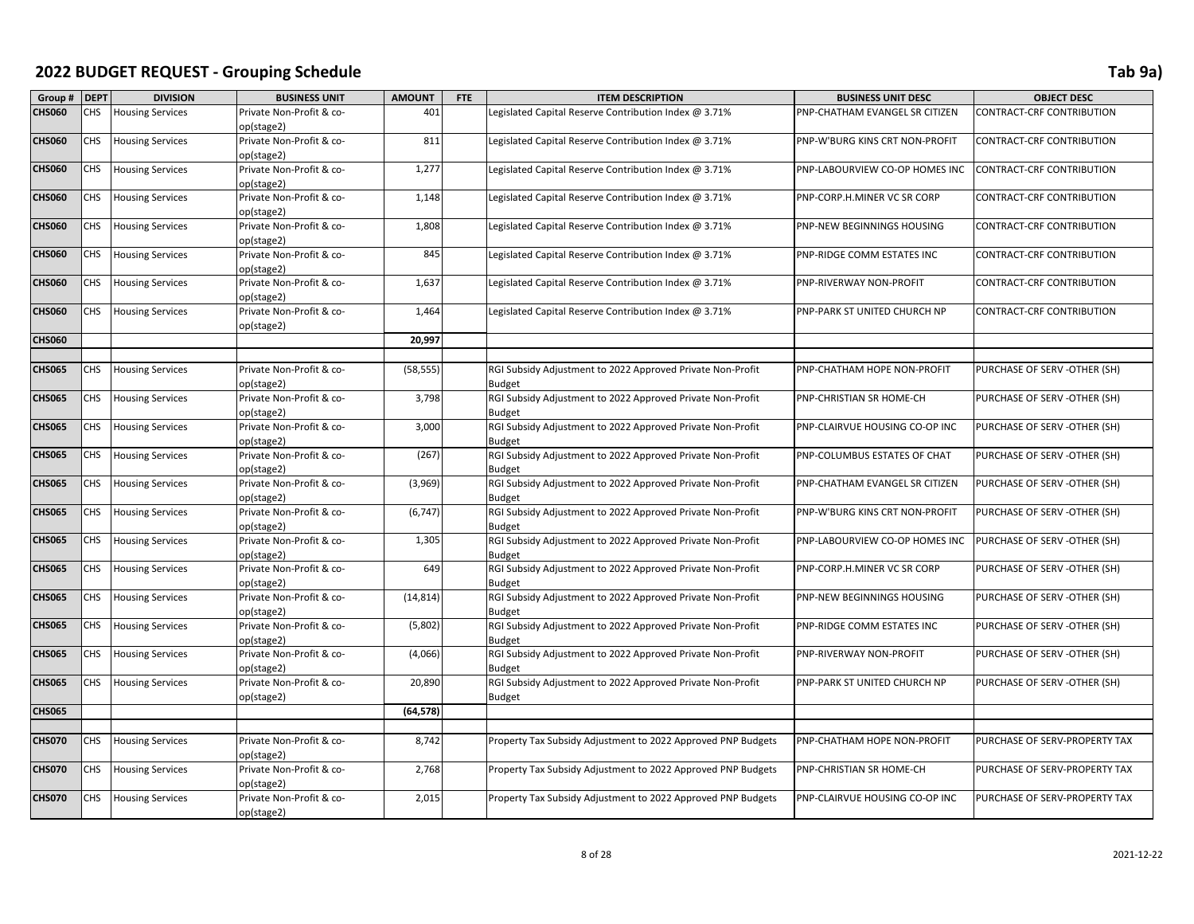| Group #       | <b>DEPT</b> | <b>DIVISION</b>         | <b>BUSINESS UNIT</b>                   | <b>AMOUNT</b> | FTE | <b>ITEM DESCRIPTION</b>                                                     | <b>BUSINESS UNIT DESC</b>      | <b>OBJECT DESC</b>            |
|---------------|-------------|-------------------------|----------------------------------------|---------------|-----|-----------------------------------------------------------------------------|--------------------------------|-------------------------------|
| <b>CHS060</b> | CHS         | <b>Housing Services</b> | Private Non-Profit & co-               | 401           |     | Legislated Capital Reserve Contribution Index @ 3.71%                       | PNP-CHATHAM EVANGEL SR CITIZEN | CONTRACT-CRF CONTRIBUTION     |
|               |             |                         | op(stage2)                             |               |     |                                                                             |                                |                               |
| <b>CHS060</b> | <b>CHS</b>  | <b>Housing Services</b> | Private Non-Profit & co-               | 811           |     | Legislated Capital Reserve Contribution Index @ 3.71%                       | PNP-W'BURG KINS CRT NON-PROFIT | CONTRACT-CRF CONTRIBUTION     |
|               |             |                         | op(stage2)                             |               |     |                                                                             |                                |                               |
| <b>CHS060</b> | <b>CHS</b>  | <b>Housing Services</b> | Private Non-Profit & co-               | 1,277         |     | Legislated Capital Reserve Contribution Index @ 3.71%                       | PNP-LABOURVIEW CO-OP HOMES INC | CONTRACT-CRF CONTRIBUTION     |
|               |             |                         | op(stage2)                             |               |     |                                                                             |                                |                               |
| <b>CHS060</b> | CHS         | <b>Housing Services</b> | Private Non-Profit & co-               | 1,148         |     | Legislated Capital Reserve Contribution Index @ 3.71%                       | PNP-CORP.H.MINER VC SR CORP    | CONTRACT-CRF CONTRIBUTION     |
|               |             |                         | op(stage2)                             |               |     |                                                                             |                                |                               |
| <b>CHS060</b> | CHS         | <b>Housing Services</b> | Private Non-Profit & co-               | 1,808         |     | Legislated Capital Reserve Contribution Index @ 3.71%                       | PNP-NEW BEGINNINGS HOUSING     | CONTRACT-CRF CONTRIBUTION     |
|               |             |                         | op(stage2)                             |               |     |                                                                             |                                |                               |
| <b>CHS060</b> | <b>CHS</b>  | <b>Housing Services</b> | Private Non-Profit & co-               | 845           |     | Legislated Capital Reserve Contribution Index @ 3.71%                       | PNP-RIDGE COMM ESTATES INC     | CONTRACT-CRF CONTRIBUTION     |
| <b>CHS060</b> | CHS         |                         | op(stage2)<br>Private Non-Profit & co- | 1,637         |     |                                                                             |                                |                               |
|               |             | <b>Housing Services</b> | op(stage2)                             |               |     | Legislated Capital Reserve Contribution Index @ 3.71%                       | PNP-RIVERWAY NON-PROFIT        | CONTRACT-CRF CONTRIBUTION     |
| <b>CHS060</b> | <b>CHS</b>  | <b>Housing Services</b> | Private Non-Profit & co-               | 1,464         |     | Legislated Capital Reserve Contribution Index @ 3.71%                       | PNP-PARK ST UNITED CHURCH NP   | CONTRACT-CRF CONTRIBUTION     |
|               |             |                         | op(stage2)                             |               |     |                                                                             |                                |                               |
| <b>CHS060</b> |             |                         |                                        | 20,997        |     |                                                                             |                                |                               |
|               |             |                         |                                        |               |     |                                                                             |                                |                               |
| <b>CHS065</b> | CHS         | <b>Housing Services</b> | Private Non-Profit & co-               | (58, 555)     |     | RGI Subsidy Adjustment to 2022 Approved Private Non-Profit                  | PNP-CHATHAM HOPE NON-PROFIT    | PURCHASE OF SERV -OTHER (SH)  |
|               |             |                         | op(stage2)                             |               |     | <b>Budget</b>                                                               |                                |                               |
| <b>CHS065</b> | <b>CHS</b>  | <b>Housing Services</b> | Private Non-Profit & co-               | 3,798         |     | RGI Subsidy Adjustment to 2022 Approved Private Non-Profit                  | PNP-CHRISTIAN SR HOME-CH       | PURCHASE OF SERV -OTHER (SH)  |
|               |             |                         | op(stage2)                             |               |     | <b>Budget</b>                                                               |                                |                               |
| <b>CHS065</b> | CHS         | <b>Housing Services</b> | Private Non-Profit & co-               | 3,000         |     | RGI Subsidy Adjustment to 2022 Approved Private Non-Profit                  | PNP-CLAIRVUE HOUSING CO-OP INC | PURCHASE OF SERV -OTHER (SH)  |
|               |             |                         | op(stage2)                             |               |     | <b>Budget</b>                                                               |                                |                               |
| <b>CHS065</b> | CHS         | <b>Housing Services</b> | Private Non-Profit & co-               | (267)         |     | RGI Subsidy Adjustment to 2022 Approved Private Non-Profit                  | PNP-COLUMBUS ESTATES OF CHAT   | PURCHASE OF SERV -OTHER (SH)  |
|               |             |                         | op(stage2)                             |               |     | <b>Budget</b>                                                               |                                |                               |
| <b>CHS065</b> | CHS         | <b>Housing Services</b> | Private Non-Profit & co-               | (3,969)       |     | RGI Subsidy Adjustment to 2022 Approved Private Non-Profit                  | PNP-CHATHAM EVANGEL SR CITIZEN | PURCHASE OF SERV -OTHER (SH)  |
|               |             |                         | op(stage2)                             |               |     | <b>Budget</b>                                                               |                                |                               |
| <b>CHS065</b> | CHS         | <b>Housing Services</b> | Private Non-Profit & co-               | (6, 747)      |     | RGI Subsidy Adjustment to 2022 Approved Private Non-Profit                  | PNP-W'BURG KINS CRT NON-PROFIT | PURCHASE OF SERV -OTHER (SH)  |
|               |             |                         | op(stage2)                             |               |     | Budget                                                                      |                                |                               |
| <b>CHS065</b> | CHS         | <b>Housing Services</b> | Private Non-Profit & co-               | 1,305         |     | RGI Subsidy Adjustment to 2022 Approved Private Non-Profit                  | PNP-LABOURVIEW CO-OP HOMES INC | PURCHASE OF SERV -OTHER (SH)  |
|               |             |                         | op(stage2)                             |               |     | <b>Budget</b>                                                               |                                |                               |
| <b>CHS065</b> | CHS         | <b>Housing Services</b> | Private Non-Profit & co-               | 649           |     | RGI Subsidy Adjustment to 2022 Approved Private Non-Profit                  | PNP-CORP.H.MINER VC SR CORP    | PURCHASE OF SERV -OTHER (SH)  |
| <b>CHS065</b> | CHS         | <b>Housing Services</b> | op(stage2)<br>Private Non-Profit & co- |               |     | <b>Budget</b><br>RGI Subsidy Adjustment to 2022 Approved Private Non-Profit | PNP-NEW BEGINNINGS HOUSING     | PURCHASE OF SERV -OTHER (SH)  |
|               |             |                         | op(stage2)                             | (14, 814)     |     | <b>Budget</b>                                                               |                                |                               |
| <b>CHS065</b> | CHS         | <b>Housing Services</b> | Private Non-Profit & co-               | (5,802)       |     | RGI Subsidy Adjustment to 2022 Approved Private Non-Profit                  | PNP-RIDGE COMM ESTATES INC     | PURCHASE OF SERV -OTHER (SH)  |
|               |             |                         | op(stage2)                             |               |     | <b>Budget</b>                                                               |                                |                               |
| <b>CHS065</b> | <b>CHS</b>  | <b>Housing Services</b> | Private Non-Profit & co-               | (4,066)       |     | RGI Subsidy Adjustment to 2022 Approved Private Non-Profit                  | PNP-RIVERWAY NON-PROFIT        | PURCHASE OF SERV -OTHER (SH)  |
|               |             |                         | op(stage2)                             |               |     | <b>Budget</b>                                                               |                                |                               |
| <b>CHS065</b> | CHS         | <b>Housing Services</b> | Private Non-Profit & co-               | 20,890        |     | RGI Subsidy Adjustment to 2022 Approved Private Non-Profit                  | PNP-PARK ST UNITED CHURCH NP   | PURCHASE OF SERV -OTHER (SH)  |
|               |             |                         | op(stage2)                             |               |     | <b>Budget</b>                                                               |                                |                               |
| <b>CHS065</b> |             |                         |                                        | (64, 578)     |     |                                                                             |                                |                               |
|               |             |                         |                                        |               |     |                                                                             |                                |                               |
| <b>CHS070</b> | CHS         | <b>Housing Services</b> | Private Non-Profit & co-               | 8,742         |     | Property Tax Subsidy Adjustment to 2022 Approved PNP Budgets                | PNP-CHATHAM HOPE NON-PROFIT    | PURCHASE OF SERV-PROPERTY TAX |
|               |             |                         | op(stage2)                             |               |     |                                                                             |                                |                               |
| <b>CHS070</b> | CHS         | <b>Housing Services</b> | Private Non-Profit & co-               | 2,768         |     | Property Tax Subsidy Adjustment to 2022 Approved PNP Budgets                | PNP-CHRISTIAN SR HOME-CH       | PURCHASE OF SERV-PROPERTY TAX |
|               |             |                         | op(stage2)                             |               |     |                                                                             |                                |                               |
| <b>CHS070</b> | <b>CHS</b>  | <b>Housing Services</b> | Private Non-Profit & co-               | 2,015         |     | Property Tax Subsidy Adjustment to 2022 Approved PNP Budgets                | PNP-CLAIRVUE HOUSING CO-OP INC | PURCHASE OF SERV-PROPERTY TAX |
|               |             |                         | op(stage2)                             |               |     |                                                                             |                                |                               |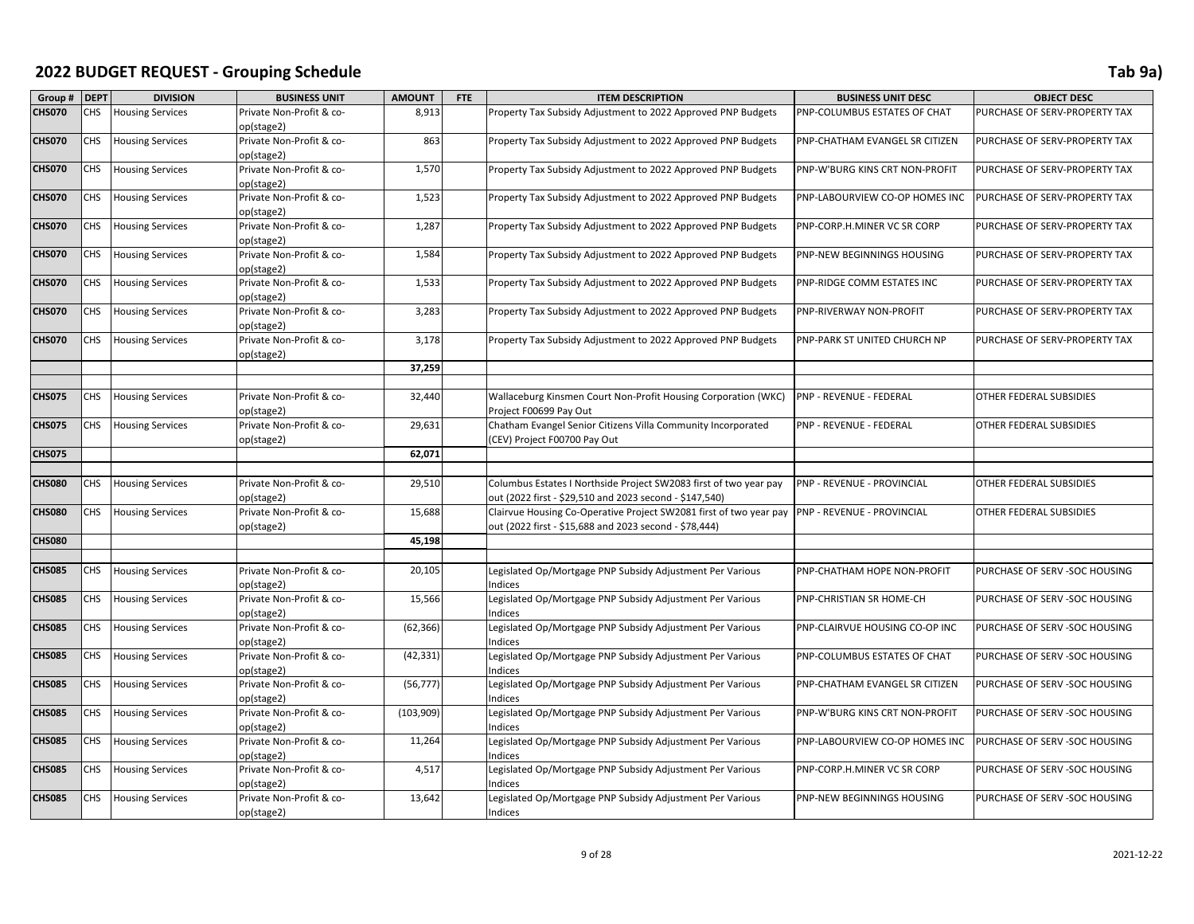| Group #       | <b>DEPT</b> | <b>DIVISION</b>         | <b>BUSINESS UNIT</b>                   | <b>AMOUNT</b> | <b>FTE</b> | <b>ITEM DESCRIPTION</b>                                                     | <b>BUSINESS UNIT DESC</b>      | <b>OBJECT DESC</b>             |
|---------------|-------------|-------------------------|----------------------------------------|---------------|------------|-----------------------------------------------------------------------------|--------------------------------|--------------------------------|
| <b>CHS070</b> | CHS         | <b>Housing Services</b> | Private Non-Profit & co-               | 8,913         |            | Property Tax Subsidy Adjustment to 2022 Approved PNP Budgets                | PNP-COLUMBUS ESTATES OF CHAT   | PURCHASE OF SERV-PROPERTY TAX  |
|               |             |                         | op(stage2)                             |               |            |                                                                             |                                |                                |
| <b>CHS070</b> | CHS         | <b>Housing Services</b> | Private Non-Profit & co-<br>op(stage2) | 863           |            | Property Tax Subsidy Adjustment to 2022 Approved PNP Budgets                | PNP-CHATHAM EVANGEL SR CITIZEN | PURCHASE OF SERV-PROPERTY TAX  |
| <b>CHS070</b> | CHS         | <b>Housing Services</b> | Private Non-Profit & co-               | 1,570         |            | Property Tax Subsidy Adjustment to 2022 Approved PNP Budgets                | PNP-W'BURG KINS CRT NON-PROFIT | PURCHASE OF SERV-PROPERTY TAX  |
|               |             |                         | op(stage2)                             |               |            |                                                                             |                                |                                |
| <b>CHS070</b> | <b>CHS</b>  | <b>Housing Services</b> | Private Non-Profit & co-               | 1,523         |            | Property Tax Subsidy Adjustment to 2022 Approved PNP Budgets                | PNP-LABOURVIEW CO-OP HOMES INC | PURCHASE OF SERV-PROPERTY TAX  |
|               |             |                         | op(stage2)                             |               |            |                                                                             |                                |                                |
| <b>CHS070</b> | CHS         | <b>Housing Services</b> | Private Non-Profit & co-               | 1,287         |            | Property Tax Subsidy Adjustment to 2022 Approved PNP Budgets                | PNP-CORP.H.MINER VC SR CORP    | PURCHASE OF SERV-PROPERTY TAX  |
|               |             |                         | op(stage2)                             |               |            |                                                                             |                                |                                |
| <b>CHS070</b> | CHS         | <b>Housing Services</b> | Private Non-Profit & co-               | 1,584         |            | Property Tax Subsidy Adjustment to 2022 Approved PNP Budgets                | PNP-NEW BEGINNINGS HOUSING     | PURCHASE OF SERV-PROPERTY TAX  |
|               |             |                         | op(stage2)                             |               |            |                                                                             |                                |                                |
| <b>CHS070</b> | CHS         | <b>Housing Services</b> | Private Non-Profit & co-               | 1,533         |            | Property Tax Subsidy Adjustment to 2022 Approved PNP Budgets                | PNP-RIDGE COMM ESTATES INC     | PURCHASE OF SERV-PROPERTY TAX  |
|               |             |                         | op(stage2)                             |               |            |                                                                             |                                |                                |
| <b>CHS070</b> | <b>CHS</b>  | <b>Housing Services</b> | Private Non-Profit & co-               | 3,283         |            | Property Tax Subsidy Adjustment to 2022 Approved PNP Budgets                | PNP-RIVERWAY NON-PROFIT        | PURCHASE OF SERV-PROPERTY TAX  |
|               |             |                         | op(stage2)                             |               |            |                                                                             |                                |                                |
| <b>CHS070</b> | <b>CHS</b>  | <b>Housing Services</b> | Private Non-Profit & co-               | 3,178         |            | Property Tax Subsidy Adjustment to 2022 Approved PNP Budgets                | PNP-PARK ST UNITED CHURCH NP   | PURCHASE OF SERV-PROPERTY TAX  |
|               |             |                         | op(stage2)                             |               |            |                                                                             |                                |                                |
|               |             |                         |                                        | 37,259        |            |                                                                             |                                |                                |
|               |             |                         |                                        |               |            |                                                                             |                                |                                |
| <b>CHS075</b> | CHS         | <b>Housing Services</b> | Private Non-Profit & co-               | 32,440        |            | Wallaceburg Kinsmen Court Non-Profit Housing Corporation (WKC)              | PNP - REVENUE - FEDERAL        | OTHER FEDERAL SUBSIDIES        |
|               |             |                         | op(stage2)                             |               |            | Project F00699 Pay Out                                                      |                                |                                |
| <b>CHS075</b> | CHS         | <b>Housing Services</b> | Private Non-Profit & co-               | 29,631        |            | Chatham Evangel Senior Citizens Villa Community Incorporated                | PNP - REVENUE - FEDERAL        | OTHER FEDERAL SUBSIDIES        |
|               |             |                         | op(stage2)                             |               |            | (CEV) Project F00700 Pay Out                                                |                                |                                |
| <b>CHS075</b> |             |                         |                                        | 62,071        |            |                                                                             |                                |                                |
|               |             |                         |                                        |               |            |                                                                             |                                |                                |
| <b>CHS080</b> | CHS         | <b>Housing Services</b> | Private Non-Profit & co-               | 29,510        |            | Columbus Estates I Northside Project SW2083 first of two year pay           | PNP - REVENUE - PROVINCIAL     | OTHER FEDERAL SUBSIDIES        |
|               |             |                         | op(stage2)                             |               |            | out (2022 first - \$29,510 and 2023 second - \$147,540)                     |                                |                                |
| <b>CHS080</b> | CHS.        | <b>Housing Services</b> | Private Non-Profit & co-               | 15,688        |            | Clairvue Housing Co-Operative Project SW2081 first of two year pay          | PNP - REVENUE - PROVINCIAL     | OTHER FEDERAL SUBSIDIES        |
|               |             |                         | op(stage2)                             |               |            | out (2022 first - \$15,688 and 2023 second - \$78,444)                      |                                |                                |
| <b>CHS080</b> |             |                         |                                        | 45,198        |            |                                                                             |                                |                                |
|               |             |                         |                                        |               |            |                                                                             |                                |                                |
| <b>CHS085</b> | CHS.        | <b>Housing Services</b> | Private Non-Profit & co-               | 20,105        |            | Legislated Op/Mortgage PNP Subsidy Adjustment Per Various                   | PNP-CHATHAM HOPE NON-PROFIT    | PURCHASE OF SERV -SOC HOUSING  |
|               |             |                         | op(stage2)                             |               |            | <b>Indices</b>                                                              |                                |                                |
| <b>CHS085</b> | CHS         | <b>Housing Services</b> | Private Non-Profit & co-               | 15,566        |            | Legislated Op/Mortgage PNP Subsidy Adjustment Per Various<br><b>Indices</b> | PNP-CHRISTIAN SR HOME-CH       | PURCHASE OF SERV -SOC HOUSING  |
| <b>CHS085</b> | CHS         | <b>Housing Services</b> | op(stage2)<br>Private Non-Profit & co- | (62, 366)     |            | Legislated Op/Mortgage PNP Subsidy Adjustment Per Various                   | PNP-CLAIRVUE HOUSING CO-OP INC | PURCHASE OF SERV - SOC HOUSING |
|               |             |                         | op(stage2)                             |               |            | Indices                                                                     |                                |                                |
| <b>CHS085</b> | <b>CHS</b>  | <b>Housing Services</b> | Private Non-Profit & co-               | (42, 331)     |            | Legislated Op/Mortgage PNP Subsidy Adjustment Per Various                   | PNP-COLUMBUS ESTATES OF CHAT   | PURCHASE OF SERV - SOC HOUSING |
|               |             |                         | op(stage2)                             |               |            | <b>Indices</b>                                                              |                                |                                |
| <b>CHS085</b> | CHS         | <b>Housing Services</b> | Private Non-Profit & co-               | (56, 777)     |            | Legislated Op/Mortgage PNP Subsidy Adjustment Per Various                   | PNP-CHATHAM EVANGEL SR CITIZEN | PURCHASE OF SERV -SOC HOUSING  |
|               |             |                         | op(stage2)                             |               |            | Indices                                                                     |                                |                                |
| <b>CHS085</b> | CHS         | <b>Housing Services</b> | Private Non-Profit & co-               | (103, 909)    |            | Legislated Op/Mortgage PNP Subsidy Adjustment Per Various                   | PNP-W'BURG KINS CRT NON-PROFIT | PURCHASE OF SERV -SOC HOUSING  |
|               |             |                         | op(stage2)                             |               |            | Indices                                                                     |                                |                                |
| <b>CHS085</b> | <b>CHS</b>  | <b>Housing Services</b> | Private Non-Profit & co-               | 11,264        |            | Legislated Op/Mortgage PNP Subsidy Adjustment Per Various                   | PNP-LABOURVIEW CO-OP HOMES INC | PURCHASE OF SERV -SOC HOUSING  |
|               |             |                         | op(stage2)                             |               |            | Indices                                                                     |                                |                                |
| <b>CHS085</b> | CHS         | <b>Housing Services</b> | Private Non-Profit & co-               | 4,517         |            | Legislated Op/Mortgage PNP Subsidy Adjustment Per Various                   | PNP-CORP.H.MINER VC SR CORP    | PURCHASE OF SERV -SOC HOUSING  |
|               |             |                         | op(stage2)                             |               |            | Indices                                                                     |                                |                                |
| <b>CHS085</b> | CHS         | <b>Housing Services</b> | Private Non-Profit & co-               | 13,642        |            | Legislated Op/Mortgage PNP Subsidy Adjustment Per Various                   | PNP-NEW BEGINNINGS HOUSING     | PURCHASE OF SERV -SOC HOUSING  |
|               |             |                         | op(stage2)                             |               |            | Indices                                                                     |                                |                                |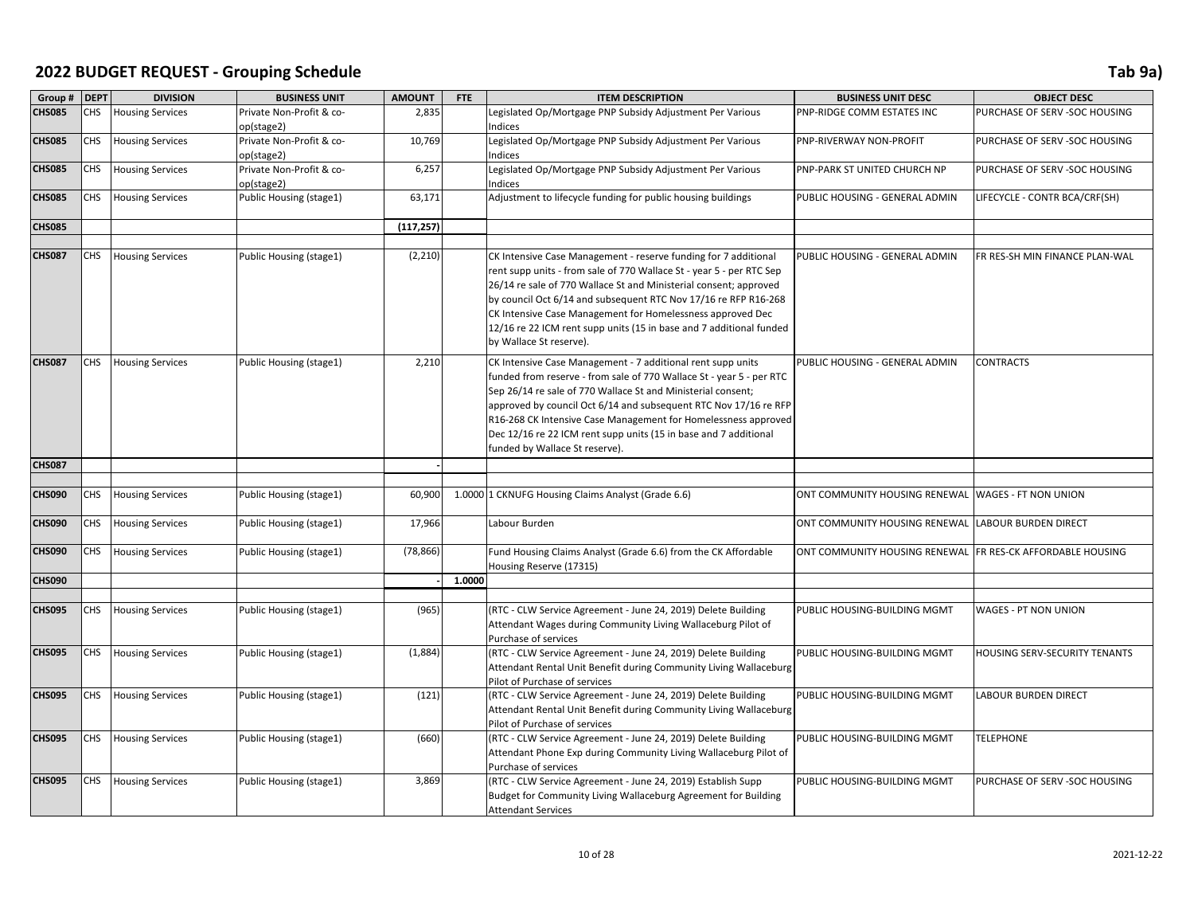| Group #       | <b>DEPT</b> | <b>DIVISION</b>         | <b>BUSINESS UNIT</b>                   | <b>AMOUNT</b> | <b>FTE</b> | <b>ITEM DESCRIPTION</b>                                                                                                                                                                                                                                                                                                                                                                                                                         | <b>BUSINESS UNIT DESC</b>      | <b>OBJECT DESC</b>             |
|---------------|-------------|-------------------------|----------------------------------------|---------------|------------|-------------------------------------------------------------------------------------------------------------------------------------------------------------------------------------------------------------------------------------------------------------------------------------------------------------------------------------------------------------------------------------------------------------------------------------------------|--------------------------------|--------------------------------|
| <b>CHS085</b> | CHS         | <b>Housing Services</b> | Private Non-Profit & co-<br>op(stage2) | 2,835         |            | Legislated Op/Mortgage PNP Subsidy Adjustment Per Various<br>Indices                                                                                                                                                                                                                                                                                                                                                                            | PNP-RIDGE COMM ESTATES INC     | PURCHASE OF SERV -SOC HOUSING  |
| <b>CHS085</b> | CHS         | <b>Housing Services</b> | Private Non-Profit & co-<br>op(stage2) | 10,769        |            | Legislated Op/Mortgage PNP Subsidy Adjustment Per Various<br>ndices                                                                                                                                                                                                                                                                                                                                                                             | PNP-RIVERWAY NON-PROFIT        | PURCHASE OF SERV -SOC HOUSING  |
| <b>CHS085</b> | CHS         | <b>Housing Services</b> | Private Non-Profit & co-<br>op(stage2) | 6,257         |            | Legislated Op/Mortgage PNP Subsidy Adjustment Per Various<br>ndices                                                                                                                                                                                                                                                                                                                                                                             | PNP-PARK ST UNITED CHURCH NP   | PURCHASE OF SERV -SOC HOUSING  |
| <b>CHS085</b> | CHS         | <b>Housing Services</b> | Public Housing (stage1)                | 63,171        |            | Adjustment to lifecycle funding for public housing buildings                                                                                                                                                                                                                                                                                                                                                                                    | PUBLIC HOUSING - GENERAL ADMIN | LIFECYCLE - CONTR BCA/CRF(SH)  |
| <b>CHS085</b> |             |                         |                                        | (117, 257)    |            |                                                                                                                                                                                                                                                                                                                                                                                                                                                 |                                |                                |
|               |             |                         |                                        |               |            |                                                                                                                                                                                                                                                                                                                                                                                                                                                 |                                |                                |
| <b>CHS087</b> | CHS         | <b>Housing Services</b> | Public Housing (stage1)                | (2, 210)      |            | CK Intensive Case Management - reserve funding for 7 additional<br>rent supp units - from sale of 770 Wallace St - year 5 - per RTC Sep<br>26/14 re sale of 770 Wallace St and Ministerial consent; approved<br>by council Oct 6/14 and subsequent RTC Nov 17/16 re RFP R16-268<br>CK Intensive Case Management for Homelessness approved Dec<br>12/16 re 22 ICM rent supp units (15 in base and 7 additional funded<br>by Wallace St reserve). | PUBLIC HOUSING - GENERAL ADMIN | FR RES-SH MIN FINANCE PLAN-WAL |
| <b>CHS087</b> | CHS         | <b>Housing Services</b> | Public Housing (stage1)                | 2,210         |            | CK Intensive Case Management - 7 additional rent supp units<br>funded from reserve - from sale of 770 Wallace St - year 5 - per RTC<br>Sep 26/14 re sale of 770 Wallace St and Ministerial consent;<br>approved by council Oct 6/14 and subsequent RTC Nov 17/16 re RFP<br>R16-268 CK Intensive Case Management for Homelessness approved<br>Dec 12/16 re 22 ICM rent supp units (15 in base and 7 additional<br>funded by Wallace St reserve). | PUBLIC HOUSING - GENERAL ADMIN | <b>CONTRACTS</b>               |
| <b>CHS087</b> |             |                         |                                        |               |            |                                                                                                                                                                                                                                                                                                                                                                                                                                                 |                                |                                |
|               |             |                         |                                        |               |            |                                                                                                                                                                                                                                                                                                                                                                                                                                                 |                                |                                |
| <b>CHS090</b> | CHS         | <b>Housing Services</b> | Public Housing (stage1)                | 60,900        |            | 1.0000 1 CKNUFG Housing Claims Analyst (Grade 6.6)                                                                                                                                                                                                                                                                                                                                                                                              | ONT COMMUNITY HOUSING RENEWAL  | <b>WAGES - FT NON UNION</b>    |
| <b>CHS090</b> | CHS         | <b>Housing Services</b> | Public Housing (stage1)                | 17,966        |            | Labour Burden                                                                                                                                                                                                                                                                                                                                                                                                                                   | ONT COMMUNITY HOUSING RENEWAL  | <b>LABOUR BURDEN DIRECT</b>    |
| <b>CHS090</b> | CHS         | <b>Housing Services</b> | Public Housing (stage1)                | (78, 866)     |            | Fund Housing Claims Analyst (Grade 6.6) from the CK Affordable<br>Housing Reserve (17315)                                                                                                                                                                                                                                                                                                                                                       | ONT COMMUNITY HOUSING RENEWAL  | FR RES-CK AFFORDABLE HOUSING   |
| <b>CHS090</b> |             |                         |                                        |               | 1.0000     |                                                                                                                                                                                                                                                                                                                                                                                                                                                 |                                |                                |
| <b>CHS095</b> | CHS         | <b>Housing Services</b> | Public Housing (stage1)                | (965)         |            | (RTC - CLW Service Agreement - June 24, 2019) Delete Building<br>Attendant Wages during Community Living Wallaceburg Pilot of<br>Purchase of services                                                                                                                                                                                                                                                                                           | PUBLIC HOUSING-BUILDING MGMT   | WAGES - PT NON UNION           |
| <b>CHS095</b> | CHS         | <b>Housing Services</b> | Public Housing (stage1)                | (1,884)       |            | (RTC - CLW Service Agreement - June 24, 2019) Delete Building<br>Attendant Rental Unit Benefit during Community Living Wallaceburg<br>Pilot of Purchase of services                                                                                                                                                                                                                                                                             | PUBLIC HOUSING-BUILDING MGMT   | HOUSING SERV-SECURITY TENANTS  |
| <b>CHS095</b> | CHS         | <b>Housing Services</b> | Public Housing (stage1)                | (121)         |            | (RTC - CLW Service Agreement - June 24, 2019) Delete Building<br>Attendant Rental Unit Benefit during Community Living Wallaceburg<br>Pilot of Purchase of services                                                                                                                                                                                                                                                                             | PUBLIC HOUSING-BUILDING MGMT   | <b>LABOUR BURDEN DIRECT</b>    |
| <b>CHS095</b> | CHS         | <b>Housing Services</b> | Public Housing (stage1)                | (660)         |            | (RTC - CLW Service Agreement - June 24, 2019) Delete Building<br>Attendant Phone Exp during Community Living Wallaceburg Pilot of<br>Purchase of services                                                                                                                                                                                                                                                                                       | PUBLIC HOUSING-BUILDING MGMT   | <b>TELEPHONE</b>               |
| <b>CHS095</b> | CHS         | <b>Housing Services</b> | Public Housing (stage1)                | 3,869         |            | (RTC - CLW Service Agreement - June 24, 2019) Establish Supp<br>Budget for Community Living Wallaceburg Agreement for Building<br><b>Attendant Services</b>                                                                                                                                                                                                                                                                                     | PUBLIC HOUSING-BUILDING MGMT   | PURCHASE OF SERV -SOC HOUSING  |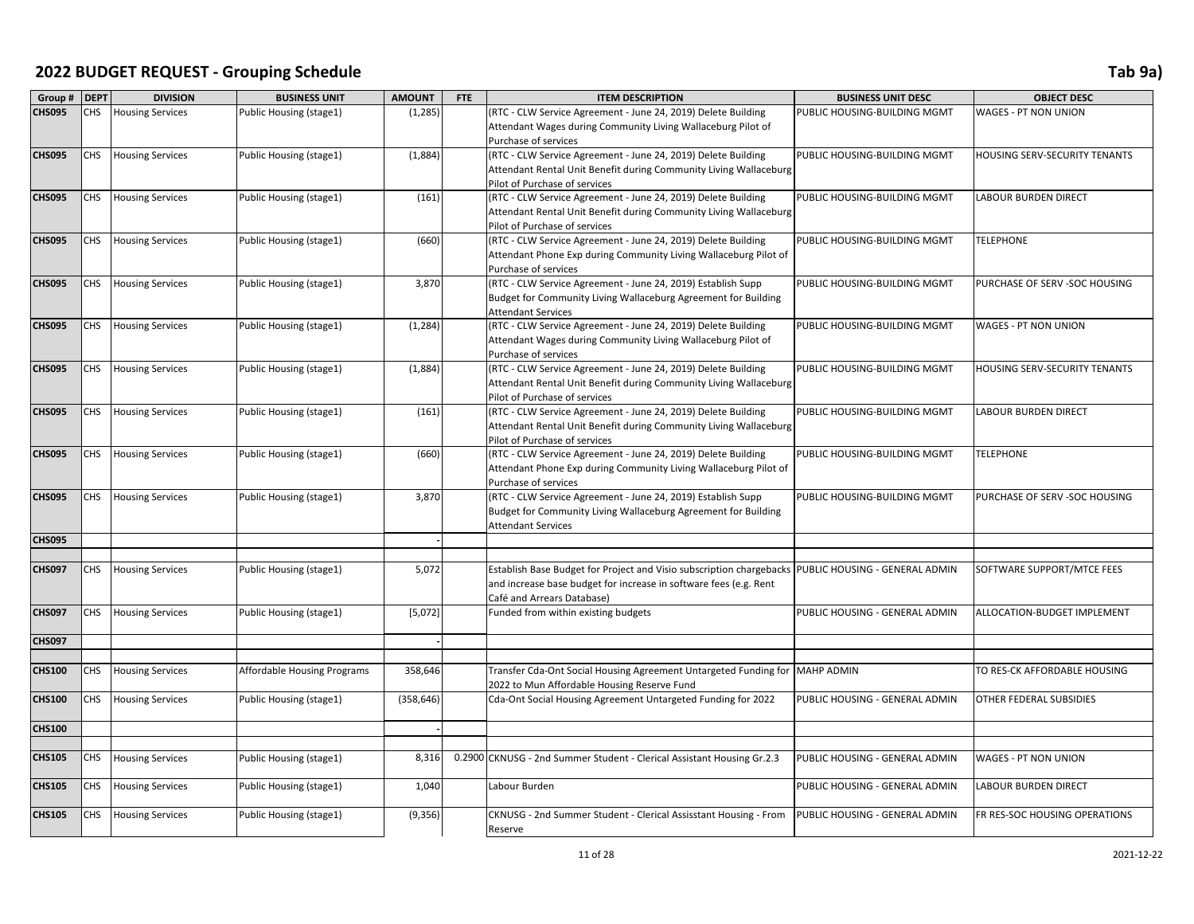| Group#        | <b>DEPT</b> | <b>DIVISION</b>         | <b>BUSINESS UNIT</b>        | <b>AMOUNT</b> | FTE | <b>ITEM DESCRIPTION</b>                                                                                                                                                                                | <b>BUSINESS UNIT DESC</b>      | <b>OBJECT DESC</b>                   |
|---------------|-------------|-------------------------|-----------------------------|---------------|-----|--------------------------------------------------------------------------------------------------------------------------------------------------------------------------------------------------------|--------------------------------|--------------------------------------|
| <b>CHS095</b> | CHS         | <b>Housing Services</b> | Public Housing (stage1)     | (1, 285)      |     | (RTC - CLW Service Agreement - June 24, 2019) Delete Building<br>Attendant Wages during Community Living Wallaceburg Pilot of                                                                          | PUBLIC HOUSING-BUILDING MGMT   | WAGES - PT NON UNION                 |
| <b>CHS095</b> | CHS         | <b>Housing Services</b> | Public Housing (stage1)     | (1,884)       |     | Purchase of services<br>(RTC - CLW Service Agreement - June 24, 2019) Delete Building<br>Attendant Rental Unit Benefit during Community Living Wallaceburg<br>Pilot of Purchase of services            | PUBLIC HOUSING-BUILDING MGMT   | <b>HOUSING SERV-SECURITY TENANTS</b> |
| <b>CHS095</b> | CHS.        | <b>Housing Services</b> | Public Housing (stage1)     | (161)         |     | (RTC - CLW Service Agreement - June 24, 2019) Delete Building<br>Attendant Rental Unit Benefit during Community Living Wallaceburg<br>Pilot of Purchase of services                                    | PUBLIC HOUSING-BUILDING MGMT   | <b>LABOUR BURDEN DIRECT</b>          |
| <b>CHS095</b> | CHS         | <b>Housing Services</b> | Public Housing (stage1)     | (660)         |     | (RTC - CLW Service Agreement - June 24, 2019) Delete Building<br>Attendant Phone Exp during Community Living Wallaceburg Pilot of<br>Purchase of services                                              | PUBLIC HOUSING-BUILDING MGMT   | <b>TELEPHONE</b>                     |
| <b>CHS095</b> | CHS         | <b>Housing Services</b> | Public Housing (stage1)     | 3,870         |     | (RTC - CLW Service Agreement - June 24, 2019) Establish Supp<br>Budget for Community Living Wallaceburg Agreement for Building<br><b>Attendant Services</b>                                            | PUBLIC HOUSING-BUILDING MGMT   | PURCHASE OF SERV - SOC HOUSING       |
| <b>CHS095</b> | CHS         | <b>Housing Services</b> | Public Housing (stage1)     | (1, 284)      |     | (RTC - CLW Service Agreement - June 24, 2019) Delete Building<br>Attendant Wages during Community Living Wallaceburg Pilot of<br>Purchase of services                                                  | PUBLIC HOUSING-BUILDING MGMT   | <b>WAGES - PT NON UNION</b>          |
| <b>CHS095</b> | CHS         | <b>Housing Services</b> | Public Housing (stage1)     | (1,884)       |     | (RTC - CLW Service Agreement - June 24, 2019) Delete Building<br>Attendant Rental Unit Benefit during Community Living Wallaceburg<br>Pilot of Purchase of services                                    | PUBLIC HOUSING-BUILDING MGMT   | HOUSING SERV-SECURITY TENANTS        |
| <b>CHS095</b> | CHS         | <b>Housing Services</b> | Public Housing (stage1)     | (161)         |     | (RTC - CLW Service Agreement - June 24, 2019) Delete Building<br>Attendant Rental Unit Benefit during Community Living Wallaceburg<br>Pilot of Purchase of services                                    | PUBLIC HOUSING-BUILDING MGMT   | LABOUR BURDEN DIRECT                 |
| <b>CHS095</b> | CHS         | <b>Housing Services</b> | Public Housing (stage1)     | (660)         |     | (RTC - CLW Service Agreement - June 24, 2019) Delete Building<br>Attendant Phone Exp during Community Living Wallaceburg Pilot of<br>Purchase of services                                              | PUBLIC HOUSING-BUILDING MGMT   | <b>TELEPHONE</b>                     |
| <b>CHS095</b> | CHS.        | <b>Housing Services</b> | Public Housing (stage1)     | 3,870         |     | (RTC - CLW Service Agreement - June 24, 2019) Establish Supp<br>Budget for Community Living Wallaceburg Agreement for Building<br><b>Attendant Services</b>                                            | PUBLIC HOUSING-BUILDING MGMT   | PURCHASE OF SERV - SOC HOUSING       |
| <b>CHS095</b> |             |                         |                             |               |     |                                                                                                                                                                                                        |                                |                                      |
| <b>CHS097</b> | CHS         | <b>Housing Services</b> | Public Housing (stage1)     | 5,072         |     | Establish Base Budget for Project and Visio subscription chargebacks PUBLIC HOUSING - GENERAL ADMIN<br>and increase base budget for increase in software fees (e.g. Rent<br>Café and Arrears Database) |                                | SOFTWARE SUPPORT/MTCE FEES           |
| <b>CHS097</b> | CHS         | <b>Housing Services</b> | Public Housing (stage1)     | [5,072]       |     | Funded from within existing budgets                                                                                                                                                                    | PUBLIC HOUSING - GENERAL ADMIN | ALLOCATION-BUDGET IMPLEMENT          |
| <b>CHS097</b> |             |                         |                             |               |     |                                                                                                                                                                                                        |                                |                                      |
| <b>CHS100</b> | CHS         | <b>Housing Services</b> | Affordable Housing Programs | 358,646       |     | Transfer Cda-Ont Social Housing Agreement Untargeted Funding for<br>2022 to Mun Affordable Housing Reserve Fund                                                                                        | <b>MAHP ADMIN</b>              | TO RES-CK AFFORDABLE HOUSING         |
| <b>CHS100</b> | CHS         | <b>Housing Services</b> | Public Housing (stage1)     | (358, 646)    |     | Cda-Ont Social Housing Agreement Untargeted Funding for 2022                                                                                                                                           | PUBLIC HOUSING - GENERAL ADMIN | OTHER FEDERAL SUBSIDIES              |
| <b>CHS100</b> |             |                         |                             |               |     |                                                                                                                                                                                                        |                                |                                      |
| <b>CHS105</b> | CHS         | <b>Housing Services</b> | Public Housing (stage1)     | 8,316         |     | 0.2900 CKNUSG - 2nd Summer Student - Clerical Assistant Housing Gr.2.3                                                                                                                                 | PUBLIC HOUSING - GENERAL ADMIN | WAGES - PT NON UNION                 |
| <b>CHS105</b> | CHS.        | <b>Housing Services</b> | Public Housing (stage1)     | 1,040         |     | Labour Burden                                                                                                                                                                                          | PUBLIC HOUSING - GENERAL ADMIN | <b>LABOUR BURDEN DIRECT</b>          |
| <b>CHS105</b> | CHS         | <b>Housing Services</b> | Public Housing (stage1)     | (9, 356)      |     | CKNUSG - 2nd Summer Student - Clerical Assisstant Housing - From<br>Reserve                                                                                                                            | PUBLIC HOUSING - GENERAL ADMIN | FR RES-SOC HOUSING OPERATIONS        |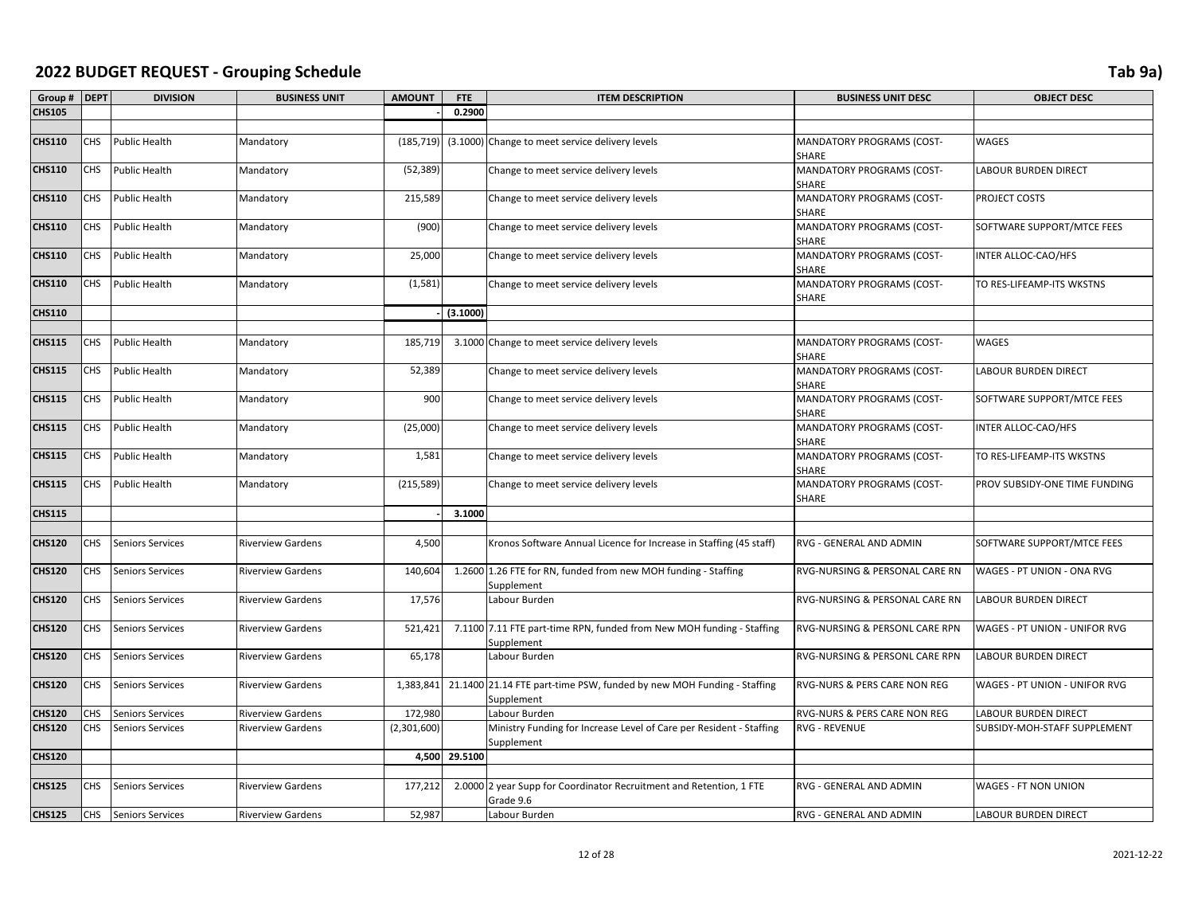| Group #       | <b>DEPT</b> | <b>DIVISION</b>         | <b>BUSINESS UNIT</b>     | <b>AMOUNT</b> | FTE           | <b>ITEM DESCRIPTION</b>                                                                       | <b>BUSINESS UNIT DESC</b>                 | <b>OBJECT DESC</b>            |
|---------------|-------------|-------------------------|--------------------------|---------------|---------------|-----------------------------------------------------------------------------------------------|-------------------------------------------|-------------------------------|
| <b>CHS105</b> |             |                         |                          |               | 0.2900        |                                                                                               |                                           |                               |
|               |             |                         |                          |               |               |                                                                                               |                                           |                               |
| <b>CHS110</b> | <b>CHS</b>  | <b>Public Health</b>    | Mandatory                | (185, 719)    |               | (3.1000) Change to meet service delivery levels                                               | MANDATORY PROGRAMS (COST-<br>SHARE        | WAGES                         |
| <b>CHS110</b> | <b>CHS</b>  | Public Health           | Mandatory                | (52, 389)     |               | Change to meet service delivery levels                                                        | MANDATORY PROGRAMS (COST-<br>SHARE        | LABOUR BURDEN DIRECT          |
| <b>CHS110</b> | CHS         | Public Health           | Mandatory                | 215,589       |               | Change to meet service delivery levels                                                        | MANDATORY PROGRAMS (COST-<br>SHARE        | PROJECT COSTS                 |
| <b>CHS110</b> | CHS         | Public Health           | Mandatory                | (900)         |               | Change to meet service delivery levels                                                        | MANDATORY PROGRAMS (COST-<br>SHARE        | SOFTWARE SUPPORT/MTCE FEES    |
| <b>CHS110</b> | <b>CHS</b>  | Public Health           | Mandatory                | 25,000        |               | Change to meet service delivery levels                                                        | MANDATORY PROGRAMS (COST-<br><b>SHARE</b> | INTER ALLOC-CAO/HFS           |
| <b>CHS110</b> | <b>CHS</b>  | Public Health           | Mandatory                | (1, 581)      |               | Change to meet service delivery levels                                                        | MANDATORY PROGRAMS (COST-<br>SHARE        | TO RES-LIFEAMP-ITS WKSTNS     |
| <b>CHS110</b> |             |                         |                          |               | (3.1000)      |                                                                                               |                                           |                               |
|               |             |                         |                          |               |               |                                                                                               |                                           |                               |
| <b>CHS115</b> | CHS         | Public Health           | Mandatory                | 185,719       |               | 3.1000 Change to meet service delivery levels                                                 | MANDATORY PROGRAMS (COST-<br>SHARE        | WAGES                         |
| <b>CHS115</b> | <b>CHS</b>  | Public Health           | Mandatory                | 52,389        |               | Change to meet service delivery levels                                                        | MANDATORY PROGRAMS (COST-<br>SHARE        | LABOUR BURDEN DIRECT          |
| <b>CHS115</b> | <b>CHS</b>  | Public Health           | Mandatory                | 900           |               | Change to meet service delivery levels                                                        | MANDATORY PROGRAMS (COST-<br>SHARE        | SOFTWARE SUPPORT/MTCE FEES    |
| <b>CHS115</b> | CHS         | <b>Public Health</b>    | Mandatory                | (25,000)      |               | Change to meet service delivery levels                                                        | MANDATORY PROGRAMS (COST-<br>SHARE        | INTER ALLOC-CAO/HFS           |
| <b>CHS115</b> | <b>CHS</b>  | <b>Public Health</b>    | Mandatory                | 1,581         |               | Change to meet service delivery levels                                                        | MANDATORY PROGRAMS (COST-<br>SHARE        | TO RES-LIFEAMP-ITS WKSTNS     |
| <b>CHS115</b> | <b>CHS</b>  | Public Health           | Mandatory                | (215, 589)    |               | Change to meet service delivery levels                                                        | MANDATORY PROGRAMS (COST-<br>SHARE        | PROV SUBSIDY-ONE TIME FUNDING |
| <b>CHS115</b> |             |                         |                          |               | 3.1000        |                                                                                               |                                           |                               |
|               |             |                         |                          |               |               |                                                                                               |                                           |                               |
| <b>CHS120</b> | CHS         | Seniors Services        | <b>Riverview Gardens</b> | 4,500         |               | Kronos Software Annual Licence for Increase in Staffing (45 staff)                            | RVG - GENERAL AND ADMIN                   | SOFTWARE SUPPORT/MTCE FEES    |
| <b>CHS120</b> | <b>CHS</b>  | Seniors Services        | <b>Riverview Gardens</b> | 140,604       |               | 1.2600 1.26 FTE for RN, funded from new MOH funding - Staffing<br>Supplement                  | RVG-NURSING & PERSONAL CARE RN            | WAGES - PT UNION - ONA RVG    |
| <b>CHS120</b> | CHS         | Seniors Services        | <b>Riverview Gardens</b> | 17,576        |               | Labour Burden                                                                                 | RVG-NURSING & PERSONAL CARE RN            | <b>LABOUR BURDEN DIRECT</b>   |
| <b>CHS120</b> | CHS         | Seniors Services        | <b>Riverview Gardens</b> | 521,421       |               | 7.1100 7.11 FTE part-time RPN, funded from New MOH funding - Staffing<br>Supplement           | RVG-NURSING & PERSONL CARE RPN            | WAGES - PT UNION - UNIFOR RVG |
| <b>CHS120</b> | CHS         | Seniors Services        | <b>Riverview Gardens</b> | 65,178        |               | Labour Burden                                                                                 | RVG-NURSING & PERSONL CARE RPN            | <b>LABOUR BURDEN DIRECT</b>   |
| <b>CHS120</b> | <b>CHS</b>  | Seniors Services        | <b>Riverview Gardens</b> |               |               | 1,383,841 21.1400 21.14 FTE part-time PSW, funded by new MOH Funding - Staffing<br>Supplement | RVG-NURS & PERS CARE NON REG              | WAGES - PT UNION - UNIFOR RVG |
| <b>CHS120</b> | CHS         | Seniors Services        | <b>Riverview Gardens</b> | 172,980       |               | Labour Burden                                                                                 | RVG-NURS & PERS CARE NON REG              | LABOUR BURDEN DIRECT          |
| <b>CHS120</b> | <b>CHS</b>  | Seniors Services        | <b>Riverview Gardens</b> | (2,301,600)   |               | Ministry Funding for Increase Level of Care per Resident - Staffing<br>Supplement             | <b>RVG - REVENUE</b>                      | SUBSIDY-MOH-STAFF SUPPLEMENT  |
| <b>CHS120</b> |             |                         |                          |               | 4,500 29.5100 |                                                                                               |                                           |                               |
|               |             |                         |                          |               |               |                                                                                               |                                           |                               |
| <b>CHS125</b> | <b>CHS</b>  | Seniors Services        | <b>Riverview Gardens</b> | 177,212       |               | 2.0000 2 year Supp for Coordinator Recruitment and Retention, 1 FTE<br>Grade 9.6              | RVG - GENERAL AND ADMIN                   | WAGES - FT NON UNION          |
| <b>CHS125</b> | <b>CHS</b>  | <b>Seniors Services</b> | <b>Riverview Gardens</b> | 52,987        |               | Labour Burden                                                                                 | RVG - GENERAL AND ADMIN                   | <b>LABOUR BURDEN DIRECT</b>   |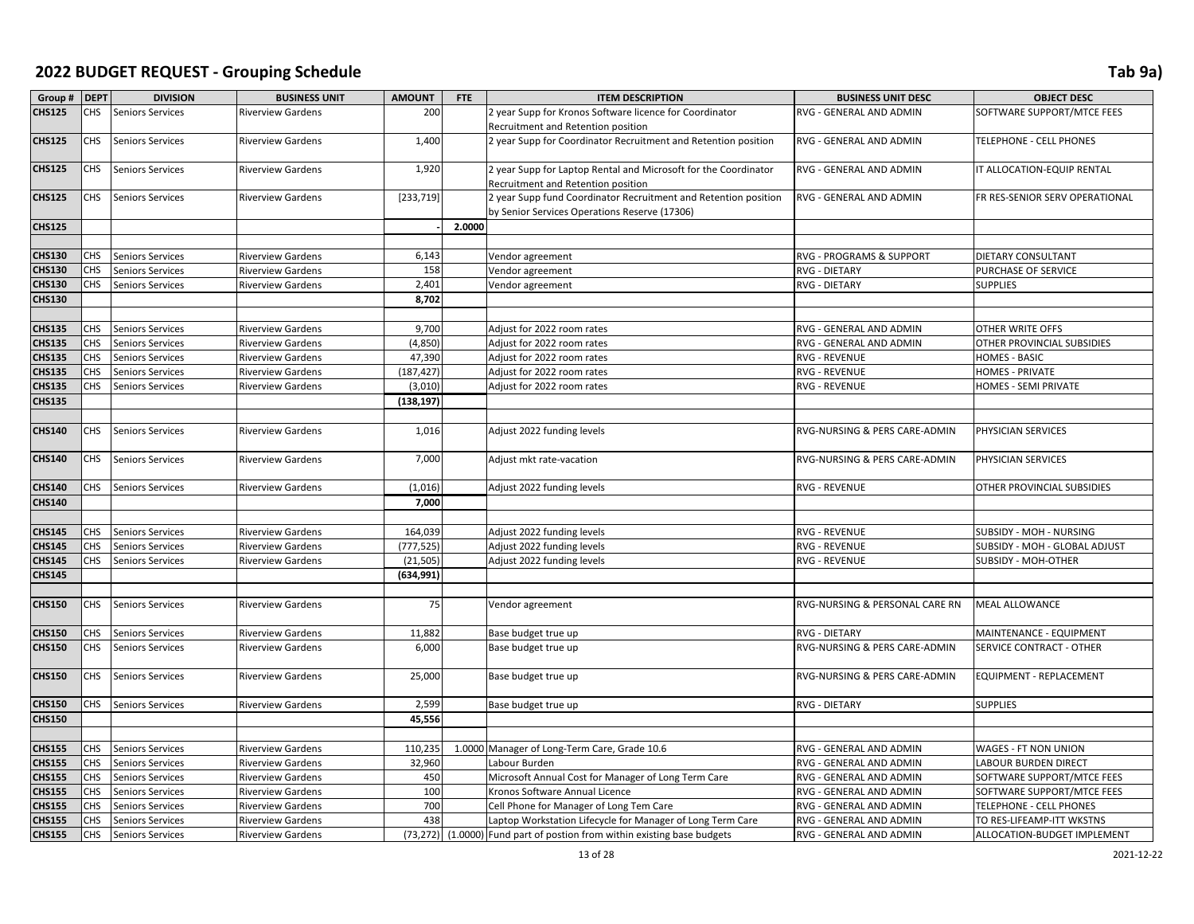| Group #       | <b>DEPT</b> | <b>DIVISION</b>         | <b>BUSINESS UNIT</b>     | <b>AMOUNT</b> | FTE    | <b>ITEM DESCRIPTION</b>                                                                                          | <b>BUSINESS UNIT DESC</b>      | <b>OBJECT DESC</b>              |
|---------------|-------------|-------------------------|--------------------------|---------------|--------|------------------------------------------------------------------------------------------------------------------|--------------------------------|---------------------------------|
| <b>CHS125</b> | CHS         | Seniors Services        | <b>Riverview Gardens</b> | 200           |        | 2 year Supp for Kronos Software licence for Coordinator                                                          | RVG - GENERAL AND ADMIN        | SOFTWARE SUPPORT/MTCE FEES      |
|               |             |                         |                          |               |        | Recruitment and Retention position                                                                               |                                |                                 |
| <b>CHS125</b> | CHS         | Seniors Services        | <b>Riverview Gardens</b> | 1,400         |        | 2 year Supp for Coordinator Recruitment and Retention position                                                   | RVG - GENERAL AND ADMIN        | TELEPHONE - CELL PHONES         |
| <b>CHS125</b> | CHS         | Seniors Services        | <b>Riverview Gardens</b> | 1,920         |        | 2 year Supp for Laptop Rental and Microsoft for the Coordinator<br>Recruitment and Retention position            | RVG - GENERAL AND ADMIN        | IT ALLOCATION-EQUIP RENTAL      |
| <b>CHS125</b> | CHS         | Seniors Services        | <b>Riverview Gardens</b> | [233, 719]    |        | 2 year Supp fund Coordinator Recruitment and Retention position<br>by Senior Services Operations Reserve (17306) | RVG - GENERAL AND ADMIN        | FR RES-SENIOR SERV OPERATIONAL  |
| <b>CHS125</b> |             |                         |                          |               | 2.0000 |                                                                                                                  |                                |                                 |
|               |             |                         |                          |               |        |                                                                                                                  |                                |                                 |
| <b>CHS130</b> | CHS         | Seniors Services        | <b>Riverview Gardens</b> | 6,143         |        | Vendor agreement                                                                                                 | RVG - PROGRAMS & SUPPORT       | DIETARY CONSULTANT              |
| <b>CHS130</b> | CHS         | Seniors Services        | <b>Riverview Gardens</b> | 158           |        | Vendor agreement                                                                                                 | <b>RVG - DIETARY</b>           | PURCHASE OF SERVICE             |
| <b>CHS130</b> | CHS         | Seniors Services        | <b>Riverview Gardens</b> | 2,401         |        | Vendor agreement                                                                                                 | RVG - DIETARY                  | <b>SUPPLIES</b>                 |
| <b>CHS130</b> |             |                         |                          | 8,702         |        |                                                                                                                  |                                |                                 |
|               |             |                         |                          |               |        |                                                                                                                  |                                |                                 |
| <b>CHS135</b> | CHS         | Seniors Services        | <b>Riverview Gardens</b> | 9,700         |        | Adjust for 2022 room rates                                                                                       | RVG - GENERAL AND ADMIN        | OTHER WRITE OFFS                |
| <b>CHS135</b> | CHS         | Seniors Services        | <b>Riverview Gardens</b> | (4, 850)      |        | Adjust for 2022 room rates                                                                                       | RVG - GENERAL AND ADMIN        | OTHER PROVINCIAL SUBSIDIES      |
| <b>CHS135</b> | CHS         | Seniors Services        | <b>Riverview Gardens</b> | 47,390        |        | Adjust for 2022 room rates                                                                                       | <b>RVG - REVENUE</b>           | <b>HOMES - BASIC</b>            |
| <b>CHS135</b> | CHS         | Seniors Services        | <b>Riverview Gardens</b> | (187, 427)    |        | Adjust for 2022 room rates                                                                                       | <b>RVG - REVENUE</b>           | <b>HOMES - PRIVATE</b>          |
| <b>CHS135</b> | CHS         | Seniors Services        | <b>Riverview Gardens</b> | (3,010)       |        | Adjust for 2022 room rates                                                                                       | <b>RVG - REVENUE</b>           | HOMES - SEMI PRIVATE            |
| <b>CHS135</b> |             |                         |                          | (138, 197)    |        |                                                                                                                  |                                |                                 |
|               |             |                         |                          |               |        |                                                                                                                  |                                |                                 |
| <b>CHS140</b> | CHS         | Seniors Services        | <b>Riverview Gardens</b> | 1,016         |        | Adjust 2022 funding levels                                                                                       | RVG-NURSING & PERS CARE-ADMIN  | PHYSICIAN SERVICES              |
| <b>CHS140</b> | CHS         | Seniors Services        | <b>Riverview Gardens</b> | 7,000         |        | Adjust mkt rate-vacation                                                                                         | RVG-NURSING & PERS CARE-ADMIN  | PHYSICIAN SERVICES              |
| <b>CHS140</b> | CHS         | Seniors Services        | <b>Riverview Gardens</b> | (1,016)       |        | Adjust 2022 funding levels                                                                                       | <b>RVG - REVENUE</b>           | OTHER PROVINCIAL SUBSIDIES      |
| <b>CHS140</b> |             |                         |                          | 7,000         |        |                                                                                                                  |                                |                                 |
|               |             |                         |                          |               |        |                                                                                                                  |                                |                                 |
| <b>CHS145</b> | CHS.        | Seniors Services        | <b>Riverview Gardens</b> | 164,039       |        | Adjust 2022 funding levels                                                                                       | <b>RVG - REVENUE</b>           | SUBSIDY - MOH - NURSING         |
| <b>CHS145</b> | CHS         | Seniors Services        | <b>Riverview Gardens</b> | (777, 525)    |        | Adjust 2022 funding levels                                                                                       | <b>RVG - REVENUE</b>           | SUBSIDY - MOH - GLOBAL ADJUST   |
| <b>CHS145</b> | CHS         | Seniors Services        | <b>Riverview Gardens</b> | (21, 505)     |        | Adjust 2022 funding levels                                                                                       | <b>RVG - REVENUE</b>           | SUBSIDY - MOH-OTHER             |
| <b>CHS145</b> |             |                         |                          | (634,991)     |        |                                                                                                                  |                                |                                 |
|               |             |                         |                          |               |        |                                                                                                                  |                                |                                 |
| <b>CHS150</b> | CHS         | Seniors Services        | <b>Riverview Gardens</b> | 75            |        | Vendor agreement                                                                                                 | RVG-NURSING & PERSONAL CARE RN | <b>MEAL ALLOWANCE</b>           |
| <b>CHS150</b> | CHS         | Seniors Services        | <b>Riverview Gardens</b> | 11,882        |        | Base budget true up                                                                                              | <b>RVG - DIETARY</b>           | MAINTENANCE - EQUIPMENT         |
| <b>CHS150</b> | CHS         | Seniors Services        | <b>Riverview Gardens</b> | 6,000         |        | Base budget true up                                                                                              | RVG-NURSING & PERS CARE-ADMIN  | <b>SERVICE CONTRACT - OTHER</b> |
| <b>CHS150</b> | CHS         | Seniors Services        | <b>Riverview Gardens</b> | 25,000        |        | Base budget true up                                                                                              | RVG-NURSING & PERS CARE-ADMIN  | EQUIPMENT - REPLACEMENT         |
| <b>CHS150</b> | CHS         | Seniors Services        | <b>Riverview Gardens</b> | 2,599         |        | Base budget true up                                                                                              | <b>RVG - DIETARY</b>           | <b>SUPPLIES</b>                 |
| <b>CHS150</b> |             |                         |                          | 45,556        |        |                                                                                                                  |                                |                                 |
|               |             |                         |                          |               |        |                                                                                                                  |                                |                                 |
| <b>CHS155</b> | CHS         | <b>Seniors Services</b> | <b>Riverview Gardens</b> | 110,235       |        | 1.0000 Manager of Long-Term Care, Grade 10.6                                                                     | RVG - GENERAL AND ADMIN        | WAGES - FT NON UNION            |
| <b>CHS155</b> | CHS         | Seniors Services        | <b>Riverview Gardens</b> | 32,960        |        | Labour Burden                                                                                                    | RVG - GENERAL AND ADMIN        | <b>LABOUR BURDEN DIRECT</b>     |
| <b>CHS155</b> | CHS         | Seniors Services        | <b>Riverview Gardens</b> | 450           |        | Microsoft Annual Cost for Manager of Long Term Care                                                              | RVG - GENERAL AND ADMIN        | SOFTWARE SUPPORT/MTCE FEES      |
| <b>CHS155</b> | CHS         | Seniors Services        | <b>Riverview Gardens</b> | 100           |        | Kronos Software Annual Licence                                                                                   | RVG - GENERAL AND ADMIN        | SOFTWARE SUPPORT/MTCE FEES      |
| <b>CHS155</b> | CHS         | Seniors Services        | <b>Riverview Gardens</b> | 700           |        | Cell Phone for Manager of Long Tem Care                                                                          | RVG - GENERAL AND ADMIN        | TELEPHONE - CELL PHONES         |
| <b>CHS155</b> | CHS         | Seniors Services        | <b>Riverview Gardens</b> | 438           |        | Laptop Workstation Lifecycle for Manager of Long Term Care                                                       | RVG - GENERAL AND ADMIN        | TO RES-LIFEAMP-ITT WKSTNS       |
| <b>CHS155</b> | CHS         | <b>Seniors Services</b> | <b>Riverview Gardens</b> |               |        | (73,272) (1.0000) Fund part of postion from within existing base budgets                                         | RVG - GENERAL AND ADMIN        | ALLOCATION-BUDGET IMPLEMENT     |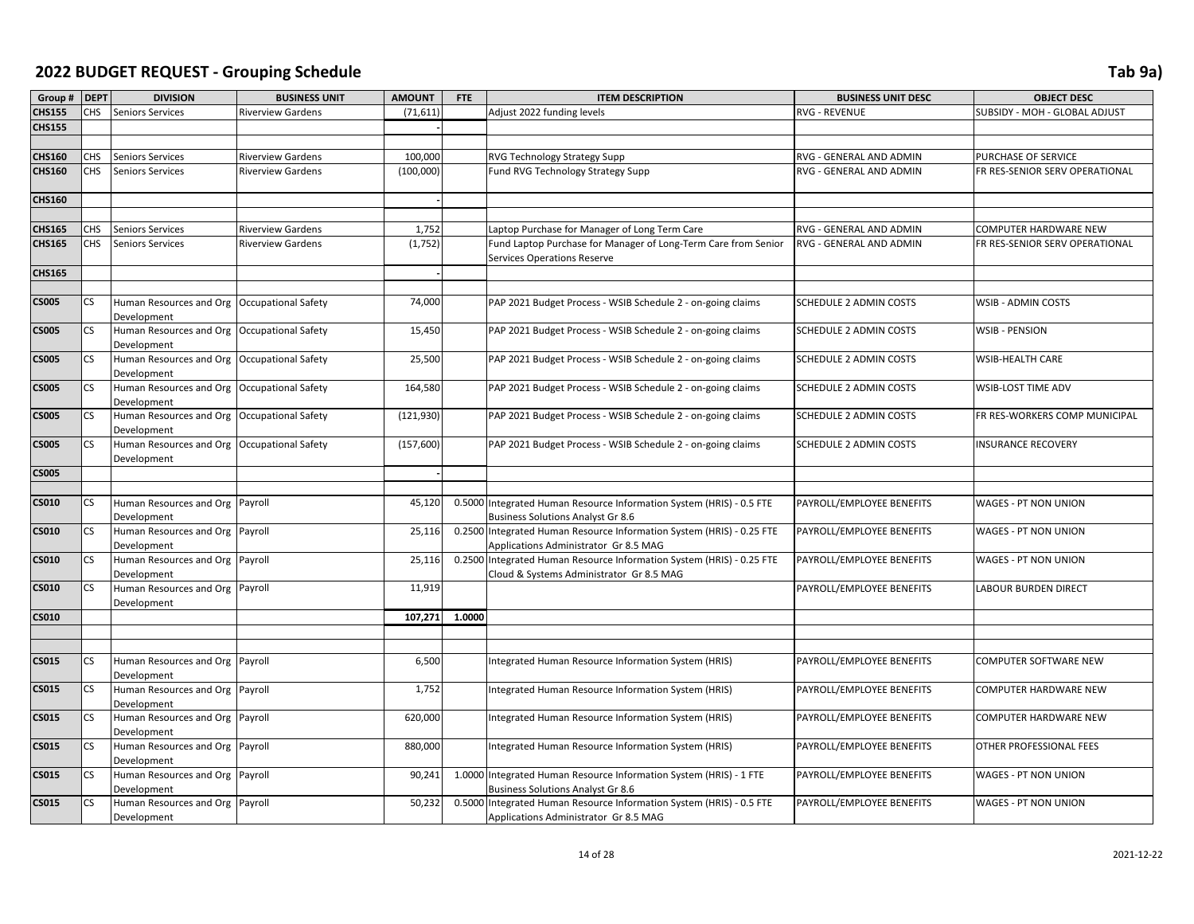| Group #       | <b>DEPT</b> | <b>DIVISION</b>                                            | <b>BUSINESS UNIT</b>     | <b>AMOUNT</b> | FTE    | <b>ITEM DESCRIPTION</b>                                                                                           | <b>BUSINESS UNIT DESC</b>     | <b>OBJECT DESC</b>             |
|---------------|-------------|------------------------------------------------------------|--------------------------|---------------|--------|-------------------------------------------------------------------------------------------------------------------|-------------------------------|--------------------------------|
| <b>CHS155</b> | <b>CHS</b>  | <b>Seniors Services</b>                                    | <b>Riverview Gardens</b> | (71, 611)     |        | Adjust 2022 funding levels                                                                                        | RVG - REVENUE                 | SUBSIDY - MOH - GLOBAL ADJUST  |
| <b>CHS155</b> |             |                                                            |                          |               |        |                                                                                                                   |                               |                                |
|               |             |                                                            |                          |               |        |                                                                                                                   |                               |                                |
| <b>CHS160</b> | <b>CHS</b>  | <b>Seniors Services</b>                                    | <b>Riverview Gardens</b> | 100,000       |        | RVG Technology Strategy Supp                                                                                      | RVG - GENERAL AND ADMIN       | PURCHASE OF SERVICE            |
| <b>CHS160</b> | <b>CHS</b>  | Seniors Services                                           | <b>Riverview Gardens</b> | (100,000)     |        | Fund RVG Technology Strategy Supp                                                                                 | RVG - GENERAL AND ADMIN       | FR RES-SENIOR SERV OPERATIONAL |
| <b>CHS160</b> |             |                                                            |                          |               |        |                                                                                                                   |                               |                                |
|               |             |                                                            |                          |               |        |                                                                                                                   |                               |                                |
| <b>CHS165</b> | CHS         | <b>Seniors Services</b>                                    | <b>Riverview Gardens</b> | 1,752         |        | Laptop Purchase for Manager of Long Term Care                                                                     | RVG - GENERAL AND ADMIN       | COMPUTER HARDWARE NEW          |
| <b>CHS165</b> | <b>CHS</b>  | <b>Seniors Services</b>                                    | <b>Riverview Gardens</b> | (1,752)       |        | Fund Laptop Purchase for Manager of Long-Term Care from Senior<br><b>Services Operations Reserve</b>              | RVG - GENERAL AND ADMIN       | FR RES-SENIOR SERV OPERATIONAL |
| <b>CHS165</b> |             |                                                            |                          |               |        |                                                                                                                   |                               |                                |
|               |             |                                                            |                          |               |        |                                                                                                                   |                               |                                |
| <b>CS005</b>  | <b>CS</b>   | Human Resources and Org Occupational Safety<br>Development |                          | 74,000        |        | PAP 2021 Budget Process - WSIB Schedule 2 - on-going claims                                                       | SCHEDULE 2 ADMIN COSTS        | WSIB - ADMIN COSTS             |
| <b>CS005</b>  | <b>CS</b>   | Human Resources and Org Occupational Safety<br>Development |                          | 15,450        |        | PAP 2021 Budget Process - WSIB Schedule 2 - on-going claims                                                       | <b>SCHEDULE 2 ADMIN COSTS</b> | <b>WSIB - PENSION</b>          |
| <b>CS005</b>  | <b>CS</b>   | Human Resources and Org Occupational Safety<br>Development |                          | 25,500        |        | PAP 2021 Budget Process - WSIB Schedule 2 - on-going claims                                                       | <b>SCHEDULE 2 ADMIN COSTS</b> | WSIB-HEALTH CARE               |
| <b>CS005</b>  | <b>CS</b>   | Human Resources and Org Occupational Safety<br>Development |                          | 164,580       |        | PAP 2021 Budget Process - WSIB Schedule 2 - on-going claims                                                       | SCHEDULE 2 ADMIN COSTS        | WSIB-LOST TIME ADV             |
| <b>CS005</b>  | <b>CS</b>   | Human Resources and Org Occupational Safety<br>Development |                          | (121, 930)    |        | PAP 2021 Budget Process - WSIB Schedule 2 - on-going claims                                                       | SCHEDULE 2 ADMIN COSTS        | FR RES-WORKERS COMP MUNICIPAL  |
| <b>CS005</b>  | <b>CS</b>   | Human Resources and Org Occupational Safety<br>Development |                          | (157,600)     |        | PAP 2021 Budget Process - WSIB Schedule 2 - on-going claims                                                       | <b>SCHEDULE 2 ADMIN COSTS</b> | <b>INSURANCE RECOVERY</b>      |
| <b>CS005</b>  |             |                                                            |                          |               |        |                                                                                                                   |                               |                                |
|               |             |                                                            |                          |               |        |                                                                                                                   |                               |                                |
| <b>CS010</b>  | <b>CS</b>   | Human Resources and Org Payroll<br>Development             |                          | 45,120        |        | 0.5000 Integrated Human Resource Information System (HRIS) - 0.5 FTE<br><b>Business Solutions Analyst Gr 8.6</b>  | PAYROLL/EMPLOYEE BENEFITS     | WAGES - PT NON UNION           |
| <b>CS010</b>  | <b>CS</b>   | Human Resources and Org Payroll<br>Development             |                          | 25,116        |        | 0.2500 Integrated Human Resource Information System (HRIS) - 0.25 FTE<br>Applications Administrator Gr 8.5 MAG    | PAYROLL/EMPLOYEE BENEFITS     | WAGES - PT NON UNION           |
| <b>CS010</b>  | <b>CS</b>   | Human Resources and Org Payroll<br>Development             |                          | 25,116        |        | 0.2500 Integrated Human Resource Information System (HRIS) - 0.25 FTE<br>Cloud & Systems Administrator Gr 8.5 MAG | PAYROLL/EMPLOYEE BENEFITS     | WAGES - PT NON UNION           |
| <b>CS010</b>  | lcs         | Human Resources and Org Payroll<br>Development             |                          | 11,919        |        |                                                                                                                   | PAYROLL/EMPLOYEE BENEFITS     | <b>LABOUR BURDEN DIRECT</b>    |
| <b>CS010</b>  |             |                                                            |                          | 107,271       | 1.0000 |                                                                                                                   |                               |                                |
|               |             |                                                            |                          |               |        |                                                                                                                   |                               |                                |
|               |             |                                                            |                          |               |        |                                                                                                                   |                               |                                |
| <b>CS015</b>  | CS          | Human Resources and Org Payroll<br>Development             |                          | 6,500         |        | Integrated Human Resource Information System (HRIS)                                                               | PAYROLL/EMPLOYEE BENEFITS     | COMPUTER SOFTWARE NEW          |
| <b>CS015</b>  | <b>CS</b>   | Human Resources and Org Payroll<br>Development             |                          | 1,752         |        | Integrated Human Resource Information System (HRIS)                                                               | PAYROLL/EMPLOYEE BENEFITS     | COMPUTER HARDWARE NEW          |
| <b>CS015</b>  | <b>CS</b>   | Human Resources and Org Payroll<br>Development             |                          | 620,000       |        | Integrated Human Resource Information System (HRIS)                                                               | PAYROLL/EMPLOYEE BENEFITS     | COMPUTER HARDWARE NEW          |
| <b>CS015</b>  | <b>CS</b>   | Human Resources and Org Payroll<br>Development             |                          | 880,000       |        | Integrated Human Resource Information System (HRIS)                                                               | PAYROLL/EMPLOYEE BENEFITS     | OTHER PROFESSIONAL FEES        |
| <b>CS015</b>  | <b>CS</b>   | Human Resources and Org Payroll<br>Development             |                          | 90,241        |        | 1.0000 Integrated Human Resource Information System (HRIS) - 1 FTE<br><b>Business Solutions Analyst Gr 8.6</b>    | PAYROLL/EMPLOYEE BENEFITS     | WAGES - PT NON UNION           |
| <b>CS015</b>  | <b>CS</b>   | Human Resources and Org Payroll<br>Development             |                          | 50,232        |        | 0.5000 Integrated Human Resource Information System (HRIS) - 0.5 FTE<br>Applications Administrator Gr 8.5 MAG     | PAYROLL/EMPLOYEE BENEFITS     | WAGES - PT NON UNION           |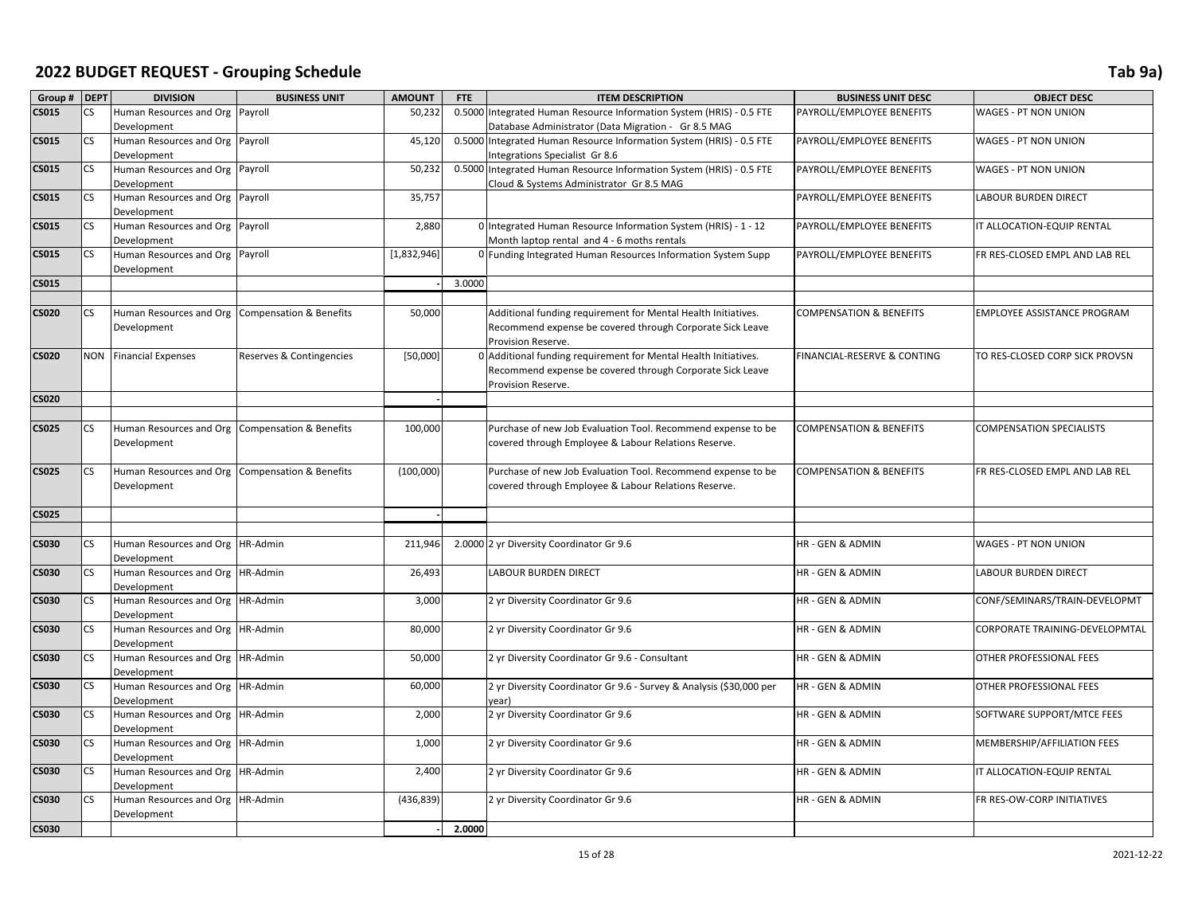| Group # DEPT |                          | <b>DIVISION</b>                                 | <b>BUSINESS UNIT</b>     | <b>AMOUNT</b> | <b>FTE</b> | <b>ITEM DESCRIPTION</b>                                              | <b>BUSINESS UNIT DESC</b>          | <b>OBJECT DESC</b>                 |
|--------------|--------------------------|-------------------------------------------------|--------------------------|---------------|------------|----------------------------------------------------------------------|------------------------------------|------------------------------------|
| <b>CS015</b> | <b>CS</b>                | Human Resources and Org Payroll                 |                          | 50,232        | 0.5000     | Integrated Human Resource Information System (HRIS) - 0.5 FTE        | PAYROLL/EMPLOYEE BENEFITS          | WAGES - PT NON UNION               |
|              |                          | Development                                     |                          |               |            | Database Administrator (Data Migration - Gr 8.5 MAG                  |                                    |                                    |
| <b>CS015</b> | CS                       | Human Resources and Org Payroll                 |                          | 45,120        |            | 0.5000 Integrated Human Resource Information System (HRIS) - 0.5 FTE | PAYROLL/EMPLOYEE BENEFITS          | WAGES - PT NON UNION               |
|              |                          | Development                                     |                          |               |            | Integrations Specialist Gr 8.6                                       |                                    |                                    |
| <b>CS015</b> | <b>CS</b>                | Human Resources and Org Payroll                 |                          | 50,232        |            | 0.5000 Integrated Human Resource Information System (HRIS) - 0.5 FTE | PAYROLL/EMPLOYEE BENEFITS          | WAGES - PT NON UNION               |
|              |                          | Development                                     |                          |               |            | Cloud & Systems Administrator Gr 8.5 MAG                             |                                    |                                    |
| <b>CS015</b> | CS                       | Human Resources and Org Payroll                 |                          | 35,757        |            |                                                                      | PAYROLL/EMPLOYEE BENEFITS          | LABOUR BURDEN DIRECT               |
|              |                          | Development                                     |                          |               |            |                                                                      |                                    |                                    |
| <b>CS015</b> | <b>CS</b>                | Human Resources and Org Payroll                 |                          | 2,880         |            | 0 Integrated Human Resource Information System (HRIS) - 1 - 12       | PAYROLL/EMPLOYEE BENEFITS          | IT ALLOCATION-EQUIP RENTAL         |
|              |                          | Development                                     |                          |               |            | Month laptop rental and 4 - 6 moths rentals                          |                                    |                                    |
| <b>CS015</b> | <b>CS</b>                | Human Resources and Org Payroll                 |                          | [1,832,946]   |            | 0 Funding Integrated Human Resources Information System Supp         | PAYROLL/EMPLOYEE BENEFITS          | FR RES-CLOSED EMPL AND LAB REL     |
|              |                          | Development                                     |                          |               |            |                                                                      |                                    |                                    |
| <b>CS015</b> |                          |                                                 |                          |               | 3.0000     |                                                                      |                                    |                                    |
|              |                          |                                                 |                          |               |            |                                                                      |                                    |                                    |
| <b>CS020</b> | CS                       | Human Resources and Org Compensation & Benefits |                          | 50,000        |            | Additional funding requirement for Mental Health Initiatives.        | COMPENSATION & BENEFITS            | <b>EMPLOYEE ASSISTANCE PROGRAM</b> |
|              |                          | Development                                     |                          |               |            | Recommend expense be covered through Corporate Sick Leave            |                                    |                                    |
|              |                          |                                                 |                          |               |            | Provision Reserve.                                                   |                                    |                                    |
| <b>CS020</b> |                          | <b>NON</b> Financial Expenses                   | Reserves & Contingencies | [50,000]      |            | 0 Additional funding requirement for Mental Health Initiatives.      | FINANCIAL-RESERVE & CONTING        | TO RES-CLOSED CORP SICK PROVSN     |
|              |                          |                                                 |                          |               |            | Recommend expense be covered through Corporate Sick Leave            |                                    |                                    |
|              |                          |                                                 |                          |               |            | Provision Reserve.                                                   |                                    |                                    |
| <b>CS020</b> |                          |                                                 |                          |               |            |                                                                      |                                    |                                    |
|              |                          |                                                 |                          |               |            |                                                                      |                                    |                                    |
| <b>CS025</b> | <b>CS</b>                | Human Resources and Org Compensation & Benefits |                          | 100,000       |            | Purchase of new Job Evaluation Tool. Recommend expense to be         | <b>COMPENSATION &amp; BENEFITS</b> | <b>COMPENSATION SPECIALISTS</b>    |
|              |                          | Development                                     |                          |               |            | covered through Employee & Labour Relations Reserve.                 |                                    |                                    |
|              |                          |                                                 |                          |               |            |                                                                      |                                    |                                    |
| <b>CS025</b> | CS                       | Human Resources and Org Compensation & Benefits |                          | (100,000)     |            | Purchase of new Job Evaluation Tool. Recommend expense to be         | <b>COMPENSATION &amp; BENEFITS</b> | FR RES-CLOSED EMPL AND LAB REL     |
|              |                          | Development                                     |                          |               |            | covered through Employee & Labour Relations Reserve.                 |                                    |                                    |
|              |                          |                                                 |                          |               |            |                                                                      |                                    |                                    |
| <b>CS025</b> |                          |                                                 |                          |               |            |                                                                      |                                    |                                    |
|              |                          |                                                 |                          |               |            |                                                                      |                                    |                                    |
| <b>CS030</b> | <b>CS</b>                | Human Resources and Org HR-Admin                |                          | 211,946       |            | 2.0000 2 yr Diversity Coordinator Gr 9.6                             | HR - GEN & ADMIN                   | WAGES - PT NON UNION               |
|              |                          | Development                                     |                          |               |            |                                                                      |                                    |                                    |
| <b>CS030</b> | CS                       | Human Resources and Org HR-Admin                |                          | 26,493        |            | LABOUR BURDEN DIRECT                                                 | HR - GEN & ADMIN                   | LABOUR BURDEN DIRECT               |
|              |                          | Development                                     |                          |               |            |                                                                      |                                    |                                    |
| <b>CS030</b> | $\mathsf{CS}\phantom{0}$ | Human Resources and Org   HR-Admin              |                          | 3,000         |            | 2 yr Diversity Coordinator Gr 9.6                                    | HR - GEN & ADMIN                   | CONF/SEMINARS/TRAIN-DEVELOPMT      |
|              |                          | Development                                     |                          |               |            |                                                                      |                                    |                                    |
| <b>CS030</b> | CS                       | Human Resources and Org   HR-Admin              |                          | 80,000        |            | 2 yr Diversity Coordinator Gr 9.6                                    | HR - GEN & ADMIN                   | CORPORATE TRAINING-DEVELOPMTAL     |
|              |                          | Development                                     |                          |               |            |                                                                      |                                    |                                    |
| <b>CS030</b> | <b>CS</b>                | Human Resources and Org HR-Admin                |                          | 50,000        |            | 2 yr Diversity Coordinator Gr 9.6 - Consultant                       | HR - GEN & ADMIN                   | OTHER PROFESSIONAL FEES            |
|              |                          | Development                                     |                          |               |            |                                                                      |                                    |                                    |
| <b>CS030</b> | <b>CS</b>                | Human Resources and Org   HR-Admin              |                          | 60,000        |            | 2 yr Diversity Coordinator Gr 9.6 - Survey & Analysis (\$30,000 per  | HR - GEN & ADMIN                   | OTHER PROFESSIONAL FEES            |
|              |                          | Development                                     |                          |               |            | year)                                                                |                                    |                                    |
| <b>CS030</b> | <b>CS</b>                | Human Resources and Org   HR-Admin              |                          | 2,000         |            | 2 yr Diversity Coordinator Gr 9.6                                    | HR - GEN & ADMIN                   | SOFTWARE SUPPORT/MTCE FEES         |
|              |                          | Development                                     |                          |               |            |                                                                      |                                    |                                    |
| <b>CS030</b> | <b>CS</b>                | Human Resources and Org   HR-Admin              |                          | 1,000         |            | 2 yr Diversity Coordinator Gr 9.6                                    | HR - GEN & ADMIN                   | MEMBERSHIP/AFFILIATION FEES        |
|              |                          | Development                                     |                          |               |            |                                                                      |                                    |                                    |
| <b>CS030</b> | <b>CS</b>                | Human Resources and Org   HR-Admin              |                          | 2,400         |            | 2 yr Diversity Coordinator Gr 9.6                                    | HR - GEN & ADMIN                   | IT ALLOCATION-EQUIP RENTAL         |
|              |                          | Development                                     |                          |               |            |                                                                      |                                    |                                    |
| <b>CS030</b> | <b>CS</b>                | Human Resources and Org   HR-Admin              |                          | (436, 839)    |            | 2 yr Diversity Coordinator Gr 9.6                                    | HR - GEN & ADMIN                   | FR RES-OW-CORP INITIATIVES         |
|              |                          | Development                                     |                          |               |            |                                                                      |                                    |                                    |
| <b>CS030</b> |                          |                                                 |                          |               | 2.0000     |                                                                      |                                    |                                    |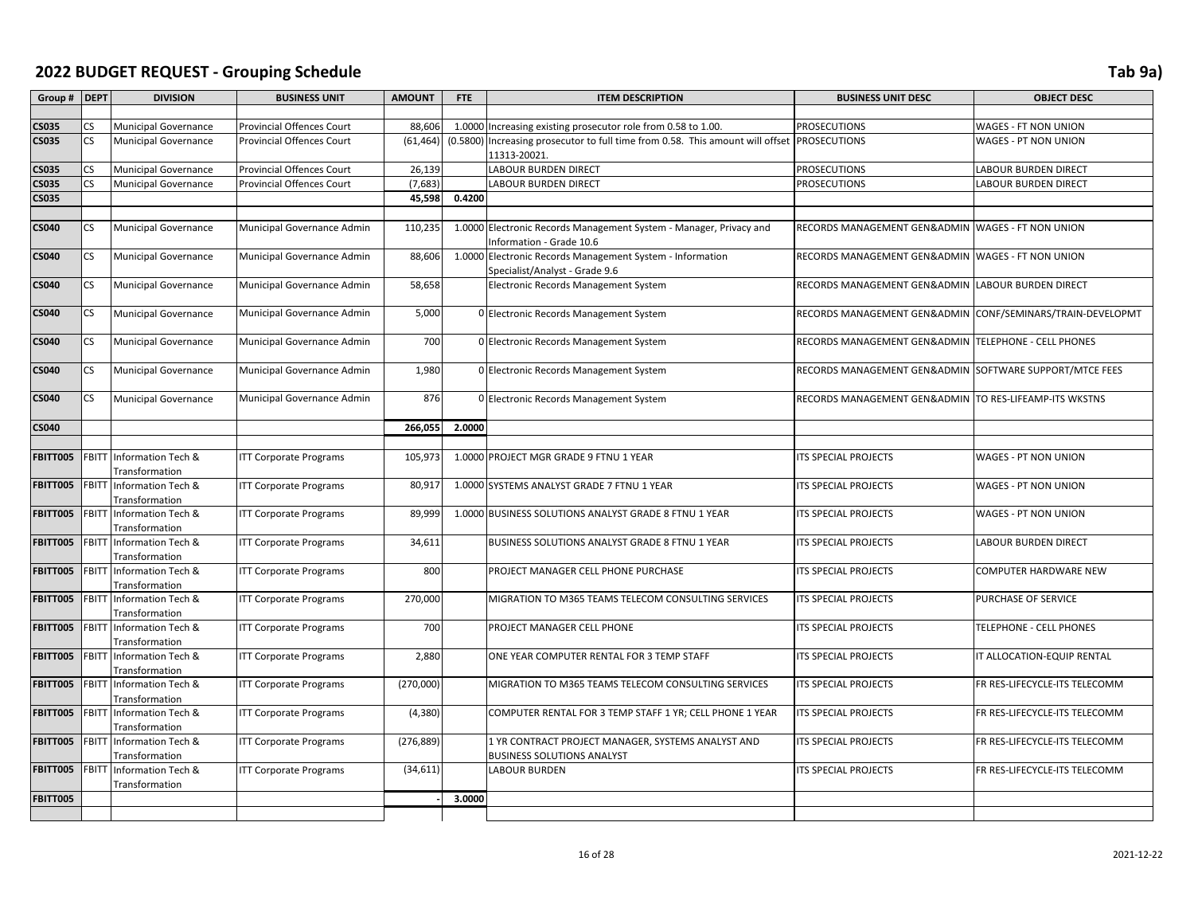| Group # DEPT    |              | <b>DIVISION</b>                             | <b>BUSINESS UNIT</b>             | <b>AMOUNT</b> | <b>FTE</b> | <b>ITEM DESCRIPTION</b>                                                                     | <b>BUSINESS UNIT DESC</b>                               | <b>OBJECT DESC</b>            |
|-----------------|--------------|---------------------------------------------|----------------------------------|---------------|------------|---------------------------------------------------------------------------------------------|---------------------------------------------------------|-------------------------------|
|                 |              |                                             |                                  |               |            |                                                                                             |                                                         |                               |
| <b>CS035</b>    | CS           | <b>Municipal Governance</b>                 | Provincial Offences Court        | 88,606        |            | 1.0000 Increasing existing prosecutor role from 0.58 to 1.00.                               | <b>PROSECUTIONS</b>                                     | WAGES - FT NON UNION          |
| <b>CS035</b>    | CS           | <b>Municipal Governance</b>                 | <b>Provincial Offences Court</b> | (61, 464)     |            | (0.5800) Increasing prosecutor to full time from 0.58. This amount will offset PROSECUTIONS |                                                         | WAGES - PT NON UNION          |
|                 |              |                                             |                                  |               |            | 11313-20021.                                                                                |                                                         |                               |
| <b>CS035</b>    | CS.          | Municipal Governance                        | <b>Provincial Offences Court</b> | 26,139        |            | LABOUR BURDEN DIRECT                                                                        | <b>PROSECUTIONS</b>                                     | LABOUR BURDEN DIRECT          |
| <b>CS035</b>    | CS           | Municipal Governance                        | <b>Provincial Offences Court</b> | (7,683)       |            | LABOUR BURDEN DIRECT                                                                        | <b>PROSECUTIONS</b>                                     | LABOUR BURDEN DIRECT          |
| <b>CS035</b>    |              |                                             |                                  | 45,598        | 0.4200     |                                                                                             |                                                         |                               |
|                 |              |                                             |                                  |               |            |                                                                                             |                                                         |                               |
| <b>CS040</b>    | CS.          | Municipal Governance                        | Municipal Governance Admin       | 110,23        | 1.0000     | Electronic Records Management System - Manager, Privacy and<br>Information - Grade 10.6     | RECORDS MANAGEMENT GEN&ADMIN                            | <b>WAGES - FT NON UNION</b>   |
| <b>CS040</b>    | CS.          | <b>Municipal Governance</b>                 | Municipal Governance Admin       | 88,606        | 1.0000     | Electronic Records Management System - Information<br>Specialist/Analyst - Grade 9.6        | RECORDS MANAGEMENT GEN&ADMIN                            | WAGES - FT NON UNION          |
| <b>CS040</b>    | CS           | <b>Municipal Governance</b>                 | Municipal Governance Admin       | 58,658        |            | Electronic Records Management System                                                        | RECORDS MANAGEMENT GEN&ADMIN                            | <b>LABOUR BURDEN DIRECT</b>   |
| <b>CS040</b>    | CS.          | <b>Municipal Governance</b>                 | Municipal Governance Admin       | 5,000         |            | 0 Electronic Records Management System                                                      | RECORDS MANAGEMENT GEN&ADMIN                            | CONF/SEMINARS/TRAIN-DEVELOPMT |
| CS040           | CS.          | <b>Municipal Governance</b>                 | Municipal Governance Admin       | 700           |            | 0 Electronic Records Management System                                                      | RECORDS MANAGEMENT GEN&ADMIN TELEPHONE - CELL PHONES    |                               |
| CS040           | CS           | <b>Municipal Governance</b>                 | Municipal Governance Admin       | 1,980         |            | 0 Electronic Records Management System                                                      | RECORDS MANAGEMENT GEN&ADMIN SOFTWARE SUPPORT/MTCE FEES |                               |
| <b>CS040</b>    | CS           | <b>Municipal Governance</b>                 | Municipal Governance Admin       | 876           |            | 0 Electronic Records Management System                                                      | RECORDS MANAGEMENT GEN&ADMIN TO RES-LIFEAMP-ITS WKSTNS  |                               |
| <b>CS040</b>    |              |                                             |                                  | 266,055       | 2.0000     |                                                                                             |                                                         |                               |
|                 |              |                                             |                                  |               |            |                                                                                             |                                                         |                               |
| FBITT005        | FBITT        | Information Tech &<br>Transformation        | <b>ITT Corporate Programs</b>    | 105,973       |            | 1.0000 PROJECT MGR GRADE 9 FTNU 1 YEAR                                                      | ITS SPECIAL PROJECTS                                    | WAGES - PT NON UNION          |
| <b>FBITT005</b> | FBITT        | Information Tech &<br>Transformation        | <b>ITT Corporate Programs</b>    | 80,917        |            | 1.0000 SYSTEMS ANALYST GRADE 7 FTNU 1 YEAR                                                  | ITS SPECIAL PROJECTS                                    | WAGES - PT NON UNION          |
| FBITT005        | FBITT        | Information Tech &<br>Transformation        | <b>ITT Corporate Programs</b>    | 89,999        |            | 1.0000 BUSINESS SOLUTIONS ANALYST GRADE 8 FTNU 1 YEAR                                       | ITS SPECIAL PROJECTS                                    | WAGES - PT NON UNION          |
| <b>FBITT005</b> | <b>FBITT</b> | Information Tech &<br>Transformation        | <b>ITT Corporate Programs</b>    | 34,611        |            | BUSINESS SOLUTIONS ANALYST GRADE 8 FTNU 1 YEAR                                              | ITS SPECIAL PROJECTS                                    | LABOUR BURDEN DIRECT          |
| <b>FBITT005</b> | <b>FBITT</b> | Information Tech &<br><b>Transformation</b> | <b>ITT Corporate Programs</b>    | 800           |            | PROJECT MANAGER CELL PHONE PURCHASE                                                         | <b>ITS SPECIAL PROJECTS</b>                             | COMPUTER HARDWARE NEW         |
| <b>FBITT005</b> | <b>FBITT</b> | Information Tech &<br>Transformation        | <b>ITT Corporate Programs</b>    | 270,000       |            | MIGRATION TO M365 TEAMS TELECOM CONSULTING SERVICES                                         | ITS SPECIAL PROJECTS                                    | PURCHASE OF SERVICE           |
| FBITT005        | FBITT        | Information Tech &<br>Transformation        | <b>ITT Corporate Programs</b>    | 700           |            | PROJECT MANAGER CELL PHONE                                                                  | ITS SPECIAL PROJECTS                                    | TELEPHONE - CELL PHONES       |
| <b>FBITT005</b> | FBITT        | Information Tech &<br>Transformation        | <b>ITT Corporate Programs</b>    | 2,880         |            | ONE YEAR COMPUTER RENTAL FOR 3 TEMP STAFF                                                   | ITS SPECIAL PROJECTS                                    | IT ALLOCATION-EQUIP RENTAL    |
| FBITT005        | FBITT        | Information Tech &<br>Transformation        | <b>ITT Corporate Programs</b>    | (270,000)     |            | MIGRATION TO M365 TEAMS TELECOM CONSULTING SERVICES                                         | ITS SPECIAL PROJECTS                                    | FR RES-LIFECYCLE-ITS TELECOMM |
| <b>FBITT005</b> | <b>FBITT</b> | Information Tech &<br>Transformation        | <b>ITT Corporate Programs</b>    | (4, 380)      |            | COMPUTER RENTAL FOR 3 TEMP STAFF 1 YR; CELL PHONE 1 YEAR                                    | ITS SPECIAL PROJECTS                                    | FR RES-LIFECYCLE-ITS TELECOMM |
| <b>FBITT005</b> | <b>FBITT</b> | Information Tech &<br>Transformation        | <b>ITT Corporate Programs</b>    | (276, 889)    |            | 1 YR CONTRACT PROJECT MANAGER, SYSTEMS ANALYST AND<br><b>BUSINESS SOLUTIONS ANALYST</b>     | ITS SPECIAL PROJECTS                                    | FR RES-LIFECYCLE-ITS TELECOMM |
| FBITT005        | FBITT        | Information Tech &<br>Transformation        | <b>ITT Corporate Programs</b>    | (34, 611)     |            | <b>LABOUR BURDEN</b>                                                                        | ITS SPECIAL PROJECTS                                    | FR RES-LIFECYCLE-ITS TELECOMM |
| FBITT005        |              |                                             |                                  |               | 3.0000     |                                                                                             |                                                         |                               |
|                 |              |                                             |                                  |               |            |                                                                                             |                                                         |                               |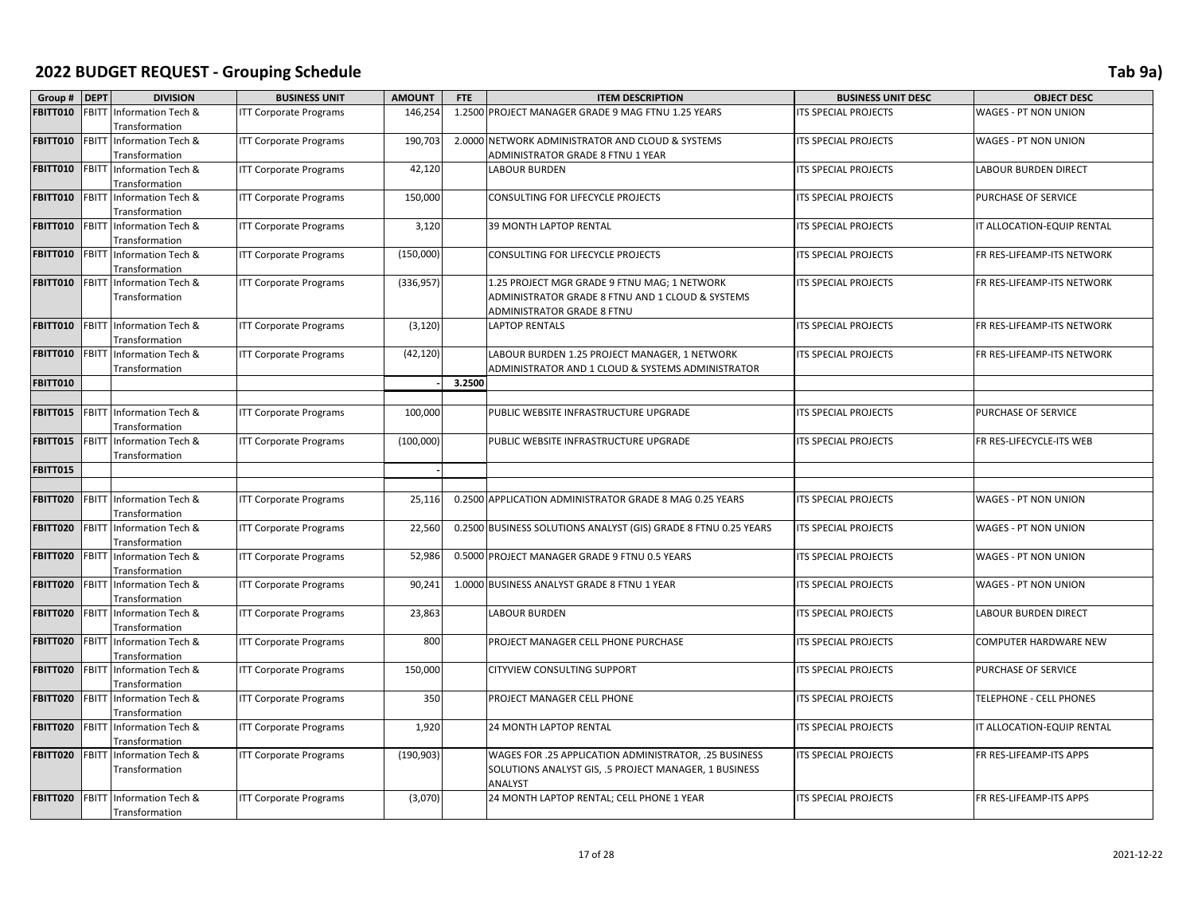| Group # DEPT    |              | <b>DIVISION</b>          | <b>BUSINESS UNIT</b>          | <b>AMOUNT</b> | <b>FTE</b> | <b>ITEM DESCRIPTION</b>                                         | <b>BUSINESS UNIT DESC</b>   | <b>OBJECT DESC</b>         |
|-----------------|--------------|--------------------------|-------------------------------|---------------|------------|-----------------------------------------------------------------|-----------------------------|----------------------------|
| FBITT010        | <b>FBITT</b> | Information Tech &       | <b>ITT Corporate Programs</b> | 146,254       |            | 1.2500 PROJECT MANAGER GRADE 9 MAG FTNU 1.25 YEARS              | ITS SPECIAL PROJECTS        | WAGES - PT NON UNION       |
|                 |              | Transformation           |                               |               |            |                                                                 |                             |                            |
| <b>FBITT010</b> | <b>FBITT</b> | Information Tech &       | <b>ITT Corporate Programs</b> | 190,703       |            | 2.0000 NETWORK ADMINISTRATOR AND CLOUD & SYSTEMS                | ITS SPECIAL PROJECTS        | WAGES - PT NON UNION       |
|                 |              | Transformation           |                               |               |            | ADMINISTRATOR GRADE 8 FTNU 1 YEAR                               |                             |                            |
| <b>FBITT010</b> | FBITT        | Information Tech &       | <b>ITT Corporate Programs</b> | 42,120        |            | <b>LABOUR BURDEN</b>                                            | ITS SPECIAL PROJECTS        | LABOUR BURDEN DIRECT       |
|                 |              | Transformation           |                               |               |            |                                                                 |                             |                            |
| <b>FBITT010</b> | <b>FBITT</b> | Information Tech &       | <b>ITT Corporate Programs</b> | 150,000       |            | CONSULTING FOR LIFECYCLE PROJECTS                               | ITS SPECIAL PROJECTS        | PURCHASE OF SERVICE        |
|                 |              | Transformation           |                               |               |            |                                                                 |                             |                            |
| <b>FBITT010</b> | <b>FBITT</b> | Information Tech &       | <b>ITT Corporate Programs</b> | 3,120         |            | 39 MONTH LAPTOP RENTAL                                          | ITS SPECIAL PROJECTS        | IT ALLOCATION-EQUIP RENTAL |
|                 |              | Transformation           |                               |               |            |                                                                 |                             |                            |
| <b>FBITT010</b> |              | FBITT Information Tech & | <b>ITT Corporate Programs</b> | (150,000)     |            | CONSULTING FOR LIFECYCLE PROJECTS                               | ITS SPECIAL PROJECTS        | FR RES-LIFEAMP-ITS NETWORK |
|                 |              | Transformation           |                               |               |            |                                                                 |                             |                            |
| <b>FBITT010</b> | FBITT        | Information Tech &       | <b>ITT Corporate Programs</b> | (336, 957)    |            | 1.25 PROJECT MGR GRADE 9 FTNU MAG; 1 NETWORK                    | ITS SPECIAL PROJECTS        | FR RES-LIFEAMP-ITS NETWORK |
|                 |              | Transformation           |                               |               |            | ADMINISTRATOR GRADE 8 FTNU AND 1 CLOUD & SYSTEMS                |                             |                            |
|                 |              |                          |                               |               |            | ADMINISTRATOR GRADE 8 FTNU                                      |                             |                            |
| <b>FBITT010</b> | <b>FBITT</b> | Information Tech &       | <b>ITT Corporate Programs</b> | (3, 120)      |            | LAPTOP RENTALS                                                  | <b>ITS SPECIAL PROJECTS</b> | FR RES-LIFEAMP-ITS NETWORK |
|                 |              | Transformation           |                               |               |            |                                                                 |                             |                            |
| <b>FBITT010</b> | <b>FBITT</b> | Information Tech &       | <b>ITT Corporate Programs</b> | (42, 120)     |            | LABOUR BURDEN 1.25 PROJECT MANAGER, 1 NETWORK                   | ITS SPECIAL PROJECTS        | FR RES-LIFEAMP-ITS NETWORK |
|                 |              | Transformation           |                               |               |            | ADMINISTRATOR AND 1 CLOUD & SYSTEMS ADMINISTRATOR               |                             |                            |
| <b>FBITT010</b> |              |                          |                               |               | 3.2500     |                                                                 |                             |                            |
|                 |              |                          |                               |               |            |                                                                 |                             |                            |
| <b>FBITT015</b> |              | FBITT Information Tech & | <b>ITT Corporate Programs</b> | 100,000       |            | PUBLIC WEBSITE INFRASTRUCTURE UPGRADE                           | <b>ITS SPECIAL PROJECTS</b> | PURCHASE OF SERVICE        |
|                 |              | Transformation           |                               |               |            |                                                                 |                             |                            |
| FBITT015        | <b>FBITT</b> | Information Tech &       | <b>ITT Corporate Programs</b> | (100,000)     |            | PUBLIC WEBSITE INFRASTRUCTURE UPGRADE                           | ITS SPECIAL PROJECTS        | FR RES-LIFECYCLE-ITS WEB   |
|                 |              | Transformation           |                               |               |            |                                                                 |                             |                            |
| <b>FBITT015</b> |              |                          |                               |               |            |                                                                 |                             |                            |
|                 |              |                          |                               |               |            |                                                                 |                             |                            |
| FBITT020        | <b>FBITT</b> | Information Tech &       | <b>ITT Corporate Programs</b> | 25,116        |            | 0.2500 APPLICATION ADMINISTRATOR GRADE 8 MAG 0.25 YEARS         | ITS SPECIAL PROJECTS        | WAGES - PT NON UNION       |
|                 |              | Transformation           |                               |               |            |                                                                 |                             |                            |
| FBITT020        | <b>FBITT</b> | Information Tech &       | <b>ITT Corporate Programs</b> | 22,560        |            | 0.2500 BUSINESS SOLUTIONS ANALYST (GIS) GRADE 8 FTNU 0.25 YEARS | ITS SPECIAL PROJECTS        | WAGES - PT NON UNION       |
|                 |              | Transformation           |                               |               |            |                                                                 |                             |                            |
| FBITT020        | <b>FBITT</b> | Information Tech &       | <b>ITT Corporate Programs</b> | 52,986        |            | 0.5000 PROJECT MANAGER GRADE 9 FTNU 0.5 YEARS                   | ITS SPECIAL PROJECTS        | WAGES - PT NON UNION       |
|                 |              | Transformation           |                               |               |            |                                                                 |                             |                            |
| FBITT020        | FBITT        | Information Tech &       | <b>ITT Corporate Programs</b> | 90,241        |            | 1.0000 BUSINESS ANALYST GRADE 8 FTNU 1 YEAR                     | <b>ITS SPECIAL PROJECTS</b> | WAGES - PT NON UNION       |
|                 |              | Transformation           |                               |               |            |                                                                 |                             |                            |
| FBITT020        |              | FBITT Information Tech & | <b>ITT Corporate Programs</b> | 23,863        |            | LABOUR BURDEN                                                   | ITS SPECIAL PROJECTS        | LABOUR BURDEN DIRECT       |
|                 |              | Transformation           |                               |               |            |                                                                 |                             |                            |
| FBITT020        | FBITT        | Information Tech &       | <b>ITT Corporate Programs</b> | 800           |            | PROJECT MANAGER CELL PHONE PURCHASE                             | ITS SPECIAL PROJECTS        | COMPUTER HARDWARE NEW      |
|                 |              | Transformation           |                               |               |            |                                                                 |                             |                            |
| FBITT020        | <b>FBITT</b> | Information Tech &       | <b>ITT Corporate Programs</b> | 150,000       |            | CITYVIEW CONSULTING SUPPORT                                     | ITS SPECIAL PROJECTS        | PURCHASE OF SERVICE        |
|                 |              | Transformation           |                               |               |            |                                                                 |                             |                            |
| <b>FBITT020</b> | <b>FBITT</b> | Information Tech &       | <b>ITT Corporate Programs</b> | 350           |            | PROJECT MANAGER CELL PHONE                                      | <b>ITS SPECIAL PROJECTS</b> | TELEPHONE - CELL PHONES    |
|                 |              | Transformation           |                               |               |            |                                                                 |                             |                            |
| <b>FBITT020</b> |              | FBITT Information Tech & | <b>ITT Corporate Programs</b> | 1,920         |            | 24 MONTH LAPTOP RENTAL                                          | ITS SPECIAL PROJECTS        | IT ALLOCATION-EQUIP RENTAL |
|                 |              | Transformation           |                               |               |            |                                                                 |                             |                            |
| FBITT020        | <b>FBITT</b> | Information Tech &       | <b>ITT Corporate Programs</b> | (190, 903)    |            | WAGES FOR .25 APPLICATION ADMINISTRATOR, .25 BUSINESS           | ITS SPECIAL PROJECTS        | FR RES-LIFEAMP-ITS APPS    |
|                 |              | Transformation           |                               |               |            | SOLUTIONS ANALYST GIS, .5 PROJECT MANAGER, 1 BUSINESS           |                             |                            |
|                 |              |                          |                               |               |            | ANALYST                                                         |                             |                            |
| <b>FBITT020</b> | <b>FBITT</b> | Information Tech &       | <b>ITT Corporate Programs</b> | (3,070)       |            | 24 MONTH LAPTOP RENTAL; CELL PHONE 1 YEAR                       | ITS SPECIAL PROJECTS        | FR RES-LIFEAMP-ITS APPS    |
|                 |              | Transformation           |                               |               |            |                                                                 |                             |                            |
|                 |              |                          |                               |               |            |                                                                 |                             |                            |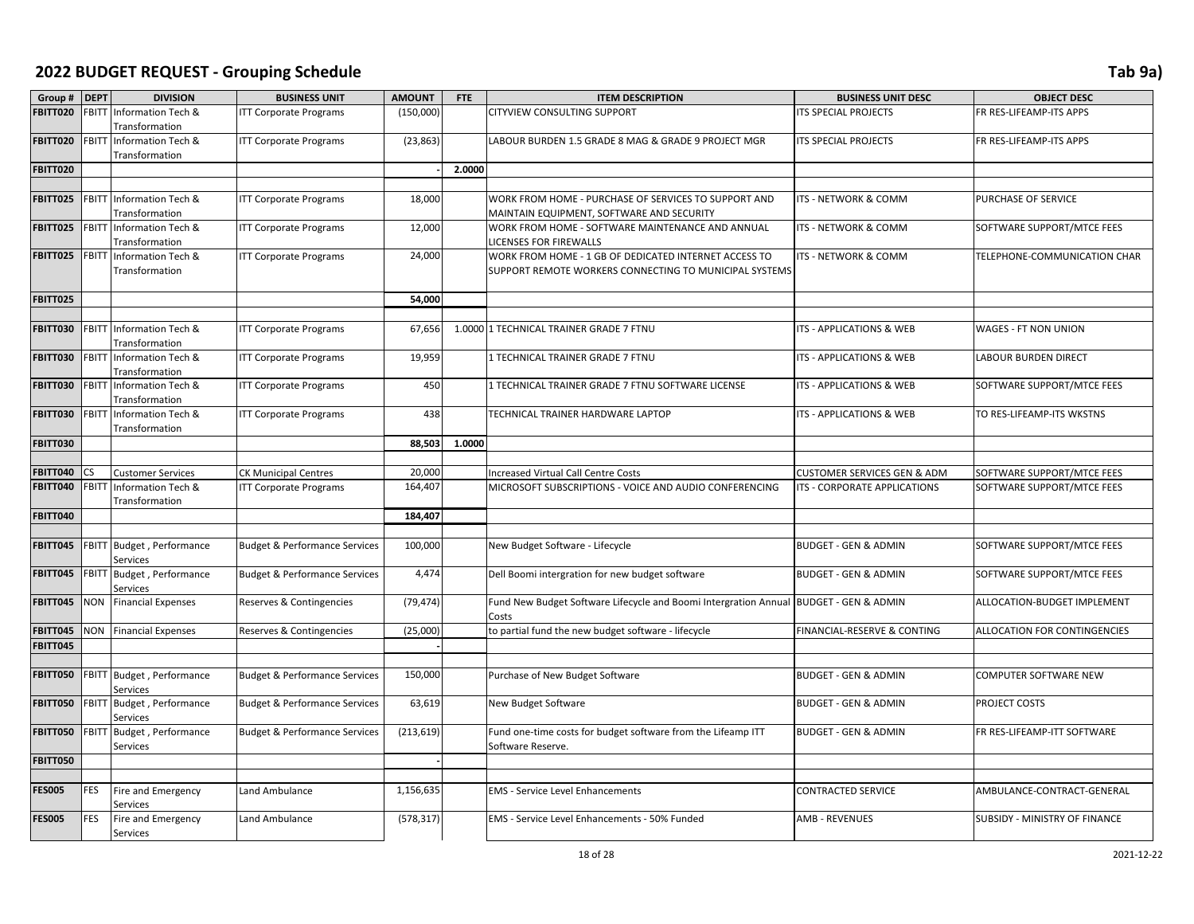| Group #         | <b>DEPT</b>  | <b>DIVISION</b>                                       | <b>BUSINESS UNIT</b>                     | <b>AMOUNT</b> | <b>FTE</b> | <b>ITEM DESCRIPTION</b>                                                                                         | <b>BUSINESS UNIT DESC</b>          | <b>OBJECT DESC</b>            |
|-----------------|--------------|-------------------------------------------------------|------------------------------------------|---------------|------------|-----------------------------------------------------------------------------------------------------------------|------------------------------------|-------------------------------|
| <b>FBITT020</b> |              | FBITT Information Tech &<br>Transformation            | <b>ITT Corporate Programs</b>            | (150,000)     |            | CITYVIEW CONSULTING SUPPORT                                                                                     | <b>TS SPECIAL PROJECTS</b>         | FR RES-LIFEAMP-ITS APPS       |
| FBITT020        |              | FBITT Information Tech &<br>Transformation            | <b>ITT Corporate Programs</b>            | (23, 863)     |            | LABOUR BURDEN 1.5 GRADE 8 MAG & GRADE 9 PROJECT MGR                                                             | <b>TS SPECIAL PROJECTS</b>         | FR RES-LIFEAMP-ITS APPS       |
| <b>FBITT020</b> |              |                                                       |                                          |               | 2.0000     |                                                                                                                 |                                    |                               |
|                 |              |                                                       |                                          |               |            |                                                                                                                 |                                    |                               |
| FBITT025        |              | FBITT Information Tech &<br>Transformation            | <b>ITT Corporate Programs</b>            | 18,000        |            | WORK FROM HOME - PURCHASE OF SERVICES TO SUPPORT AND<br>MAINTAIN EQUIPMENT, SOFTWARE AND SECURITY               | ITS - NETWORK & COMM               | PURCHASE OF SERVICE           |
| <b>FBITT025</b> |              | FBITT Information Tech &<br>Transformation            | <b>ITT Corporate Programs</b>            | 12,000        |            | WORK FROM HOME - SOFTWARE MAINTENANCE AND ANNUAL<br>LICENSES FOR FIREWALLS                                      | ITS - NETWORK & COMM               | SOFTWARE SUPPORT/MTCE FEES    |
| <b>FBITT025</b> |              | FBITT Information Tech &<br>Transformation            | <b>ITT Corporate Programs</b>            | 24,000        |            | WORK FROM HOME - 1 GB OF DEDICATED INTERNET ACCESS TO<br>SUPPORT REMOTE WORKERS CONNECTING TO MUNICIPAL SYSTEMS | ITS - NETWORK & COMM               | TELEPHONE-COMMUNICATION CHAR  |
| <b>FBITT025</b> |              |                                                       |                                          | 54,000        |            |                                                                                                                 |                                    |                               |
|                 |              |                                                       |                                          |               |            |                                                                                                                 |                                    |                               |
| <b>FBITT030</b> |              | <b>FBITT</b> Information Tech &<br>Transformation     | <b>ITT Corporate Programs</b>            | 67,656        |            | 1.0000 1 TECHNICAL TRAINER GRADE 7 FTNU                                                                         | <b>TS - APPLICATIONS &amp; WEB</b> | WAGES - FT NON UNION          |
| <b>FBITT030</b> |              | FBITT Information Tech &<br>Transformation            | <b>ITT Corporate Programs</b>            | 19,959        |            | 1 TECHNICAL TRAINER GRADE 7 FTNU                                                                                | ITS - APPLICATIONS & WEB           | <b>LABOUR BURDEN DIRECT</b>   |
| <b>FBITT030</b> |              | FBITT Information Tech &<br>Transformation            | <b>ITT Corporate Programs</b>            | 450           |            | 1 TECHNICAL TRAINER GRADE 7 FTNU SOFTWARE LICENSE                                                               | ITS - APPLICATIONS & WEB           | SOFTWARE SUPPORT/MTCE FEES    |
| <b>FBITT030</b> | <b>FBITT</b> | Information Tech &<br>Transformation                  | <b>ITT Corporate Programs</b>            | 438           |            | TECHNICAL TRAINER HARDWARE LAPTOP                                                                               | ITS - APPLICATIONS & WEB           | TO RES-LIFEAMP-ITS WKSTNS     |
| FBITT030        |              |                                                       |                                          | 88,503        | 1.0000     |                                                                                                                 |                                    |                               |
|                 |              |                                                       |                                          |               |            |                                                                                                                 |                                    |                               |
| FBITT040        | CS.          | <b>Customer Services</b>                              | <b>CK Municipal Centres</b>              | 20,000        |            | <b>Increased Virtual Call Centre Costs</b>                                                                      | CUSTOMER SERVICES GEN & ADM        | SOFTWARE SUPPORT/MTCE FEES    |
| FBITT040        |              | <b>FBITT Information Tech &amp;</b><br>Transformation | <b>ITT Corporate Programs</b>            | 164,407       |            | MICROSOFT SUBSCRIPTIONS - VOICE AND AUDIO CONFERENCING                                                          | ITS - CORPORATE APPLICATIONS       | SOFTWARE SUPPORT/MTCE FEES    |
| <b>FBITT040</b> |              |                                                       |                                          | 184,407       |            |                                                                                                                 |                                    |                               |
|                 |              |                                                       |                                          |               |            |                                                                                                                 |                                    |                               |
| FBITT045        |              | FBITT Budget, Performance<br>Services                 | <b>Budget &amp; Performance Services</b> | 100,000       |            | New Budget Software - Lifecycle                                                                                 | <b>BUDGET - GEN &amp; ADMIN</b>    | SOFTWARE SUPPORT/MTCE FEES    |
| <b>FBITT045</b> |              | FBITT Budget, Performance<br><b>Services</b>          | <b>Budget &amp; Performance Services</b> | 4,474         |            | Dell Boomi intergration for new budget software                                                                 | <b>BUDGET - GEN &amp; ADMIN</b>    | SOFTWARE SUPPORT/MTCE FEES    |
| FBITT045        |              | <b>NON</b> Financial Expenses                         | Reserves & Contingencies                 | (79, 474)     |            | Fund New Budget Software Lifecycle and Boomi Intergration Annual BUDGET - GEN & ADMIN<br>Costs                  |                                    | ALLOCATION-BUDGET IMPLEMENT   |
| FBITT045        |              | <b>NON</b> Financial Expenses                         | Reserves & Contingencies                 | (25,000)      |            | to partial fund the new budget software - lifecycle                                                             | FINANCIAL-RESERVE & CONTING        | ALLOCATION FOR CONTINGENCIES  |
| <b>FBITT045</b> |              |                                                       |                                          |               |            |                                                                                                                 |                                    |                               |
|                 |              |                                                       |                                          |               |            |                                                                                                                 |                                    |                               |
| <b>FBITT050</b> |              | FBITT Budget, Performance<br><b>Services</b>          | <b>Budget &amp; Performance Services</b> | 150,000       |            | Purchase of New Budget Software                                                                                 | <b>BUDGET - GEN &amp; ADMIN</b>    | COMPUTER SOFTWARE NEW         |
| <b>FBITT050</b> |              | FBITT Budget, Performance<br><b>Services</b>          | <b>Budget &amp; Performance Services</b> | 63,619        |            | New Budget Software                                                                                             | <b>BUDGET - GEN &amp; ADMIN</b>    | PROJECT COSTS                 |
| <b>FBITT050</b> |              | FBITT Budget, Performance<br>Services                 | <b>Budget &amp; Performance Services</b> | (213, 619)    |            | Fund one-time costs for budget software from the Lifeamp ITT<br>Software Reserve.                               | <b>BUDGET - GEN &amp; ADMIN</b>    | FR RES-LIFEAMP-ITT SOFTWARE   |
| <b>FBITT050</b> |              |                                                       |                                          |               |            |                                                                                                                 |                                    |                               |
|                 |              |                                                       |                                          |               |            |                                                                                                                 |                                    |                               |
| <b>FES005</b>   | FES          | Fire and Emergency<br>Services                        | Land Ambulance                           | 1,156,635     |            | <b>EMS</b> - Service Level Enhancements                                                                         | CONTRACTED SERVICE                 | AMBULANCE-CONTRACT-GENERAL    |
| <b>FES005</b>   | <b>FES</b>   | Fire and Emergency<br><b>Services</b>                 | Land Ambulance                           | (578, 317)    |            | EMS - Service Level Enhancements - 50% Funded                                                                   | <b>AMB - REVENUES</b>              | SUBSIDY - MINISTRY OF FINANCE |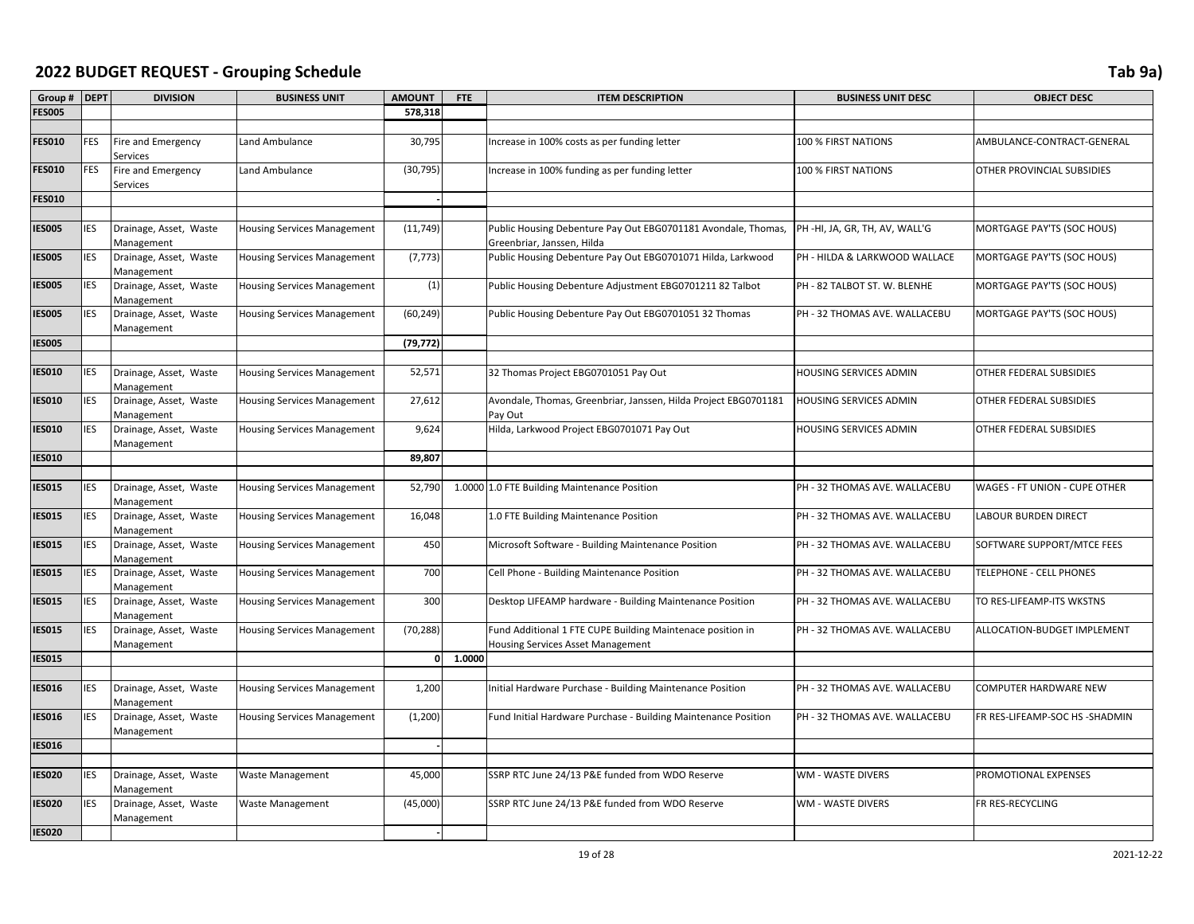| Group #       | <b>DEPT</b> | <b>DIVISION</b>                       | <b>BUSINESS UNIT</b>               | <b>AMOUNT</b> | <b>FTE</b> | <b>ITEM DESCRIPTION</b>                                                                         | <b>BUSINESS UNIT DESC</b>     | <b>OBJECT DESC</b>             |
|---------------|-------------|---------------------------------------|------------------------------------|---------------|------------|-------------------------------------------------------------------------------------------------|-------------------------------|--------------------------------|
| <b>FES005</b> |             |                                       |                                    | 578,318       |            |                                                                                                 |                               |                                |
|               |             |                                       |                                    |               |            |                                                                                                 |                               |                                |
| <b>FES010</b> | <b>FES</b>  | Fire and Emergency<br>Services        | Land Ambulance                     | 30,795        |            | Increase in 100% costs as per funding letter                                                    | 100 % FIRST NATIONS           | AMBULANCE-CONTRACT-GENERAL     |
| <b>FES010</b> | <b>FES</b>  | <b>Fire and Emergency</b><br>Services | Land Ambulance                     | (30, 795)     |            | Increase in 100% funding as per funding letter                                                  | 100 % FIRST NATIONS           | OTHER PROVINCIAL SUBSIDIES     |
| <b>FES010</b> |             |                                       |                                    |               |            |                                                                                                 |                               |                                |
|               |             |                                       |                                    |               |            |                                                                                                 |                               |                                |
| IESOO5        | IES         | Drainage, Asset, Waste<br>Management  | <b>Housing Services Management</b> | (11, 749)     |            | Public Housing Debenture Pay Out EBG0701181 Avondale, Thomas,<br>Greenbriar, Janssen, Hilda     | PH-HI, JA, GR, TH, AV, WALL'G | MORTGAGE PAY'TS (SOC HOUS)     |
| <b>IESOO5</b> | <b>IES</b>  | Drainage, Asset, Waste<br>Management  | <b>Housing Services Management</b> | (7, 773)      |            | Public Housing Debenture Pay Out EBG0701071 Hilda, Larkwood                                     | PH - HILDA & LARKWOOD WALLACE | MORTGAGE PAY'TS (SOC HOUS)     |
| <b>ES005</b>  | IES         | Drainage, Asset, Waste<br>Management  | <b>Housing Services Management</b> | (1)           |            | Public Housing Debenture Adjustment EBG0701211 82 Talbot                                        | PH - 82 TALBOT ST. W. BLENHE  | MORTGAGE PAY'TS (SOC HOUS)     |
| <b>IES005</b> | IES         | Drainage, Asset, Waste<br>Management  | <b>Housing Services Management</b> | (60, 249)     |            | Public Housing Debenture Pay Out EBG0701051 32 Thomas                                           | PH - 32 THOMAS AVE. WALLACEBU | MORTGAGE PAY'TS (SOC HOUS)     |
| <b>IES005</b> |             |                                       |                                    | (79, 772)     |            |                                                                                                 |                               |                                |
|               |             |                                       |                                    |               |            |                                                                                                 |                               |                                |
| <b>IES010</b> | IES         | Drainage, Asset, Waste<br>Management  | <b>Housing Services Management</b> | 52,571        |            | 32 Thomas Project EBG0701051 Pay Out                                                            | HOUSING SERVICES ADMIN        | OTHER FEDERAL SUBSIDIES        |
| <b>IES010</b> | IES         | Drainage, Asset, Waste<br>Management  | <b>Housing Services Management</b> | 27,612        |            | Avondale, Thomas, Greenbriar, Janssen, Hilda Project EBG0701181<br>Pay Out                      | HOUSING SERVICES ADMIN        | OTHER FEDERAL SUBSIDIES        |
| <b>IES010</b> | IES         | Drainage, Asset, Waste<br>Management  | <b>Housing Services Management</b> | 9,624         |            | Hilda, Larkwood Project EBG0701071 Pay Out                                                      | HOUSING SERVICES ADMIN        | OTHER FEDERAL SUBSIDIES        |
| IESO10        |             |                                       |                                    | 89,807        |            |                                                                                                 |                               |                                |
|               |             |                                       |                                    |               |            |                                                                                                 |                               |                                |
| <b>ES015</b>  | IES         | Drainage, Asset, Waste<br>Management  | <b>Housing Services Management</b> | 52,790        |            | 1.0000 1.0 FTE Building Maintenance Position                                                    | PH - 32 THOMAS AVE. WALLACEBU | WAGES - FT UNION - CUPE OTHER  |
| <b>ES015</b>  | IES         | Drainage, Asset, Waste<br>Management  | <b>Housing Services Management</b> | 16,048        |            | 1.0 FTE Building Maintenance Position                                                           | PH - 32 THOMAS AVE. WALLACEBU | <b>LABOUR BURDEN DIRECT</b>    |
| <b>IES015</b> | <b>IES</b>  | Drainage, Asset, Waste<br>Management  | <b>Housing Services Management</b> | 450           |            | Microsoft Software - Building Maintenance Position                                              | PH - 32 THOMAS AVE. WALLACEBU | SOFTWARE SUPPORT/MTCE FEES     |
| IESO15        | IES         | Drainage, Asset, Waste<br>Management  | <b>Housing Services Management</b> | 700           |            | Cell Phone - Building Maintenance Position                                                      | PH - 32 THOMAS AVE. WALLACEBU | TELEPHONE - CELL PHONES        |
| IESO15        | IES         | Drainage, Asset, Waste<br>Management  | <b>Housing Services Management</b> | 300           |            | Desktop LIFEAMP hardware - Building Maintenance Position                                        | PH - 32 THOMAS AVE. WALLACEBU | TO RES-LIFEAMP-ITS WKSTNS      |
| IESO15        | IES         | Drainage, Asset, Waste<br>Management  | <b>Housing Services Management</b> | (70, 288)     |            | Fund Additional 1 FTE CUPE Building Maintenace position in<br>Housing Services Asset Management | PH - 32 THOMAS AVE. WALLACEBU | ALLOCATION-BUDGET IMPLEMENT    |
| <b>IES015</b> |             |                                       |                                    | $\mathbf{0}$  | 1.0000     |                                                                                                 |                               |                                |
|               |             |                                       |                                    |               |            |                                                                                                 |                               |                                |
| <b>IESO16</b> | <b>IES</b>  | Drainage, Asset, Waste<br>Management  | <b>Housing Services Management</b> | 1,200         |            | Initial Hardware Purchase - Building Maintenance Position                                       | PH - 32 THOMAS AVE. WALLACEBU | COMPUTER HARDWARE NEW          |
| <b>IES016</b> | IES         | Drainage, Asset, Waste<br>Management  | <b>Housing Services Management</b> | (1,200)       |            | Fund Initial Hardware Purchase - Building Maintenance Position                                  | PH - 32 THOMAS AVE. WALLACEBU | FR RES-LIFEAMP-SOC HS -SHADMIN |
| <b>IES016</b> |             |                                       |                                    |               |            |                                                                                                 |                               |                                |
|               |             |                                       |                                    |               |            |                                                                                                 |                               |                                |
| <b>IES020</b> | <b>IES</b>  | Drainage, Asset, Waste<br>Management  | <b>Waste Management</b>            | 45,000        |            | SSRP RTC June 24/13 P&E funded from WDO Reserve                                                 | WM - WASTE DIVERS             | PROMOTIONAL EXPENSES           |
| IESO20        | IES         | Drainage, Asset, Waste<br>Management  | <b>Waste Management</b>            | (45,000)      |            | SSRP RTC June 24/13 P&E funded from WDO Reserve                                                 | WM - WASTE DIVERS             | FR RES-RECYCLING               |
| <b>IES020</b> |             |                                       |                                    |               |            |                                                                                                 |                               |                                |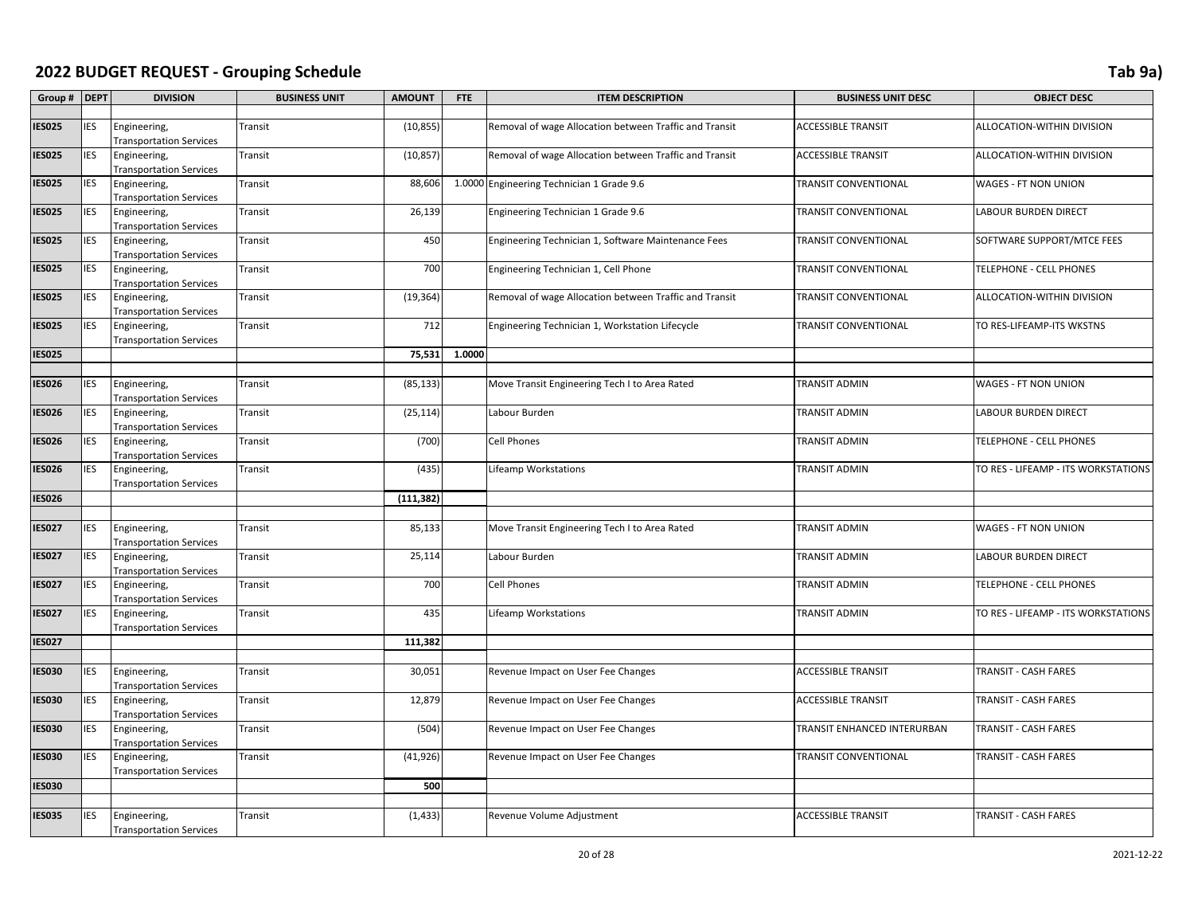| Group #       | <b>DEPT</b> | <b>DIVISION</b>                                | <b>BUSINESS UNIT</b> | <b>AMOUNT</b> | <b>FTE</b> | <b>ITEM DESCRIPTION</b>                                | <b>BUSINESS UNIT DESC</b>   | <b>OBJECT DESC</b>                  |
|---------------|-------------|------------------------------------------------|----------------------|---------------|------------|--------------------------------------------------------|-----------------------------|-------------------------------------|
|               |             |                                                |                      |               |            |                                                        |                             |                                     |
| <b>IES025</b> | <b>IES</b>  | Engineering,<br><b>Transportation Services</b> | Transit              | (10, 855)     |            | Removal of wage Allocation between Traffic and Transit | <b>ACCESSIBLE TRANSIT</b>   | ALLOCATION-WITHIN DIVISION          |
| <b>ES025</b>  | <b>IES</b>  | Engineering,<br><b>Transportation Services</b> | Transit              | (10, 857)     |            | Removal of wage Allocation between Traffic and Transit | <b>ACCESSIBLE TRANSIT</b>   | ALLOCATION-WITHIN DIVISION          |
| <b>IES025</b> | <b>IES</b>  | Engineering,<br><b>Transportation Services</b> | Transit              | 88,606        |            | 1.0000 Engineering Technician 1 Grade 9.6              | TRANSIT CONVENTIONAL        | WAGES - FT NON UNION                |
| IESO25        | IES         | Engineering,<br><b>Transportation Services</b> | Transit              | 26,139        |            | Engineering Technician 1 Grade 9.6                     | <b>TRANSIT CONVENTIONAL</b> | LABOUR BURDEN DIRECT                |
| <b>ES025</b>  | IES         | Engineering,<br><b>Transportation Services</b> | Transit              | 450           |            | Engineering Technician 1, Software Maintenance Fees    | TRANSIT CONVENTIONAL        | SOFTWARE SUPPORT/MTCE FEES          |
| <b>IES025</b> | IES         | Engineering,<br><b>Transportation Services</b> | Transit              | 700           |            | Engineering Technician 1, Cell Phone                   | <b>TRANSIT CONVENTIONAL</b> | TELEPHONE - CELL PHONES             |
| <b>ES025</b>  | IES         | Engineering,<br><b>Transportation Services</b> | Transit              | (19, 364)     |            | Removal of wage Allocation between Traffic and Transit | TRANSIT CONVENTIONAL        | ALLOCATION-WITHIN DIVISION          |
| <b>IES025</b> | IES         | Engineering,<br><b>Transportation Services</b> | Transit              | 712           |            | Engineering Technician 1, Workstation Lifecycle        | <b>TRANSIT CONVENTIONAL</b> | TO RES-LIFEAMP-ITS WKSTNS           |
| <b>IES025</b> |             |                                                |                      | 75,531        | 1.0000     |                                                        |                             |                                     |
|               |             |                                                |                      |               |            |                                                        |                             |                                     |
| <b>ES026</b>  | <b>IES</b>  | Engineering,<br><b>Transportation Services</b> | Transit              | (85, 133)     |            | Move Transit Engineering Tech I to Area Rated          | <b>TRANSIT ADMIN</b>        | WAGES - FT NON UNION                |
| IES026        | IES         | Engineering,<br><b>Transportation Services</b> | Transit              | (25, 114)     |            | Labour Burden                                          | <b>TRANSIT ADMIN</b>        | <b>LABOUR BURDEN DIRECT</b>         |
| IESO26        | IES         | Engineering,<br><b>Transportation Services</b> | Transit              | (700)         |            | Cell Phones                                            | TRANSIT ADMIN               | TELEPHONE - CELL PHONES             |
| <b>ES026</b>  | IES         | Engineering,<br><b>Transportation Services</b> | Transit              | (435)         |            | Lifeamp Workstations                                   | <b>TRANSIT ADMIN</b>        | TO RES - LIFEAMP - ITS WORKSTATIONS |
| ES026         |             |                                                |                      | (111, 382)    |            |                                                        |                             |                                     |
|               |             |                                                |                      |               |            |                                                        |                             |                                     |
| <b>IES027</b> | IES         | Engineering,<br><b>Transportation Services</b> | Transit              | 85,133        |            | Move Transit Engineering Tech I to Area Rated          | TRANSIT ADMIN               | WAGES - FT NON UNION                |
| <b>IES027</b> | <b>IES</b>  | Engineering,<br><b>Transportation Services</b> | Transit              | 25,114        |            | Labour Burden                                          | <b>TRANSIT ADMIN</b>        | <b>LABOUR BURDEN DIRECT</b>         |
| <b>ES027</b>  | IES         | Engineering,<br><b>Transportation Services</b> | Transit              | 700           |            | Cell Phones                                            | <b>TRANSIT ADMIN</b>        | TELEPHONE - CELL PHONES             |
| <b>IES027</b> | <b>IES</b>  | Engineering,<br><b>Transportation Services</b> | Transit              | 435           |            | <b>Lifeamp Workstations</b>                            | TRANSIT ADMIN               | TO RES - LIFEAMP - ITS WORKSTATIONS |
| <b>IES027</b> |             |                                                |                      | 111,382       |            |                                                        |                             |                                     |
|               |             |                                                |                      |               |            |                                                        |                             |                                     |
| <b>IES030</b> | <b>IES</b>  | Engineering,<br><b>Transportation Services</b> | Transit              | 30,051        |            | Revenue Impact on User Fee Changes                     | <b>ACCESSIBLE TRANSIT</b>   | TRANSIT - CASH FARES                |
| <b>IES030</b> | IES         | Engineering,<br><b>Transportation Services</b> | Transit              | 12,879        |            | Revenue Impact on User Fee Changes                     | <b>ACCESSIBLE TRANSIT</b>   | TRANSIT - CASH FARES                |
| <b>ES030</b>  | IES         | Engineering,<br><b>Transportation Services</b> | Transit              | (504)         |            | Revenue Impact on User Fee Changes                     | TRANSIT ENHANCED INTERURBAN | TRANSIT - CASH FARES                |
| ES030         | IES         | Engineering,<br><b>Transportation Services</b> | Transit              | (41, 926)     |            | Revenue Impact on User Fee Changes                     | <b>TRANSIT CONVENTIONAL</b> | TRANSIT - CASH FARES                |
| IESO30        |             |                                                |                      | 500           |            |                                                        |                             |                                     |
|               |             |                                                |                      |               |            |                                                        |                             |                                     |
| <b>ES035</b>  | IES         | Engineering,<br><b>Transportation Services</b> | Transit              | (1, 433)      |            | Revenue Volume Adjustment                              | <b>ACCESSIBLE TRANSIT</b>   | TRANSIT - CASH FARES                |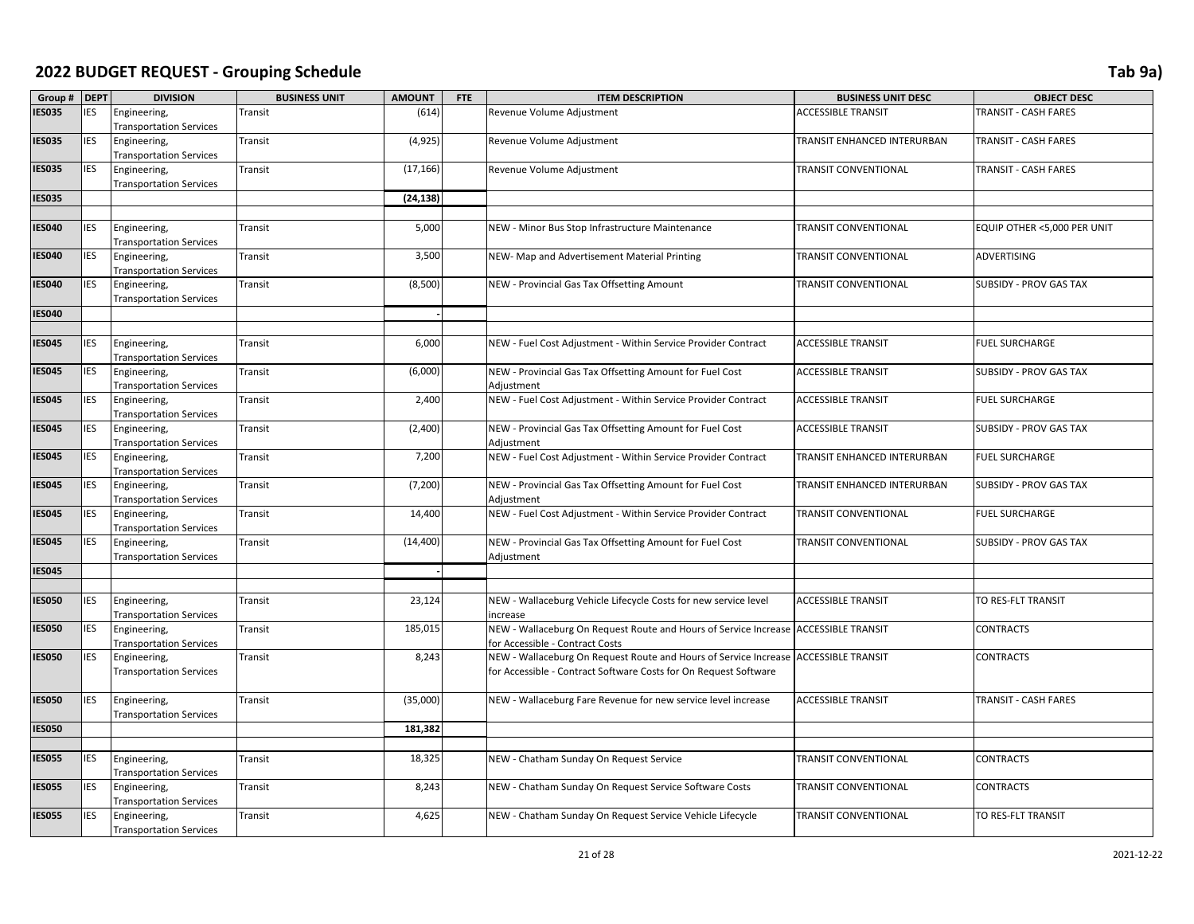| Group # DEPT  |            | <b>DIVISION</b>                                | <b>BUSINESS UNIT</b> | <b>AMOUNT</b> | <b>FTE</b> | <b>ITEM DESCRIPTION</b>                                                                                                                                 | <b>BUSINESS UNIT DESC</b>   | <b>OBJECT DESC</b>          |
|---------------|------------|------------------------------------------------|----------------------|---------------|------------|---------------------------------------------------------------------------------------------------------------------------------------------------------|-----------------------------|-----------------------------|
| <b>IES035</b> | <b>IES</b> | Engineering,<br><b>Transportation Services</b> | Transit              | (614)         |            | Revenue Volume Adjustment                                                                                                                               | <b>ACCESSIBLE TRANSIT</b>   | TRANSIT - CASH FARES        |
| <b>IES035</b> | <b>IES</b> | Engineering,<br><b>Transportation Services</b> | Transit              | (4, 925)      |            | Revenue Volume Adjustment                                                                                                                               | TRANSIT ENHANCED INTERURBAN | TRANSIT - CASH FARES        |
| <b>IES035</b> | <b>IES</b> | Engineering,<br><b>Transportation Services</b> | Transit              | (17, 166)     |            | Revenue Volume Adjustment                                                                                                                               | <b>TRANSIT CONVENTIONAL</b> | TRANSIT - CASH FARES        |
| <b>IES035</b> |            |                                                |                      | (24, 138)     |            |                                                                                                                                                         |                             |                             |
|               |            |                                                |                      |               |            |                                                                                                                                                         |                             |                             |
| <b>IES040</b> | <b>IES</b> | Engineering,<br><b>Transportation Services</b> | Transit              | 5,000         |            | NEW - Minor Bus Stop Infrastructure Maintenance                                                                                                         | <b>TRANSIT CONVENTIONAL</b> | EQUIP OTHER <5,000 PER UNIT |
| <b>IES040</b> | <b>IES</b> | Engineering,<br><b>Transportation Services</b> | Transit              | 3,500         |            | NEW- Map and Advertisement Material Printing                                                                                                            | <b>TRANSIT CONVENTIONAL</b> | <b>ADVERTISING</b>          |
| <b>IES040</b> | <b>IES</b> | Engineering,<br><b>Transportation Services</b> | Transit              | (8,500)       |            | NEW - Provincial Gas Tax Offsetting Amount                                                                                                              | TRANSIT CONVENTIONAL        | SUBSIDY - PROV GAS TAX      |
| <b>IES040</b> |            |                                                |                      |               |            |                                                                                                                                                         |                             |                             |
|               |            |                                                |                      |               |            |                                                                                                                                                         |                             |                             |
| <b>IES045</b> | <b>IES</b> | Engineering,<br><b>Transportation Services</b> | Transit              | 6,000         |            | NEW - Fuel Cost Adjustment - Within Service Provider Contract                                                                                           | <b>ACCESSIBLE TRANSIT</b>   | <b>FUEL SURCHARGE</b>       |
| <b>IES045</b> | <b>IES</b> | Engineering,<br><b>Transportation Services</b> | Transit              | (6,000)       |            | NEW - Provincial Gas Tax Offsetting Amount for Fuel Cost<br>Adjustment                                                                                  | <b>ACCESSIBLE TRANSIT</b>   | SUBSIDY - PROV GAS TAX      |
| <b>IES045</b> | <b>IES</b> | Engineering,<br><b>Transportation Services</b> | Transit              | 2,400         |            | NEW - Fuel Cost Adjustment - Within Service Provider Contract                                                                                           | <b>ACCESSIBLE TRANSIT</b>   | <b>FUEL SURCHARGE</b>       |
| <b>IES045</b> | <b>IES</b> | Engineering,<br><b>Transportation Services</b> | Transit              | (2,400)       |            | NEW - Provincial Gas Tax Offsetting Amount for Fuel Cost<br>Adjustment                                                                                  | <b>ACCESSIBLE TRANSIT</b>   | SUBSIDY - PROV GAS TAX      |
| <b>IES045</b> | <b>IES</b> | Engineering,<br><b>Transportation Services</b> | Transit              | 7,200         |            | NEW - Fuel Cost Adjustment - Within Service Provider Contract                                                                                           | TRANSIT ENHANCED INTERURBAN | <b>FUEL SURCHARGE</b>       |
| <b>IES045</b> | <b>IES</b> | Engineering,<br><b>Transportation Services</b> | Transit              | (7, 200)      |            | NEW - Provincial Gas Tax Offsetting Amount for Fuel Cost<br>Adjustment                                                                                  | TRANSIT ENHANCED INTERURBAN | SUBSIDY - PROV GAS TAX      |
| <b>IES045</b> | <b>IES</b> | Engineering,<br><b>Transportation Services</b> | Transit              | 14,400        |            | NEW - Fuel Cost Adjustment - Within Service Provider Contract                                                                                           | <b>TRANSIT CONVENTIONAL</b> | <b>FUEL SURCHARGE</b>       |
| <b>IES045</b> | <b>IES</b> | Engineering,<br><b>Transportation Services</b> | Transit              | (14, 400)     |            | NEW - Provincial Gas Tax Offsetting Amount for Fuel Cost<br>Adjustment                                                                                  | <b>TRANSIT CONVENTIONAL</b> | SUBSIDY - PROV GAS TAX      |
| <b>IES045</b> |            |                                                |                      |               |            |                                                                                                                                                         |                             |                             |
|               |            |                                                |                      |               |            |                                                                                                                                                         |                             |                             |
| <b>IES050</b> | <b>IES</b> | Engineering,<br><b>Transportation Services</b> | Transit              | 23,124        |            | NEW - Wallaceburg Vehicle Lifecycle Costs for new service level<br>increase                                                                             | <b>ACCESSIBLE TRANSIT</b>   | TO RES-FLT TRANSIT          |
| <b>IES050</b> | <b>IES</b> | Engineering,<br><b>Transportation Services</b> | Transit              | 185,015       |            | NEW - Wallaceburg On Request Route and Hours of Service Increase ACCESSIBLE TRANSIT<br>for Accessible - Contract Costs                                  |                             | <b>CONTRACTS</b>            |
| <b>IES050</b> | <b>IES</b> | Engineering,<br><b>Transportation Services</b> | Transit              | 8,243         |            | NEW - Wallaceburg On Request Route and Hours of Service Increase ACCESSIBLE TRANSIT<br>for Accessible - Contract Software Costs for On Request Software |                             | <b>CONTRACTS</b>            |
| <b>IES050</b> | <b>IES</b> | Engineering,<br><b>Transportation Services</b> | Transit              | (35,000)      |            | NEW - Wallaceburg Fare Revenue for new service level increase                                                                                           | <b>ACCESSIBLE TRANSIT</b>   | TRANSIT - CASH FARES        |
| <b>IES050</b> |            |                                                |                      | 181,382       |            |                                                                                                                                                         |                             |                             |
|               |            |                                                |                      |               |            |                                                                                                                                                         |                             |                             |
| <b>IES055</b> | <b>IES</b> | Engineering,<br><b>Transportation Services</b> | Transit              | 18,325        |            | NEW - Chatham Sunday On Request Service                                                                                                                 | TRANSIT CONVENTIONAL        | <b>CONTRACTS</b>            |
| <b>IES055</b> | <b>IES</b> | Engineering,<br><b>Transportation Services</b> | Transit              | 8,243         |            | NEW - Chatham Sunday On Request Service Software Costs                                                                                                  | <b>TRANSIT CONVENTIONAL</b> | <b>CONTRACTS</b>            |
| <b>IES055</b> | <b>IES</b> | Engineering,<br><b>Transportation Services</b> | Transit              | 4,625         |            | NEW - Chatham Sunday On Request Service Vehicle Lifecycle                                                                                               | <b>TRANSIT CONVENTIONAL</b> | TO RES-FLT TRANSIT          |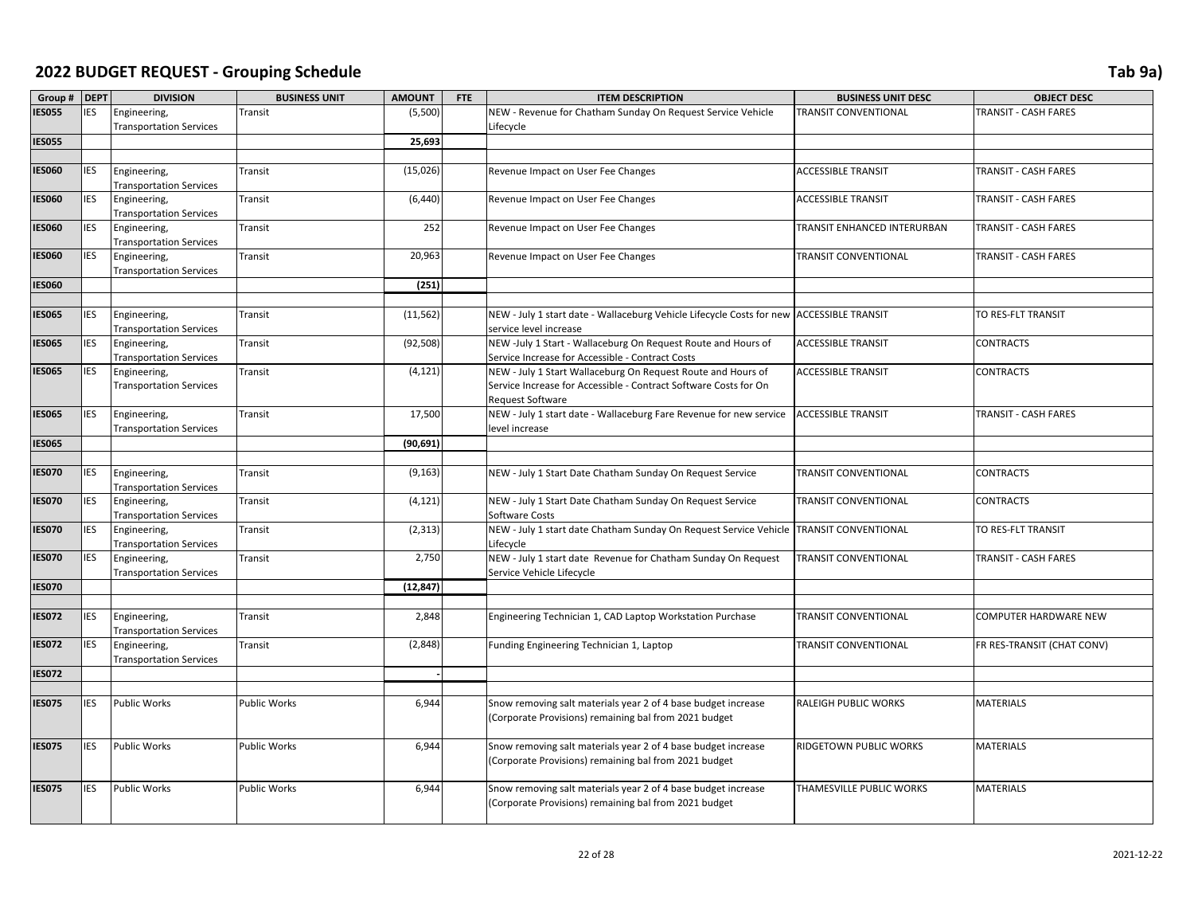| Group #       | <b>DEPT</b> | <b>DIVISION</b>                                | <b>BUSINESS UNIT</b> | <b>AMOUNT</b> | <b>FTE</b> | <b>ITEM DESCRIPTION</b>                                                                                          | <b>BUSINESS UNIT DESC</b>   | <b>OBJECT DESC</b>          |
|---------------|-------------|------------------------------------------------|----------------------|---------------|------------|------------------------------------------------------------------------------------------------------------------|-----------------------------|-----------------------------|
| <b>IES055</b> | <b>IES</b>  | Engineering,                                   | Transit              | (5,500)       |            | NEW - Revenue for Chatham Sunday On Request Service Vehicle                                                      | <b>TRANSIT CONVENTIONAL</b> | TRANSIT - CASH FARES        |
|               |             | <b>Transportation Services</b>                 |                      |               |            | Lifecycle                                                                                                        |                             |                             |
| <b>IES055</b> |             |                                                |                      | 25,693        |            |                                                                                                                  |                             |                             |
|               |             |                                                |                      |               |            |                                                                                                                  |                             |                             |
| <b>IES060</b> | <b>IES</b>  | Engineering,                                   | Transit              | (15,026)      |            | Revenue Impact on User Fee Changes                                                                               | <b>ACCESSIBLE TRANSIT</b>   | TRANSIT - CASH FARES        |
|               |             | <b>Transportation Services</b>                 |                      |               |            |                                                                                                                  |                             |                             |
| <b>IES060</b> | <b>IES</b>  | Engineering,                                   | Transit              | (6, 440)      |            | Revenue Impact on User Fee Changes                                                                               | <b>ACCESSIBLE TRANSIT</b>   | <b>TRANSIT - CASH FARES</b> |
|               |             | <b>Transportation Services</b>                 |                      |               |            |                                                                                                                  |                             |                             |
| <b>IES060</b> | <b>IES</b>  | Engineering,                                   | Transit              | 252           |            | Revenue Impact on User Fee Changes                                                                               | TRANSIT ENHANCED INTERURBAN | <b>TRANSIT - CASH FARES</b> |
|               |             | <b>Transportation Services</b>                 |                      |               |            |                                                                                                                  |                             |                             |
| <b>IES060</b> | <b>IES</b>  | Engineering,                                   | Transit              | 20,963        |            | Revenue Impact on User Fee Changes                                                                               | TRANSIT CONVENTIONAL        | <b>TRANSIT - CASH FARES</b> |
|               |             | <b>Transportation Services</b>                 |                      |               |            |                                                                                                                  |                             |                             |
| <b>IES060</b> |             |                                                |                      | (251)         |            |                                                                                                                  |                             |                             |
|               |             |                                                |                      |               |            |                                                                                                                  |                             |                             |
| <b>IES065</b> | <b>IES</b>  | Engineering,                                   | Transit              | (11, 562)     |            | NEW - July 1 start date - Wallaceburg Vehicle Lifecycle Costs for new ACCESSIBLE TRANSIT                         |                             | TO RES-FLT TRANSIT          |
|               |             | <b>Transportation Services</b>                 |                      |               |            | service level increase                                                                                           |                             |                             |
| <b>IES065</b> | <b>IES</b>  | Engineering,                                   | Transit              | (92, 508)     |            | NEW -July 1 Start - Wallaceburg On Request Route and Hours of                                                    | <b>ACCESSIBLE TRANSIT</b>   | <b>CONTRACTS</b>            |
| <b>IES065</b> | <b>IES</b>  | <b>Transportation Services</b><br>Engineering, | Transit              | (4, 121)      |            | Service Increase for Accessible - Contract Costs<br>NEW - July 1 Start Wallaceburg On Request Route and Hours of | <b>ACCESSIBLE TRANSIT</b>   | <b>CONTRACTS</b>            |
|               |             | <b>Transportation Services</b>                 |                      |               |            | Service Increase for Accessible - Contract Software Costs for On                                                 |                             |                             |
|               |             |                                                |                      |               |            | <b>Request Software</b>                                                                                          |                             |                             |
| <b>IES065</b> | <b>IES</b>  | Engineering,                                   | Transit              | 17,500        |            | NEW - July 1 start date - Wallaceburg Fare Revenue for new service                                               | <b>ACCESSIBLE TRANSIT</b>   | <b>TRANSIT - CASH FARES</b> |
|               |             | <b>Transportation Services</b>                 |                      |               |            | level increase                                                                                                   |                             |                             |
| <b>IES065</b> |             |                                                |                      | (90, 691)     |            |                                                                                                                  |                             |                             |
|               |             |                                                |                      |               |            |                                                                                                                  |                             |                             |
| <b>IES070</b> | <b>IES</b>  | Engineering,                                   | Transit              | (9, 163)      |            | NEW - July 1 Start Date Chatham Sunday On Request Service                                                        | TRANSIT CONVENTIONAL        | <b>CONTRACTS</b>            |
|               |             | <b>Transportation Services</b>                 |                      |               |            |                                                                                                                  |                             |                             |
| <b>IES070</b> | <b>IES</b>  | Engineering,                                   | Transit              | (4, 121)      |            | NEW - July 1 Start Date Chatham Sunday On Request Service                                                        | TRANSIT CONVENTIONAL        | <b>CONTRACTS</b>            |
|               |             | <b>Transportation Services</b>                 |                      |               |            | Software Costs                                                                                                   |                             |                             |
| <b>IES070</b> | <b>IES</b>  | Engineering,                                   | Transit              | (2, 313)      |            | NEW - July 1 start date Chatham Sunday On Request Service Vehicle                                                | <b>TRANSIT CONVENTIONAL</b> | TO RES-FLT TRANSIT          |
|               |             | <b>Transportation Services</b>                 |                      |               |            | Lifecycle                                                                                                        |                             |                             |
| <b>IES070</b> | <b>IES</b>  | Engineering,                                   | Transit              | 2,750         |            | NEW - July 1 start date Revenue for Chatham Sunday On Request                                                    | TRANSIT CONVENTIONAL        | TRANSIT - CASH FARES        |
|               |             | <b>Transportation Services</b>                 |                      |               |            | Service Vehicle Lifecycle                                                                                        |                             |                             |
| <b>IES070</b> |             |                                                |                      | (12, 847)     |            |                                                                                                                  |                             |                             |
|               |             |                                                |                      |               |            |                                                                                                                  |                             |                             |
| <b>IES072</b> | <b>IES</b>  | Engineering,<br><b>Transportation Services</b> | Transit              | 2,848         |            | Engineering Technician 1, CAD Laptop Workstation Purchase                                                        | <b>TRANSIT CONVENTIONAL</b> | COMPUTER HARDWARE NEW       |
| <b>IES072</b> | <b>IES</b>  | Engineering,                                   | Transit              | (2,848)       |            | Funding Engineering Technician 1, Laptop                                                                         | TRANSIT CONVENTIONAL        | FR RES-TRANSIT (CHAT CONV)  |
|               |             | <b>Transportation Services</b>                 |                      |               |            |                                                                                                                  |                             |                             |
| <b>IES072</b> |             |                                                |                      |               |            |                                                                                                                  |                             |                             |
|               |             |                                                |                      |               |            |                                                                                                                  |                             |                             |
| <b>IES075</b> | <b>IES</b>  | <b>Public Works</b>                            | Public Works         | 6,944         |            | Snow removing salt materials year 2 of 4 base budget increase                                                    | RALEIGH PUBLIC WORKS        | <b>MATERIALS</b>            |
|               |             |                                                |                      |               |            | (Corporate Provisions) remaining bal from 2021 budget                                                            |                             |                             |
|               |             |                                                |                      |               |            |                                                                                                                  |                             |                             |
| <b>IES075</b> | <b>IES</b>  | <b>Public Works</b>                            | <b>Public Works</b>  | 6,944         |            | Snow removing salt materials year 2 of 4 base budget increase                                                    | RIDGETOWN PUBLIC WORKS      | <b>MATERIALS</b>            |
|               |             |                                                |                      |               |            | (Corporate Provisions) remaining bal from 2021 budget                                                            |                             |                             |
|               |             |                                                |                      |               |            |                                                                                                                  |                             |                             |
| <b>IES075</b> | <b>IES</b>  | <b>Public Works</b>                            | <b>Public Works</b>  | 6,944         |            | Snow removing salt materials year 2 of 4 base budget increase                                                    | THAMESVILLE PUBLIC WORKS    | <b>MATERIALS</b>            |
|               |             |                                                |                      |               |            | (Corporate Provisions) remaining bal from 2021 budget                                                            |                             |                             |
|               |             |                                                |                      |               |            |                                                                                                                  |                             |                             |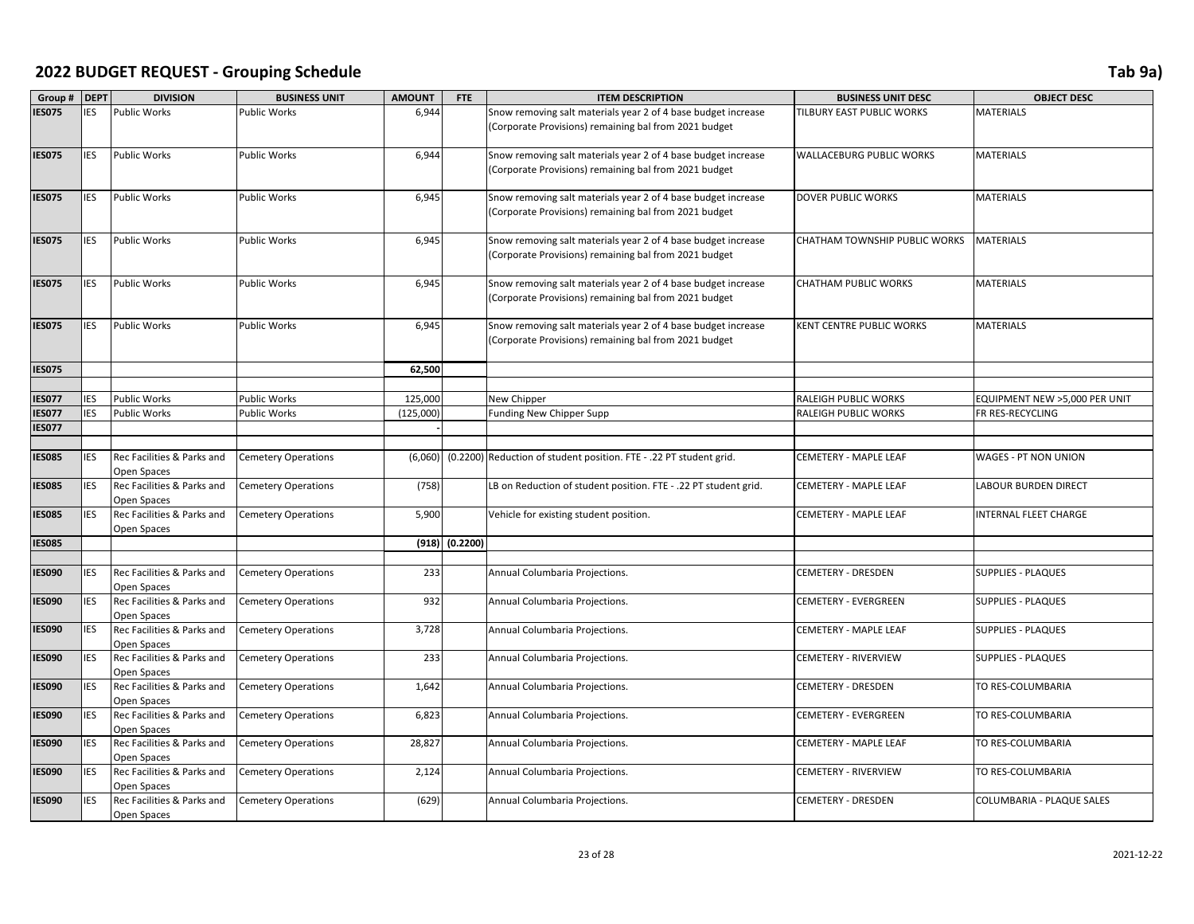| Group #       | <b>DEPT</b> | <b>DIVISION</b>                           | <b>BUSINESS UNIT</b>       | <b>AMOUNT</b> | FTE                | <b>ITEM DESCRIPTION</b>                                            | <b>BUSINESS UNIT DESC</b>     | <b>OBJECT DESC</b>               |
|---------------|-------------|-------------------------------------------|----------------------------|---------------|--------------------|--------------------------------------------------------------------|-------------------------------|----------------------------------|
| IES075        | <b>IES</b>  | <b>Public Works</b>                       | <b>Public Works</b>        | 6,944         |                    | Snow removing salt materials year 2 of 4 base budget increase      | TILBURY EAST PUBLIC WORKS     | <b>MATERIALS</b>                 |
|               |             |                                           |                            |               |                    | (Corporate Provisions) remaining bal from 2021 budget              |                               |                                  |
|               |             |                                           |                            |               |                    |                                                                    |                               |                                  |
| <b>IES075</b> | IES         | <b>Public Works</b>                       | <b>Public Works</b>        | 6,944         |                    | Snow removing salt materials year 2 of 4 base budget increase      | WALLACEBURG PUBLIC WORKS      | <b>MATERIALS</b>                 |
|               |             |                                           |                            |               |                    | (Corporate Provisions) remaining bal from 2021 budget              |                               |                                  |
|               |             |                                           |                            |               |                    |                                                                    |                               |                                  |
| <b>IES075</b> | <b>IES</b>  | <b>Public Works</b>                       | <b>Public Works</b>        | 6,945         |                    | Snow removing salt materials year 2 of 4 base budget increase      | <b>DOVER PUBLIC WORKS</b>     | <b>MATERIALS</b>                 |
|               |             |                                           |                            |               |                    | (Corporate Provisions) remaining bal from 2021 budget              |                               |                                  |
|               |             |                                           |                            |               |                    |                                                                    |                               |                                  |
| <b>IES075</b> | <b>IES</b>  | <b>Public Works</b>                       | <b>Public Works</b>        | 6,945         |                    | Snow removing salt materials year 2 of 4 base budget increase      | CHATHAM TOWNSHIP PUBLIC WORKS | <b>MATERIALS</b>                 |
|               |             |                                           |                            |               |                    | (Corporate Provisions) remaining bal from 2021 budget              |                               |                                  |
|               |             |                                           |                            |               |                    |                                                                    |                               |                                  |
| <b>IES075</b> | IES         | <b>Public Works</b>                       | <b>Public Works</b>        | 6,945         |                    | Snow removing salt materials year 2 of 4 base budget increase      | CHATHAM PUBLIC WORKS          | <b>MATERIALS</b>                 |
|               |             |                                           |                            |               |                    | (Corporate Provisions) remaining bal from 2021 budget              |                               |                                  |
|               |             |                                           |                            |               |                    |                                                                    |                               |                                  |
| <b>IES075</b> | <b>IES</b>  | <b>Public Works</b>                       | <b>Public Works</b>        | 6,945         |                    | Snow removing salt materials year 2 of 4 base budget increase      | KENT CENTRE PUBLIC WORKS      | <b>MATERIALS</b>                 |
|               |             |                                           |                            |               |                    | (Corporate Provisions) remaining bal from 2021 budget              |                               |                                  |
|               |             |                                           |                            |               |                    |                                                                    |                               |                                  |
| <b>IES075</b> |             |                                           |                            | 62,500        |                    |                                                                    |                               |                                  |
|               |             |                                           |                            |               |                    |                                                                    |                               |                                  |
| IES077        | <b>IES</b>  | Public Works                              | <b>Public Works</b>        | 125,000       |                    | New Chipper                                                        | RALEIGH PUBLIC WORKS          | EQUIPMENT NEW >5,000 PER UNIT    |
| <b>IES077</b> | <b>IES</b>  | Public Works                              | <b>Public Works</b>        | (125,000)     |                    | Funding New Chipper Supp                                           | RALEIGH PUBLIC WORKS          | FR RES-RECYCLING                 |
| <b>IES077</b> |             |                                           |                            |               |                    |                                                                    |                               |                                  |
|               |             |                                           |                            |               |                    |                                                                    |                               |                                  |
| <b>IES085</b> | <b>IES</b>  | Rec Facilities & Parks and                | <b>Cemetery Operations</b> | (6,060)       |                    | (0.2200) Reduction of student position. FTE - .22 PT student grid. | CEMETERY - MAPLE LEAF         | WAGES - PT NON UNION             |
|               |             | Open Spaces                               |                            |               |                    |                                                                    |                               |                                  |
| <b>IES085</b> | <b>IES</b>  | Rec Facilities & Parks and                | <b>Cemetery Operations</b> | (758)         |                    | LB on Reduction of student position. FTE - .22 PT student grid.    | CEMETERY - MAPLE LEAF         | <b>LABOUR BURDEN DIRECT</b>      |
|               |             | Open Spaces                               |                            |               |                    |                                                                    |                               |                                  |
| <b>IES085</b> | IES         | Rec Facilities & Parks and                | <b>Cemetery Operations</b> | 5,900         |                    | Vehicle for existing student position.                             | CEMETERY - MAPLE LEAF         | INTERNAL FLEET CHARGE            |
|               |             | Open Spaces                               |                            |               |                    |                                                                    |                               |                                  |
| <b>IES085</b> |             |                                           |                            |               | $(918)$ $(0.2200)$ |                                                                    |                               |                                  |
|               |             |                                           |                            |               |                    |                                                                    |                               |                                  |
| <b>IES090</b> | <b>IES</b>  | Rec Facilities & Parks and                | <b>Cemetery Operations</b> | 233           |                    | Annual Columbaria Projections.                                     | <b>CEMETERY - DRESDEN</b>     | <b>SUPPLIES - PLAQUES</b>        |
|               |             | Open Spaces                               |                            |               |                    |                                                                    |                               |                                  |
| <b>IES090</b> | <b>IES</b>  | Rec Facilities & Parks and                | <b>Cemetery Operations</b> | 932           |                    | Annual Columbaria Projections.                                     | <b>CEMETERY - EVERGREEN</b>   | <b>SUPPLIES - PLAQUES</b>        |
| <b>IES090</b> | <b>IES</b>  | Open Spaces<br>Rec Facilities & Parks and |                            | 3,728         |                    |                                                                    | CEMETERY - MAPLE LEAF         | <b>SUPPLIES - PLAQUES</b>        |
|               |             | Open Spaces                               | <b>Cemetery Operations</b> |               |                    | Annual Columbaria Projections.                                     |                               |                                  |
| <b>IES090</b> | IES         | Rec Facilities & Parks and                | <b>Cemetery Operations</b> | 233           |                    | Annual Columbaria Projections.                                     | <b>CEMETERY - RIVERVIEW</b>   | <b>SUPPLIES - PLAQUES</b>        |
|               |             | Open Spaces                               |                            |               |                    |                                                                    |                               |                                  |
| <b>IES090</b> | <b>IES</b>  | Rec Facilities & Parks and                | <b>Cemetery Operations</b> | 1,642         |                    | Annual Columbaria Projections.                                     | CEMETERY - DRESDEN            | TO RES-COLUMBARIA                |
|               |             | Open Spaces                               |                            |               |                    |                                                                    |                               |                                  |
| <b>IES090</b> | <b>IES</b>  | Rec Facilities & Parks and                | <b>Cemetery Operations</b> | 6,823         |                    | Annual Columbaria Projections.                                     | CEMETERY - EVERGREEN          | TO RES-COLUMBARIA                |
|               |             | Open Spaces                               |                            |               |                    |                                                                    |                               |                                  |
| <b>IES090</b> | IES         | Rec Facilities & Parks and                | <b>Cemetery Operations</b> | 28,827        |                    | Annual Columbaria Projections.                                     | CEMETERY - MAPLE LEAF         | TO RES-COLUMBARIA                |
|               |             | Open Spaces                               |                            |               |                    |                                                                    |                               |                                  |
| <b>IES090</b> | <b>IES</b>  | Rec Facilities & Parks and                | <b>Cemetery Operations</b> | 2,124         |                    | Annual Columbaria Projections.                                     | <b>CEMETERY - RIVERVIEW</b>   | TO RES-COLUMBARIA                |
|               |             | Open Spaces                               |                            |               |                    |                                                                    |                               |                                  |
| <b>IES090</b> | <b>IES</b>  | Rec Facilities & Parks and                | <b>Cemetery Operations</b> | (629)         |                    | Annual Columbaria Projections.                                     | <b>CEMETERY - DRESDEN</b>     | <b>COLUMBARIA - PLAQUE SALES</b> |
|               |             | Open Spaces                               |                            |               |                    |                                                                    |                               |                                  |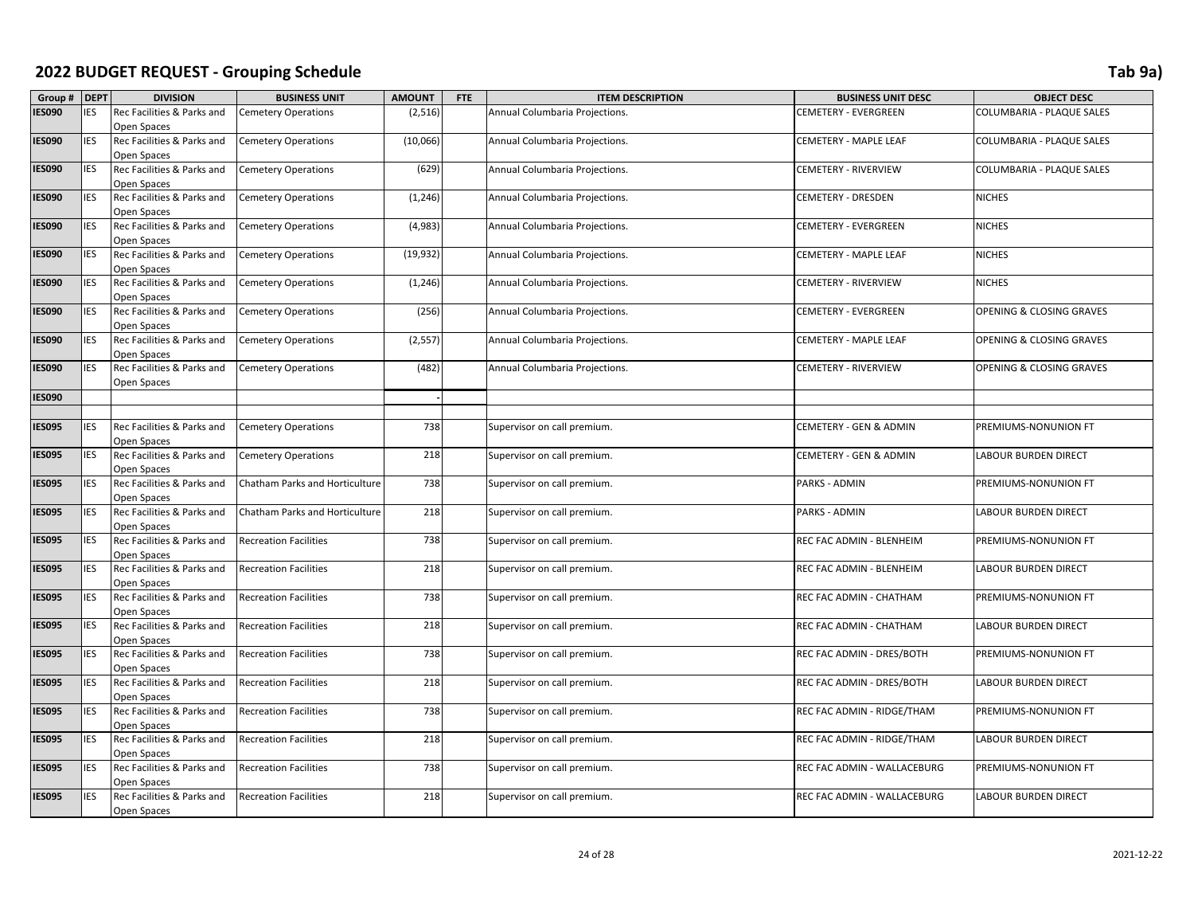| Group #       | <b>DEPT</b> | <b>DIVISION</b>                           | <b>BUSINESS UNIT</b>           | <b>AMOUNT</b> | FTE | <b>ITEM DESCRIPTION</b>        | <b>BUSINESS UNIT DESC</b>   | <b>OBJECT DESC</b>                  |
|---------------|-------------|-------------------------------------------|--------------------------------|---------------|-----|--------------------------------|-----------------------------|-------------------------------------|
| <b>IES090</b> | <b>IES</b>  | Rec Facilities & Parks and                | <b>Cemetery Operations</b>     | (2, 516)      |     | Annual Columbaria Projections. | CEMETERY - EVERGREEN        | COLUMBARIA - PLAQUE SALES           |
|               |             | Open Spaces                               |                                |               |     |                                |                             |                                     |
| <b>IES090</b> | <b>IES</b>  | Rec Facilities & Parks and                | <b>Cemetery Operations</b>     | (10,066)      |     | Annual Columbaria Projections. | CEMETERY - MAPLE LEAF       | COLUMBARIA - PLAQUE SALES           |
|               |             | Open Spaces                               |                                |               |     |                                |                             |                                     |
| <b>IES090</b> | IES         | Rec Facilities & Parks and                | <b>Cemetery Operations</b>     | (629)         |     | Annual Columbaria Projections. | CEMETERY - RIVERVIEW        | COLUMBARIA - PLAQUE SALES           |
|               |             | Open Spaces                               |                                |               |     |                                |                             |                                     |
| <b>IES090</b> | IES         | Rec Facilities & Parks and                | <b>Cemetery Operations</b>     | (1, 246)      |     | Annual Columbaria Projections. | CEMETERY - DRESDEN          | <b>NICHES</b>                       |
|               |             | Open Spaces                               |                                |               |     |                                |                             |                                     |
| <b>IES090</b> | <b>IES</b>  | Rec Facilities & Parks and                | <b>Cemetery Operations</b>     | (4,983)       |     | Annual Columbaria Projections. | CEMETERY - EVERGREEN        | <b>NICHES</b>                       |
|               |             | Open Spaces                               |                                |               |     |                                |                             |                                     |
| <b>IES090</b> | <b>IES</b>  | Rec Facilities & Parks and                | <b>Cemetery Operations</b>     | (19, 932)     |     | Annual Columbaria Projections. | CEMETERY - MAPLE LEAF       | <b>NICHES</b>                       |
|               |             | Open Spaces                               |                                |               |     |                                |                             |                                     |
| <b>IES090</b> | IES         | Rec Facilities & Parks and                | <b>Cemetery Operations</b>     | (1, 246)      |     | Annual Columbaria Projections. | CEMETERY - RIVERVIEW        | <b>NICHES</b>                       |
|               |             | Open Spaces                               |                                |               |     |                                |                             |                                     |
| <b>IES090</b> | IES         | Rec Facilities & Parks and                | <b>Cemetery Operations</b>     | (256)         |     | Annual Columbaria Projections. | <b>CEMETERY - EVERGREEN</b> | OPENING & CLOSING GRAVES            |
| <b>IES090</b> | IES         | Open Spaces<br>Rec Facilities & Parks and | <b>Cemetery Operations</b>     | (2, 557)      |     | Annual Columbaria Projections. | CEMETERY - MAPLE LEAF       | <b>OPENING &amp; CLOSING GRAVES</b> |
|               |             | Open Spaces                               |                                |               |     |                                |                             |                                     |
| <b>IES090</b> | IES         | Rec Facilities & Parks and                | <b>Cemetery Operations</b>     | (482)         |     | Annual Columbaria Projections. | CEMETERY - RIVERVIEW        | OPENING & CLOSING GRAVES            |
|               |             | Open Spaces                               |                                |               |     |                                |                             |                                     |
| <b>IES090</b> |             |                                           |                                |               |     |                                |                             |                                     |
|               |             |                                           |                                |               |     |                                |                             |                                     |
| <b>IES095</b> | IES         | Rec Facilities & Parks and                | <b>Cemetery Operations</b>     | 738           |     | Supervisor on call premium.    | CEMETERY - GEN & ADMIN      | PREMIUMS-NONUNION FT                |
|               |             | Open Spaces                               |                                |               |     |                                |                             |                                     |
| <b>IES095</b> | IES         | Rec Facilities & Parks and                | <b>Cemetery Operations</b>     | 218           |     | Supervisor on call premium.    | CEMETERY - GEN & ADMIN      | LABOUR BURDEN DIRECT                |
|               |             | Open Spaces                               |                                |               |     |                                |                             |                                     |
| <b>IES095</b> | <b>IES</b>  | Rec Facilities & Parks and                | Chatham Parks and Horticulture | 738           |     | Supervisor on call premium.    | PARKS - ADMIN               | PREMIUMS-NONUNION FT                |
|               |             | Open Spaces                               |                                |               |     |                                |                             |                                     |
| <b>IES095</b> | IES         | Rec Facilities & Parks and                | Chatham Parks and Horticulture | 218           |     | Supervisor on call premium.    | PARKS - ADMIN               | <b>LABOUR BURDEN DIRECT</b>         |
|               |             | Open Spaces                               |                                |               |     |                                |                             |                                     |
| <b>IES095</b> | IES         | Rec Facilities & Parks and                | <b>Recreation Facilities</b>   | 738           |     | Supervisor on call premium.    | REC FAC ADMIN - BLENHEIM    | PREMIUMS-NONUNION FT                |
|               |             | Open Spaces                               |                                |               |     |                                |                             |                                     |
| <b>IES095</b> | IES         | Rec Facilities & Parks and                | <b>Recreation Facilities</b>   | 218           |     | Supervisor on call premium.    | REC FAC ADMIN - BLENHEIM    | <b>LABOUR BURDEN DIRECT</b>         |
|               |             | Open Spaces                               |                                |               |     |                                |                             |                                     |
| <b>IES095</b> | <b>IES</b>  | Rec Facilities & Parks and                | <b>Recreation Facilities</b>   | 738           |     | Supervisor on call premium.    | REC FAC ADMIN - CHATHAM     | PREMIUMS-NONUNION FT                |
|               | IES         | Open Spaces                               |                                |               |     |                                |                             |                                     |
| <b>IES095</b> |             | Rec Facilities & Parks and<br>Open Spaces | <b>Recreation Facilities</b>   | 218           |     | Supervisor on call premium.    | REC FAC ADMIN - CHATHAM     | LABOUR BURDEN DIRECT                |
| <b>IES095</b> | IES         | Rec Facilities & Parks and                | <b>Recreation Facilities</b>   | 738           |     | Supervisor on call premium.    | REC FAC ADMIN - DRES/BOTH   | PREMIUMS-NONUNION FT                |
|               |             | Open Spaces                               |                                |               |     |                                |                             |                                     |
| <b>IES095</b> | IES         | Rec Facilities & Parks and                | <b>Recreation Facilities</b>   | 218           |     | Supervisor on call premium.    | REC FAC ADMIN - DRES/BOTH   | LABOUR BURDEN DIRECT                |
|               |             | Open Spaces                               |                                |               |     |                                |                             |                                     |
| <b>IES095</b> | IES         | Rec Facilities & Parks and                | <b>Recreation Facilities</b>   | 738           |     | Supervisor on call premium.    | REC FAC ADMIN - RIDGE/THAM  | PREMIUMS-NONUNION FT                |
|               |             | Open Spaces                               |                                |               |     |                                |                             |                                     |
| <b>IES095</b> | IES         | Rec Facilities & Parks and                | <b>Recreation Facilities</b>   | 218           |     | Supervisor on call premium.    | REC FAC ADMIN - RIDGE/THAM  | LABOUR BURDEN DIRECT                |
|               |             | Open Spaces                               |                                |               |     |                                |                             |                                     |
| <b>IES095</b> | IES         | Rec Facilities & Parks and                | <b>Recreation Facilities</b>   | 738           |     | Supervisor on call premium.    | REC FAC ADMIN - WALLACEBURG | PREMIUMS-NONUNION FT                |
|               |             | Open Spaces                               |                                |               |     |                                |                             |                                     |
| <b>IES095</b> | <b>IES</b>  | Rec Facilities & Parks and                | <b>Recreation Facilities</b>   | 218           |     | Supervisor on call premium.    | REC FAC ADMIN - WALLACEBURG | <b>LABOUR BURDEN DIRECT</b>         |
|               |             | Open Spaces                               |                                |               |     |                                |                             |                                     |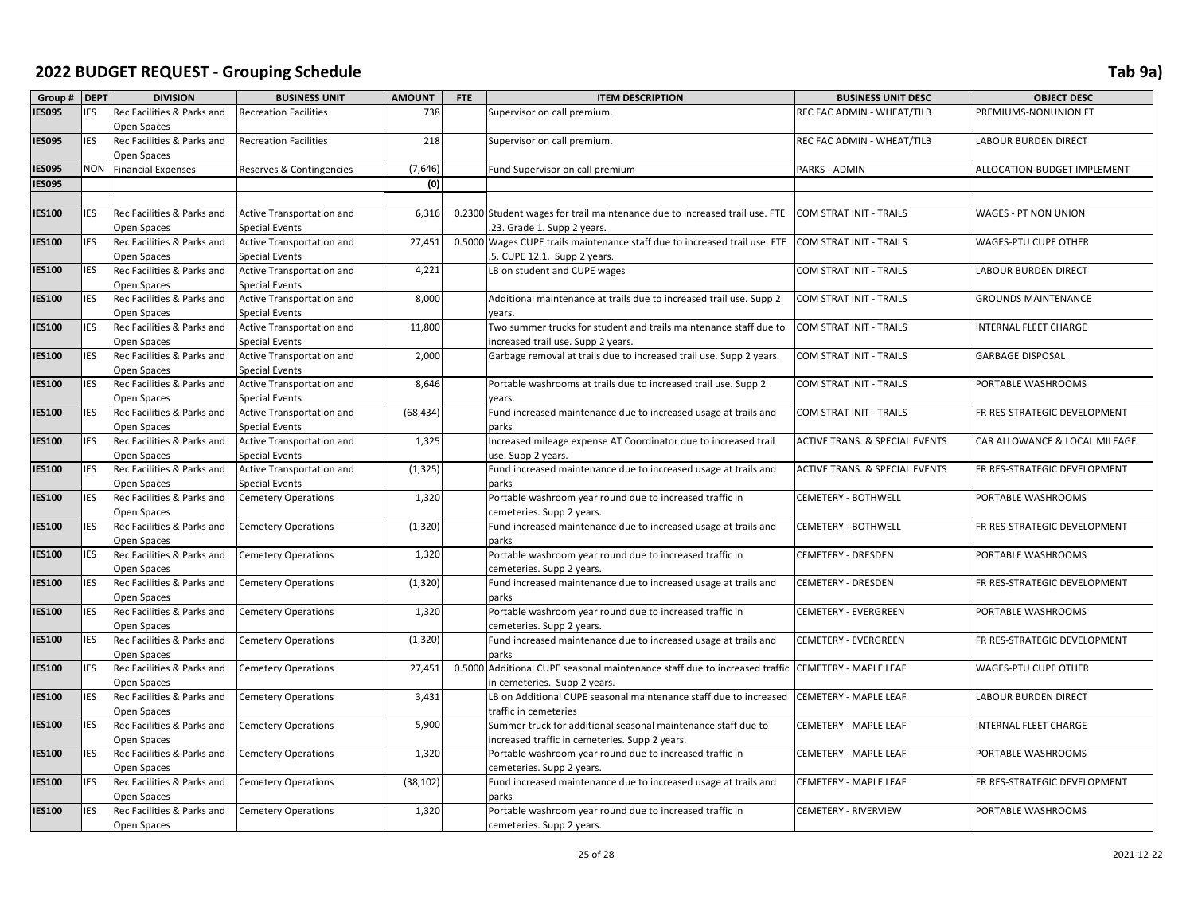| Group #       | <b>DEPT</b> | <b>DIVISION</b>                           | <b>BUSINESS UNIT</b>         | <b>AMOUNT</b> | FTE | <b>ITEM DESCRIPTION</b>                                                                      | <b>BUSINESS UNIT DESC</b>                 | <b>OBJECT DESC</b>            |
|---------------|-------------|-------------------------------------------|------------------------------|---------------|-----|----------------------------------------------------------------------------------------------|-------------------------------------------|-------------------------------|
| <b>IES095</b> | <b>IES</b>  | Rec Facilities & Parks and                | <b>Recreation Facilities</b> | 738           |     | Supervisor on call premium.                                                                  | REC FAC ADMIN - WHEAT/TILB                | PREMIUMS-NONUNION FT          |
|               |             | Open Spaces                               |                              |               |     |                                                                                              |                                           |                               |
| <b>IES095</b> | <b>IES</b>  | Rec Facilities & Parks and                | <b>Recreation Facilities</b> | 218           |     | Supervisor on call premium.                                                                  | REC FAC ADMIN - WHEAT/TILB                | <b>LABOUR BURDEN DIRECT</b>   |
|               |             | Open Spaces                               |                              |               |     |                                                                                              |                                           |                               |
| <b>IES095</b> | <b>NON</b>  | <b>Financial Expenses</b>                 | Reserves & Contingencies     | (7,646)       |     | Fund Supervisor on call premium                                                              | PARKS - ADMIN                             | ALLOCATION-BUDGET IMPLEMENT   |
| <b>IES095</b> |             |                                           |                              | (0)           |     |                                                                                              |                                           |                               |
|               |             |                                           |                              |               |     |                                                                                              |                                           |                               |
| <b>IES100</b> | <b>IES</b>  | Rec Facilities & Parks and                | Active Transportation and    | 6,316         |     | 0.2300 Student wages for trail maintenance due to increased trail use. FTE                   | <b>COM STRAT INIT - TRAILS</b>            | <b>WAGES - PT NON UNION</b>   |
|               |             | Open Spaces                               | <b>Special Events</b>        |               |     | .23. Grade 1. Supp 2 years.                                                                  |                                           |                               |
| <b>IES100</b> | <b>IES</b>  | Rec Facilities & Parks and                | Active Transportation and    | 27,451        |     | 0.5000 Wages CUPE trails maintenance staff due to increased trail use. FTE                   | <b>COM STRAT INIT - TRAILS</b>            | WAGES-PTU CUPE OTHER          |
|               |             | Open Spaces                               | <b>Special Events</b>        |               |     | .5. CUPE 12.1. Supp 2 years.                                                                 |                                           |                               |
| <b>IES100</b> | <b>IES</b>  | Rec Facilities & Parks and                | Active Transportation and    | 4,221         |     | LB on student and CUPE wages                                                                 | COM STRAT INIT - TRAILS                   | <b>LABOUR BURDEN DIRECT</b>   |
|               |             | Open Spaces                               | <b>Special Events</b>        |               |     |                                                                                              |                                           |                               |
| <b>IES100</b> | <b>IES</b>  | Rec Facilities & Parks and                | Active Transportation and    | 8,000         |     | Additional maintenance at trails due to increased trail use. Supp 2                          | <b>COM STRAT INIT - TRAILS</b>            | <b>GROUNDS MAINTENANCE</b>    |
|               |             | Open Spaces                               | <b>Special Events</b>        |               |     | years.                                                                                       |                                           |                               |
| <b>IES100</b> | <b>IES</b>  | Rec Facilities & Parks and                | Active Transportation and    | 11,800        |     | Two summer trucks for student and trails maintenance staff due to                            | COM STRAT INIT - TRAILS                   | INTERNAL FLEET CHARGE         |
|               |             | Open Spaces                               | <b>Special Events</b>        |               |     | increased trail use. Supp 2 years.                                                           |                                           |                               |
| <b>IES100</b> | <b>IES</b>  | Rec Facilities & Parks and                | Active Transportation and    | 2,000         |     | Garbage removal at trails due to increased trail use. Supp 2 years.                          | COM STRAT INIT - TRAILS                   | <b>GARBAGE DISPOSAL</b>       |
|               |             | Open Spaces                               | <b>Special Events</b>        |               |     |                                                                                              |                                           |                               |
| <b>IES100</b> | <b>IES</b>  | Rec Facilities & Parks and                | Active Transportation and    | 8,646         |     | Portable washrooms at trails due to increased trail use. Supp 2                              | COM STRAT INIT - TRAILS                   | PORTABLE WASHROOMS            |
|               |             | Open Spaces                               | <b>Special Events</b>        |               |     | years.                                                                                       |                                           |                               |
| <b>IES100</b> | <b>IES</b>  | Rec Facilities & Parks and                | Active Transportation and    | (68, 434)     |     | Fund increased maintenance due to increased usage at trails and                              | <b>COM STRAT INIT - TRAILS</b>            | FR RES-STRATEGIC DEVELOPMENT  |
|               |             | Open Spaces                               | <b>Special Events</b>        |               |     | parks                                                                                        |                                           |                               |
| <b>IES100</b> | <b>IES</b>  | Rec Facilities & Parks and                | Active Transportation and    | 1,325         |     | Increased mileage expense AT Coordinator due to increased trail                              | <b>ACTIVE TRANS. &amp; SPECIAL EVENTS</b> | CAR ALLOWANCE & LOCAL MILEAGE |
|               |             | Open Spaces                               | <b>Special Events</b>        |               |     | use. Supp 2 years.                                                                           |                                           |                               |
| <b>IES100</b> | <b>IES</b>  | Rec Facilities & Parks and                | Active Transportation and    | (1, 325)      |     | Fund increased maintenance due to increased usage at trails and                              | <b>ACTIVE TRANS. &amp; SPECIAL EVENTS</b> | FR RES-STRATEGIC DEVELOPMENT  |
|               |             | Open Spaces                               | <b>Special Events</b>        |               |     | parks                                                                                        |                                           |                               |
| <b>IES100</b> | <b>IES</b>  | Rec Facilities & Parks and                | <b>Cemetery Operations</b>   | 1,320         |     | Portable washroom year round due to increased traffic in                                     | CEMETERY - BOTHWELL                       | PORTABLE WASHROOMS            |
| <b>IES100</b> | <b>IES</b>  | Open Spaces<br>Rec Facilities & Parks and | <b>Cemetery Operations</b>   | (1, 320)      |     | cemeteries. Supp 2 years.<br>Fund increased maintenance due to increased usage at trails and | <b>CEMETERY - BOTHWELL</b>                | FR RES-STRATEGIC DEVELOPMENT  |
|               |             | Open Spaces                               |                              |               |     | parks                                                                                        |                                           |                               |
| <b>IES100</b> | <b>IES</b>  | Rec Facilities & Parks and                | <b>Cemetery Operations</b>   | 1,320         |     | Portable washroom year round due to increased traffic in                                     | CEMETERY - DRESDEN                        | PORTABLE WASHROOMS            |
|               |             | Open Spaces                               |                              |               |     | cemeteries. Supp 2 years.                                                                    |                                           |                               |
| <b>IES100</b> | <b>IES</b>  | Rec Facilities & Parks and                | <b>Cemetery Operations</b>   | (1, 320)      |     | Fund increased maintenance due to increased usage at trails and                              | <b>CEMETERY - DRESDEN</b>                 | FR RES-STRATEGIC DEVELOPMENT  |
|               |             | Open Spaces                               |                              |               |     | parks                                                                                        |                                           |                               |
| <b>IES100</b> | <b>IES</b>  | Rec Facilities & Parks and                | <b>Cemetery Operations</b>   | 1,320         |     | Portable washroom year round due to increased traffic in                                     | CEMETERY - EVERGREEN                      | PORTABLE WASHROOMS            |
|               |             | Open Spaces                               |                              |               |     | cemeteries. Supp 2 years.                                                                    |                                           |                               |
| <b>IES100</b> | <b>IES</b>  | Rec Facilities & Parks and                | <b>Cemetery Operations</b>   | (1, 320)      |     | Fund increased maintenance due to increased usage at trails and                              | <b>CEMETERY - EVERGREEN</b>               | FR RES-STRATEGIC DEVELOPMENT  |
|               |             | Open Spaces                               |                              |               |     | parks                                                                                        |                                           |                               |
| <b>IES100</b> | <b>IES</b>  | Rec Facilities & Parks and                | <b>Cemetery Operations</b>   | 27,451        |     | 0.5000 Additional CUPE seasonal maintenance staff due to increased traffic                   | CEMETERY - MAPLE LEAF                     | WAGES-PTU CUPE OTHER          |
|               |             | Open Spaces                               |                              |               |     | in cemeteries. Supp 2 years.                                                                 |                                           |                               |
| <b>IES100</b> | <b>IES</b>  | Rec Facilities & Parks and                | <b>Cemetery Operations</b>   | 3,431         |     | LB on Additional CUPE seasonal maintenance staff due to increased                            | <b>CEMETERY - MAPLE LEAF</b>              | <b>LABOUR BURDEN DIRECT</b>   |
|               |             | Open Spaces                               |                              |               |     | traffic in cemeteries                                                                        |                                           |                               |
| <b>IES100</b> | <b>IES</b>  | Rec Facilities & Parks and                | <b>Cemetery Operations</b>   | 5,900         |     | Summer truck for additional seasonal maintenance staff due to                                | CEMETERY - MAPLE LEAF                     | <b>INTERNAL FLEET CHARGE</b>  |
|               |             | Open Spaces                               |                              |               |     | increased traffic in cemeteries. Supp 2 years.                                               |                                           |                               |
| <b>IES100</b> | <b>IES</b>  | Rec Facilities & Parks and                | <b>Cemetery Operations</b>   | 1,320         |     | Portable washroom year round due to increased traffic in                                     | CEMETERY - MAPLE LEAF                     | PORTABLE WASHROOMS            |
|               |             | Open Spaces                               |                              |               |     | cemeteries. Supp 2 years.                                                                    |                                           |                               |
| <b>IES100</b> | <b>IES</b>  | Rec Facilities & Parks and                | <b>Cemetery Operations</b>   | (38, 102)     |     | Fund increased maintenance due to increased usage at trails and                              | CEMETERY - MAPLE LEAF                     | FR RES-STRATEGIC DEVELOPMENT  |
|               |             | Open Spaces                               |                              |               |     | parks                                                                                        |                                           |                               |
| <b>IES100</b> | <b>IES</b>  | Rec Facilities & Parks and                | <b>Cemetery Operations</b>   | 1,320         |     | Portable washroom year round due to increased traffic in                                     | CEMETERY - RIVERVIEW                      | PORTABLE WASHROOMS            |
|               |             | Open Spaces                               |                              |               |     | cemeteries. Supp 2 years.                                                                    |                                           |                               |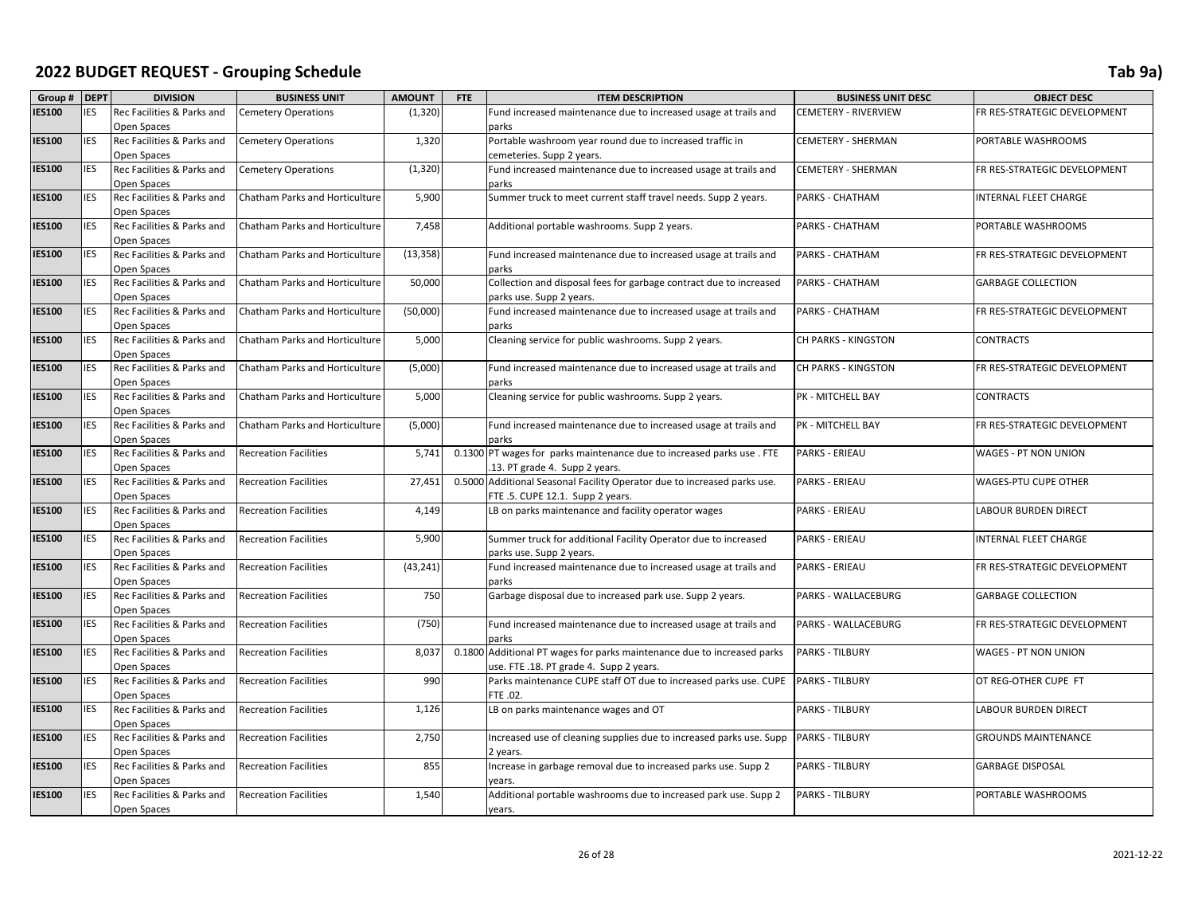| Group # DEPT  |              | <b>DIVISION</b>                           | <b>BUSINESS UNIT</b>                  | <b>AMOUNT</b> | <b>FTE</b> | <b>ITEM DESCRIPTION</b>                                                        | <b>BUSINESS UNIT DESC</b>   | <b>OBJECT DESC</b>           |
|---------------|--------------|-------------------------------------------|---------------------------------------|---------------|------------|--------------------------------------------------------------------------------|-----------------------------|------------------------------|
| <b>IES100</b> | <b>IES</b>   | Rec Facilities & Parks and                | <b>Cemetery Operations</b>            | (1, 320)      |            | Fund increased maintenance due to increased usage at trails and                | <b>CEMETERY - RIVERVIEW</b> | FR RES-STRATEGIC DEVELOPMENT |
|               |              | Open Spaces                               |                                       |               |            | parks                                                                          |                             |                              |
| <b>IES100</b> | <b>IES</b>   | Rec Facilities & Parks and                | <b>Cemetery Operations</b>            | 1,320         |            | Portable washroom year round due to increased traffic in                       | CEMETERY - SHERMAN          | PORTABLE WASHROOMS           |
|               |              | Open Spaces                               |                                       |               |            | cemeteries. Supp 2 years.                                                      |                             |                              |
| <b>IES100</b> | <b>IES</b>   | Rec Facilities & Parks and                | <b>Cemetery Operations</b>            | (1, 320)      |            | Fund increased maintenance due to increased usage at trails and                | <b>CEMETERY - SHERMAN</b>   | FR RES-STRATEGIC DEVELOPMENT |
|               |              | Open Spaces                               |                                       |               |            | parks                                                                          |                             |                              |
| <b>IES100</b> | <b>I</b> IES | Rec Facilities & Parks and<br>Open Spaces | Chatham Parks and Horticulture        | 5,900         |            | Summer truck to meet current staff travel needs. Supp 2 years.                 | PARKS - CHATHAM             | INTERNAL FLEET CHARGE        |
| <b>IES100</b> | <b>IES</b>   | Rec Facilities & Parks and                | <b>Chatham Parks and Horticulture</b> | 7,458         |            | Additional portable washrooms. Supp 2 years.                                   | PARKS - CHATHAM             | PORTABLE WASHROOMS           |
|               |              | Open Spaces                               |                                       |               |            |                                                                                |                             |                              |
| <b>IES100</b> | <b>IES</b>   | Rec Facilities & Parks and                | Chatham Parks and Horticulture        | (13, 358)     |            | Fund increased maintenance due to increased usage at trails and                | PARKS - CHATHAM             | FR RES-STRATEGIC DEVELOPMENT |
|               |              | Open Spaces                               |                                       |               |            | parks                                                                          |                             |                              |
| <b>IES100</b> | <b>IES</b>   | Rec Facilities & Parks and                | Chatham Parks and Horticulture        | 50,000        |            | Collection and disposal fees for garbage contract due to increased             | PARKS - CHATHAM             | <b>GARBAGE COLLECTION</b>    |
|               |              | Open Spaces                               |                                       |               |            | parks use. Supp 2 years.                                                       |                             |                              |
| <b>IES100</b> | <b>IES</b>   | Rec Facilities & Parks and                | Chatham Parks and Horticulture        | (50,000)      |            | Fund increased maintenance due to increased usage at trails and                | PARKS - CHATHAM             | FR RES-STRATEGIC DEVELOPMENT |
|               |              | Open Spaces                               |                                       |               |            | parks                                                                          |                             |                              |
| <b>IES100</b> | <b>IES</b>   | Rec Facilities & Parks and                | Chatham Parks and Horticulture        | 5,000         |            | Cleaning service for public washrooms. Supp 2 years.                           | <b>CH PARKS - KINGSTON</b>  | <b>CONTRACTS</b>             |
|               |              | Open Spaces                               |                                       |               |            |                                                                                |                             |                              |
| <b>IES100</b> | <b>IES</b>   | Rec Facilities & Parks and                | Chatham Parks and Horticulture        | (5,000)       |            | Fund increased maintenance due to increased usage at trails and                | <b>CH PARKS - KINGSTON</b>  | FR RES-STRATEGIC DEVELOPMENT |
|               |              | Open Spaces                               |                                       |               |            | parks                                                                          |                             |                              |
| <b>IES100</b> | <b>IES</b>   | Rec Facilities & Parks and                | <b>Chatham Parks and Horticulture</b> | 5,000         |            | Cleaning service for public washrooms. Supp 2 years.                           | PK - MITCHELL BAY           | <b>CONTRACTS</b>             |
|               |              | Open Spaces                               |                                       |               |            |                                                                                |                             |                              |
| <b>IES100</b> | <b>IES</b>   | Rec Facilities & Parks and                | Chatham Parks and Horticulture        | (5,000)       |            | Fund increased maintenance due to increased usage at trails and                | PK - MITCHELL BAY           | FR RES-STRATEGIC DEVELOPMENT |
| <b>IES100</b> | <b>IES</b>   | Open Spaces<br>Rec Facilities & Parks and | <b>Recreation Facilities</b>          | 5,741         |            | parks<br>0.1300 PT wages for parks maintenance due to increased parks use. FTE | <b>PARKS - ERIEAU</b>       | WAGES - PT NON UNION         |
|               |              | Open Spaces                               |                                       |               |            | .13. PT grade 4. Supp 2 years.                                                 |                             |                              |
| <b>IES100</b> | <b>IES</b>   | Rec Facilities & Parks and                | <b>Recreation Facilities</b>          | 27,451        |            | 0.5000 Additional Seasonal Facility Operator due to increased parks use.       | <b>PARKS - ERIEAU</b>       | WAGES-PTU CUPE OTHER         |
|               |              | Open Spaces                               |                                       |               |            | FTE .5. CUPE 12.1. Supp 2 years.                                               |                             |                              |
| <b>IES100</b> | <b>IES</b>   | Rec Facilities & Parks and                | <b>Recreation Facilities</b>          | 4,149         |            | LB on parks maintenance and facility operator wages                            | PARKS - ERIEAU              | <b>LABOUR BURDEN DIRECT</b>  |
|               |              | Open Spaces                               |                                       |               |            |                                                                                |                             |                              |
| <b>IES100</b> | <b>IES</b>   | Rec Facilities & Parks and                | <b>Recreation Facilities</b>          | 5,900         |            | Summer truck for additional Facility Operator due to increased                 | <b>PARKS - ERIEAU</b>       | INTERNAL FLEET CHARGE        |
|               |              | Open Spaces                               |                                       |               |            | parks use. Supp 2 years.                                                       |                             |                              |
| <b>IES100</b> | <b>IES</b>   | Rec Facilities & Parks and                | <b>Recreation Facilities</b>          | (43, 241)     |            | Fund increased maintenance due to increased usage at trails and                | <b>PARKS - ERIEAU</b>       | FR RES-STRATEGIC DEVELOPMENT |
|               |              | Open Spaces                               |                                       |               |            | parks                                                                          |                             |                              |
| <b>IES100</b> | <b>IES</b>   | Rec Facilities & Parks and                | <b>Recreation Facilities</b>          | 750           |            | Garbage disposal due to increased park use. Supp 2 years.                      | PARKS - WALLACEBURG         | <b>GARBAGE COLLECTION</b>    |
|               |              | Open Spaces                               |                                       |               |            |                                                                                |                             |                              |
| <b>IES100</b> | <b>IES</b>   | Rec Facilities & Parks and<br>Open Spaces | <b>Recreation Facilities</b>          | (750)         |            | Fund increased maintenance due to increased usage at trails and<br>parks       | PARKS - WALLACEBURG         | FR RES-STRATEGIC DEVELOPMENT |
| <b>IES100</b> | <b>I</b> IES | Rec Facilities & Parks and                | <b>Recreation Facilities</b>          | 8,037         | 0.1800     | Additional PT wages for parks maintenance due to increased parks               | <b>PARKS - TILBURY</b>      | <b>WAGES - PT NON UNION</b>  |
|               |              | Open Spaces                               |                                       |               |            | use. FTE .18. PT grade 4. Supp 2 years.                                        |                             |                              |
| <b>IES100</b> | <b>IES</b>   | Rec Facilities & Parks and                | <b>Recreation Facilities</b>          | 990           |            | Parks maintenance CUPE staff OT due to increased parks use. CUPE               | <b>PARKS - TILBURY</b>      | OT REG-OTHER CUPE FT         |
|               |              | Open Spaces                               |                                       |               |            | FTE .02.                                                                       |                             |                              |
| <b>IES100</b> | <b>IES</b>   | Rec Facilities & Parks and                | <b>Recreation Facilities</b>          | 1,126         |            | LB on parks maintenance wages and OT                                           | <b>PARKS - TILBURY</b>      | <b>LABOUR BURDEN DIRECT</b>  |
|               |              | Open Spaces                               |                                       |               |            |                                                                                |                             |                              |
| <b>IES100</b> | <b>IES</b>   | Rec Facilities & Parks and                | <b>Recreation Facilities</b>          | 2,750         |            | Increased use of cleaning supplies due to increased parks use. Supp            | <b>PARKS - TILBURY</b>      | <b>GROUNDS MAINTENANCE</b>   |
|               |              | Open Spaces                               |                                       |               |            | 2 years.                                                                       |                             |                              |
| <b>IES100</b> | <b>IES</b>   | Rec Facilities & Parks and                | <b>Recreation Facilities</b>          | 855           |            | Increase in garbage removal due to increased parks use. Supp 2                 | PARKS - TILBURY             | <b>GARBAGE DISPOSAL</b>      |
|               |              | Open Spaces                               |                                       |               |            | vears.                                                                         |                             |                              |
| <b>IES100</b> | <b>IES</b>   | Rec Facilities & Parks and                | <b>Recreation Facilities</b>          | 1,540         |            | Additional portable washrooms due to increased park use. Supp 2                | <b>PARKS - TILBURY</b>      | PORTABLE WASHROOMS           |
|               |              | Open Spaces                               |                                       |               |            | years.                                                                         |                             |                              |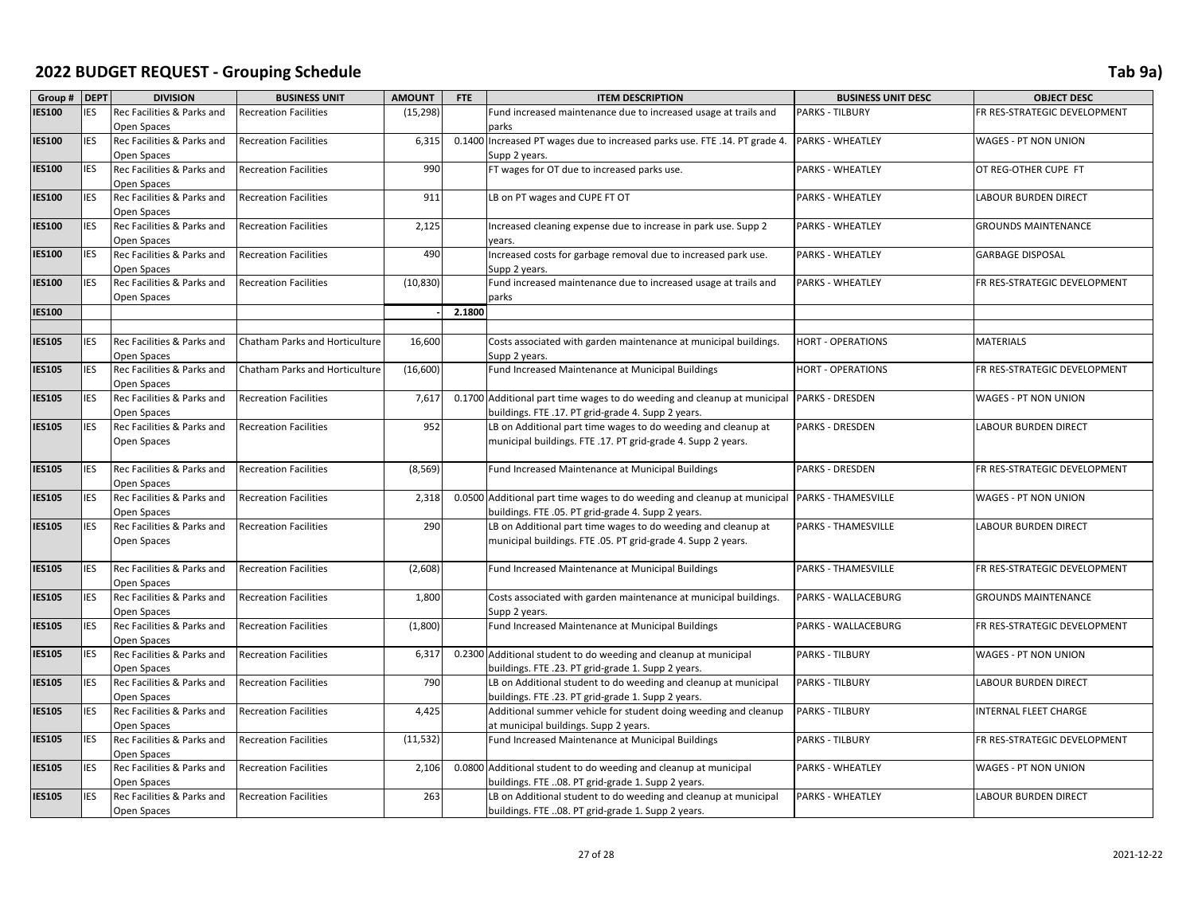| Group # DEPT  |            | <b>DIVISION</b>                           | <b>BUSINESS UNIT</b>           | <b>AMOUNT</b> | FTE    | <b>ITEM DESCRIPTION</b>                                                  | <b>BUSINESS UNIT DESC</b>  | <b>OBJECT DESC</b>           |
|---------------|------------|-------------------------------------------|--------------------------------|---------------|--------|--------------------------------------------------------------------------|----------------------------|------------------------------|
| <b>IES100</b> | <b>IES</b> | Rec Facilities & Parks and                | <b>Recreation Facilities</b>   | (15, 298)     |        | Fund increased maintenance due to increased usage at trails and          | <b>PARKS - TILBURY</b>     | FR RES-STRATEGIC DEVELOPMENT |
|               |            | Open Spaces                               |                                |               |        | parks                                                                    |                            |                              |
| <b>IES100</b> | <b>IES</b> | Rec Facilities & Parks and                | <b>Recreation Facilities</b>   | 6,315         | 0.1400 | Increased PT wages due to increased parks use. FTE .14. PT grade 4.      | <b>PARKS - WHEATLEY</b>    | WAGES - PT NON UNION         |
|               |            | Open Spaces                               |                                |               |        | Supp 2 years.                                                            |                            |                              |
| <b>IES100</b> | <b>IES</b> | Rec Facilities & Parks and                | <b>Recreation Facilities</b>   | 990           |        | FT wages for OT due to increased parks use.                              | <b>PARKS - WHEATLEY</b>    | OT REG-OTHER CUPE FT         |
|               |            | Open Spaces                               |                                |               |        |                                                                          |                            |                              |
| <b>IES100</b> | <b>IES</b> | Rec Facilities & Parks and                | <b>Recreation Facilities</b>   | 911           |        | LB on PT wages and CUPE FT OT                                            | PARKS - WHEATLEY           | LABOUR BURDEN DIRECT         |
|               |            | Open Spaces                               |                                |               |        |                                                                          |                            |                              |
| <b>IES100</b> | <b>IES</b> | Rec Facilities & Parks and                | <b>Recreation Facilities</b>   | 2,125         |        | Increased cleaning expense due to increase in park use. Supp 2           | <b>PARKS - WHEATLEY</b>    | <b>GROUNDS MAINTENANCE</b>   |
|               |            | Open Spaces                               |                                |               |        | vears.                                                                   |                            |                              |
| <b>IES100</b> | <b>IES</b> | Rec Facilities & Parks and                | <b>Recreation Facilities</b>   | 490           |        | Increased costs for garbage removal due to increased park use.           | PARKS - WHEATLEY           | <b>GARBAGE DISPOSAL</b>      |
|               |            | Open Spaces                               |                                |               |        | Supp 2 years.                                                            |                            |                              |
| <b>IES100</b> | <b>IES</b> | Rec Facilities & Parks and                | <b>Recreation Facilities</b>   | (10, 830)     |        | Fund increased maintenance due to increased usage at trails and          | PARKS - WHEATLEY           | FR RES-STRATEGIC DEVELOPMENT |
|               |            | Open Spaces                               |                                |               |        | parks                                                                    |                            |                              |
| <b>IES100</b> |            |                                           |                                |               | 2.1800 |                                                                          |                            |                              |
|               |            |                                           |                                |               |        |                                                                          |                            |                              |
| <b>IES105</b> | <b>IES</b> | Rec Facilities & Parks and                | Chatham Parks and Horticulture | 16,600        |        | Costs associated with garden maintenance at municipal buildings.         | <b>HORT - OPERATIONS</b>   | <b>MATERIALS</b>             |
|               |            | Open Spaces                               |                                |               |        | Supp 2 years.                                                            |                            |                              |
| <b>IES105</b> | <b>IES</b> | Rec Facilities & Parks and                | Chatham Parks and Horticulture | (16, 600)     |        | Fund Increased Maintenance at Municipal Buildings                        | <b>HORT - OPERATIONS</b>   | FR RES-STRATEGIC DEVELOPMENT |
|               |            | Open Spaces                               |                                |               |        |                                                                          |                            |                              |
| <b>IES105</b> | <b>IES</b> | Rec Facilities & Parks and                | <b>Recreation Facilities</b>   | 7,617         |        | 0.1700 Additional part time wages to do weeding and cleanup at municipal | <b>PARKS - DRESDEN</b>     | WAGES - PT NON UNION         |
|               |            | Open Spaces                               |                                |               |        | buildings. FTE .17. PT grid-grade 4. Supp 2 years.                       |                            |                              |
| <b>IES105</b> | <b>IES</b> | Rec Facilities & Parks and                | <b>Recreation Facilities</b>   | 952           |        | LB on Additional part time wages to do weeding and cleanup at            | <b>PARKS - DRESDEN</b>     | <b>LABOUR BURDEN DIRECT</b>  |
|               |            | Open Spaces                               |                                |               |        | municipal buildings. FTE .17. PT grid-grade 4. Supp 2 years.             |                            |                              |
|               |            |                                           |                                |               |        |                                                                          |                            |                              |
| <b>IES105</b> | <b>IES</b> | Rec Facilities & Parks and                | <b>Recreation Facilities</b>   | (8, 569)      |        | Fund Increased Maintenance at Municipal Buildings                        | <b>PARKS - DRESDEN</b>     | FR RES-STRATEGIC DEVELOPMENT |
|               |            | Open Spaces                               |                                |               |        |                                                                          |                            |                              |
| <b>IES105</b> | <b>IES</b> | Rec Facilities & Parks and                | <b>Recreation Facilities</b>   | 2,318         |        | 0.0500 Additional part time wages to do weeding and cleanup at municipal | <b>PARKS - THAMESVILLE</b> | WAGES - PT NON UNION         |
|               |            | Open Spaces                               |                                |               |        | buildings. FTE .05. PT grid-grade 4. Supp 2 years.                       |                            |                              |
| <b>IES105</b> | <b>IES</b> | Rec Facilities & Parks and<br>Open Spaces | <b>Recreation Facilities</b>   | 290           |        | LB on Additional part time wages to do weeding and cleanup at            | <b>PARKS - THAMESVILLE</b> | <b>LABOUR BURDEN DIRECT</b>  |
|               |            |                                           |                                |               |        | municipal buildings. FTE .05. PT grid-grade 4. Supp 2 years.             |                            |                              |
| <b>IES105</b> | <b>IES</b> | Rec Facilities & Parks and                | <b>Recreation Facilities</b>   | (2,608)       |        | Fund Increased Maintenance at Municipal Buildings                        | <b>PARKS - THAMESVILLE</b> | FR RES-STRATEGIC DEVELOPMENT |
|               |            | Open Spaces                               |                                |               |        |                                                                          |                            |                              |
| <b>IES105</b> | <b>IES</b> | Rec Facilities & Parks and                | <b>Recreation Facilities</b>   | 1,800         |        | Costs associated with garden maintenance at municipal buildings.         | PARKS - WALLACEBURG        | <b>GROUNDS MAINTENANCE</b>   |
|               |            | Open Spaces                               |                                |               |        | Supp 2 years.                                                            |                            |                              |
| <b>IES105</b> | <b>IES</b> | Rec Facilities & Parks and                | <b>Recreation Facilities</b>   | (1,800)       |        | Fund Increased Maintenance at Municipal Buildings                        | PARKS - WALLACEBURG        | FR RES-STRATEGIC DEVELOPMENT |
|               |            | Open Spaces                               |                                |               |        |                                                                          |                            |                              |
| <b>IES105</b> | IES        | Rec Facilities & Parks and                | <b>Recreation Facilities</b>   | 6,317         |        | 0.2300 Additional student to do weeding and cleanup at municipal         | <b>PARKS - TILBURY</b>     | WAGES - PT NON UNION         |
|               |            | Open Spaces                               |                                |               |        | buildings. FTE .23. PT grid-grade 1. Supp 2 years.                       |                            |                              |
| <b>IES105</b> | <b>IES</b> | Rec Facilities & Parks and                | <b>Recreation Facilities</b>   | 790           |        | LB on Additional student to do weeding and cleanup at municipal          | <b>PARKS - TILBURY</b>     | <b>LABOUR BURDEN DIRECT</b>  |
|               |            | Open Spaces                               |                                |               |        | buildings. FTE .23. PT grid-grade 1. Supp 2 years.                       |                            |                              |
| <b>IES105</b> | <b>IES</b> | Rec Facilities & Parks and                | <b>Recreation Facilities</b>   | 4,425         |        | Additional summer vehicle for student doing weeding and cleanup          | <b>PARKS - TILBURY</b>     | INTERNAL FLEET CHARGE        |
|               |            | Open Spaces                               |                                |               |        | at municipal buildings. Supp 2 years.                                    |                            |                              |
| <b>IES105</b> | <b>IES</b> | Rec Facilities & Parks and                | <b>Recreation Facilities</b>   | (11, 532)     |        | Fund Increased Maintenance at Municipal Buildings                        | PARKS - TILBURY            | FR RES-STRATEGIC DEVELOPMENT |
|               |            | Open Spaces                               |                                |               |        |                                                                          |                            |                              |
| <b>IES105</b> | <b>IES</b> | Rec Facilities & Parks and                | <b>Recreation Facilities</b>   | 2,106         |        | 0.0800 Additional student to do weeding and cleanup at municipal         | PARKS - WHEATLEY           | WAGES - PT NON UNION         |
|               |            | Open Spaces                               |                                |               |        | buildings. FTE 08. PT grid-grade 1. Supp 2 years.                        |                            |                              |
| <b>IES105</b> | <b>IES</b> | Rec Facilities & Parks and                | <b>Recreation Facilities</b>   | 263           |        | LB on Additional student to do weeding and cleanup at municipal          | <b>PARKS - WHEATLEY</b>    | <b>LABOUR BURDEN DIRECT</b>  |
|               |            | Open Spaces                               |                                |               |        | buildings. FTE 08. PT grid-grade 1. Supp 2 years.                        |                            |                              |